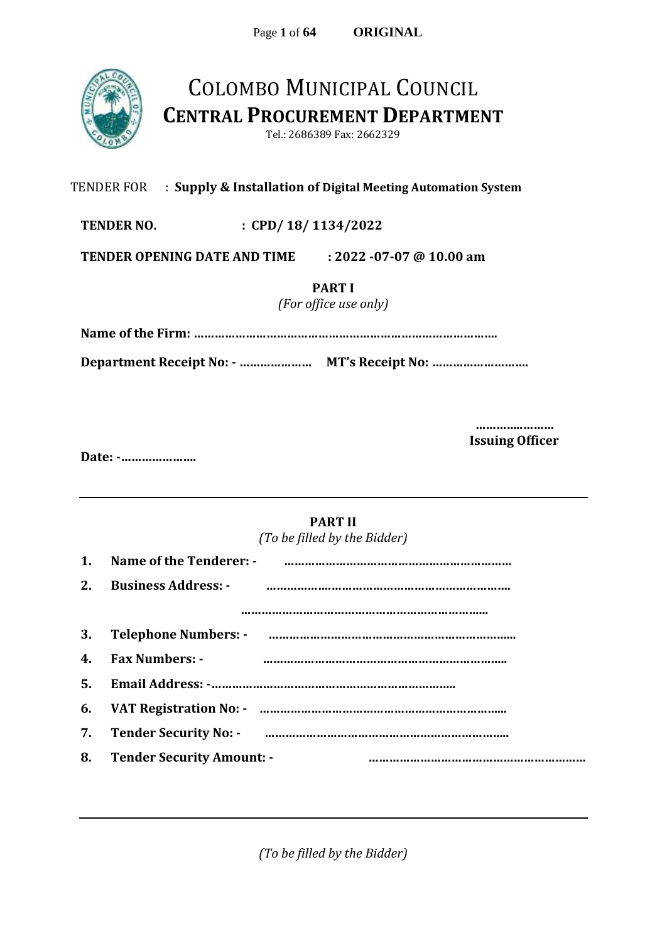

## COLOMBO MUNICIPAL COUNCIL **CENTRAL PROCUREMENT DEPARTMENT**

Tel.: 2686389 Fax: 2662329

#### TENDER FOR : **Supply & Installation of Digital Meeting Automation System**

**TENDER NO. : CPD/ 18/ 1134/2022**

**TENDER OPENING DATE AND TIME : 2022 -07-07 @ 10.00 am** 

**PART I**

*(For office use only)*

**Name of the Firm: …………………………………………………………………………….**

**Department Receipt No: - ………………… MT's Receipt No: ……………………….**

**…………..……… Issuing Officer**

**Date: -………………….**

### **PART II**

*(To be filled by the Bidder)*

| 2. | <b>Business Address: -</b>                                       |
|----|------------------------------------------------------------------|
|    |                                                                  |
|    |                                                                  |
| 4. | <b>Fax Numbers: -</b>                                            |
|    |                                                                  |
| 6. | VAT Registration No: - manual manual manual manual manual manual |
| 7. |                                                                  |
| 8. | <b>Tender Security Amount: -</b>                                 |

*(To be filled by the Bidder)*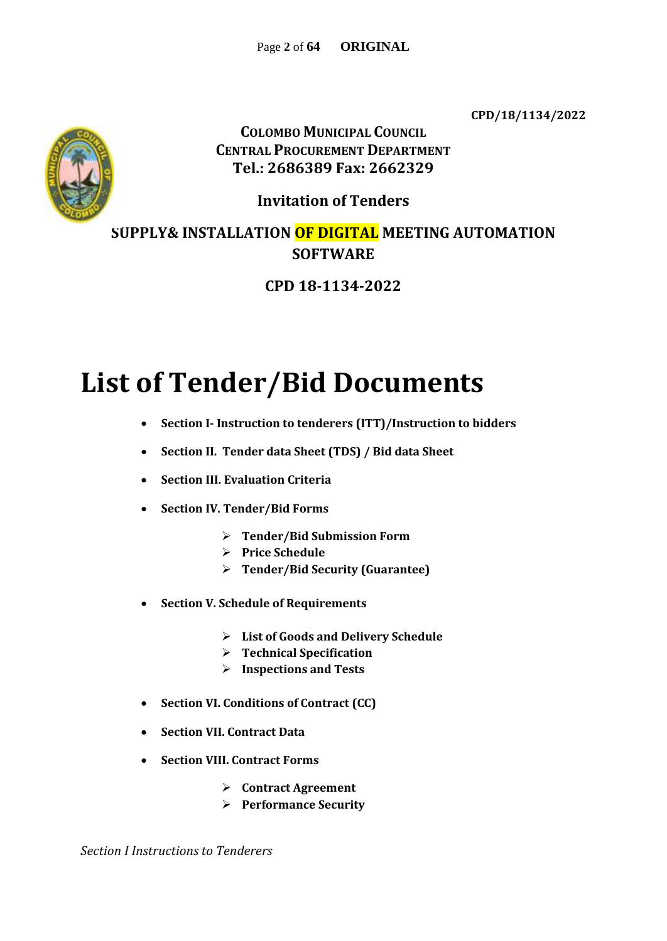**CPD/18/1134/2022**



**COLOMBO MUNICIPAL COUNCIL CENTRAL PROCUREMENT DEPARTMENT Tel.: 2686389 Fax: 2662329**

**Invitation of Tenders**

**SUPPLY& INSTALLATION OF DIGITAL MEETING AUTOMATION SOFTWARE**

**CPD 18-1134-2022**

# **List of Tender/Bid Documents**

- **Section I- Instruction to tenderers (ITT)/Instruction to bidders**
- **Section II. Tender data Sheet (TDS) / Bid data Sheet**
- **Section III. Evaluation Criteria**
- **Section IV. Tender/Bid Forms**
	- **Tender/Bid Submission Form**
	- **Price Schedule**
	- **Tender/Bid Security (Guarantee)**
- **Section V. Schedule of Requirements**
	- **List of Goods and Delivery Schedule**
	- **Technical Specification**
	- **Inspections and Tests**
- **Section VI. Conditions of Contract (CC)**
- **Section VII. Contract Data**
- **Section VIII. Contract Forms**
	- **Contract Agreement**
	- **Performance Security**

*Section I Instructions to Tenderers*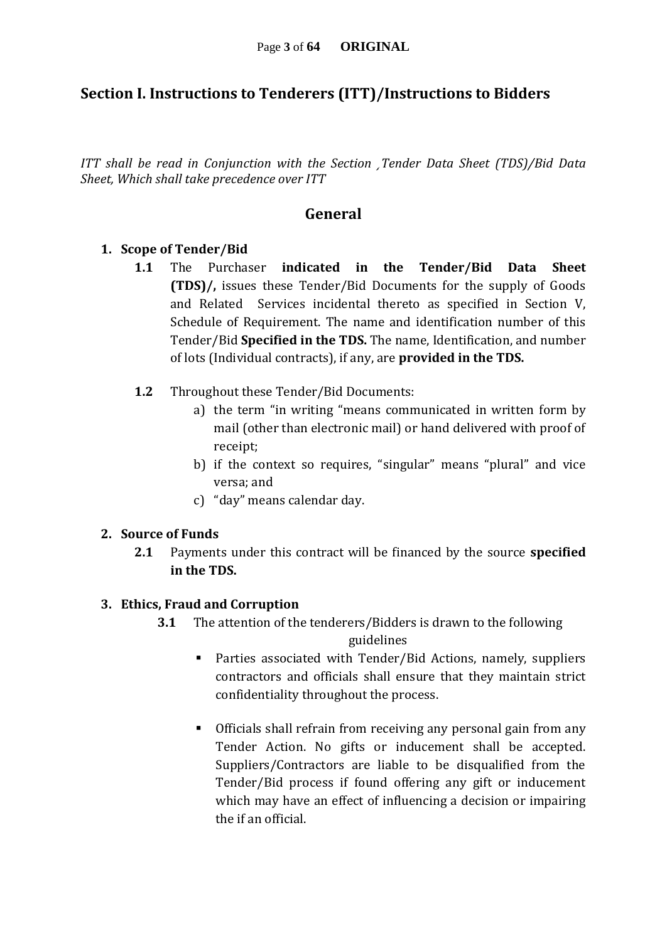### **Section I. Instructions to Tenderers (ITT)/Instructions to Bidders**

*ITT shall be read in Conjunction with the Section ¸Tender Data Sheet (TDS)/Bid Data Sheet, Which shall take precedence over ITT*

### **General**

#### **1. Scope of Tender/Bid**

- **1.1** The Purchaser **indicated in the Tender/Bid Data Sheet (TDS)/,** issues these Tender/Bid Documents for the supply of Goods and Related Services incidental thereto as specified in Section V, Schedule of Requirement. The name and identification number of this Tender/Bid **Specified in the TDS.** The name, Identification, and number of lots (Individual contracts), if any, are **provided in the TDS.**
- **1.2** Throughout these Tender/Bid Documents:
	- a) the term "in writing "means communicated in written form by mail (other than electronic mail) or hand delivered with proof of receipt;
	- b) if the context so requires, "singular" means "plural" and vice versa; and
	- c) "day" means calendar day.

#### **2. Source of Funds**

**2.1** Payments under this contract will be financed by the source **specified in the TDS.**

#### **3. Ethics, Fraud and Corruption**

- **3.1** The attention of the tenderers/Bidders is drawn to the following guidelines
	- Parties associated with Tender/Bid Actions, namely, suppliers contractors and officials shall ensure that they maintain strict confidentiality throughout the process.
	- Officials shall refrain from receiving any personal gain from any Tender Action. No gifts or inducement shall be accepted. Suppliers/Contractors are liable to be disqualified from the Tender/Bid process if found offering any gift or inducement which may have an effect of influencing a decision or impairing the if an official.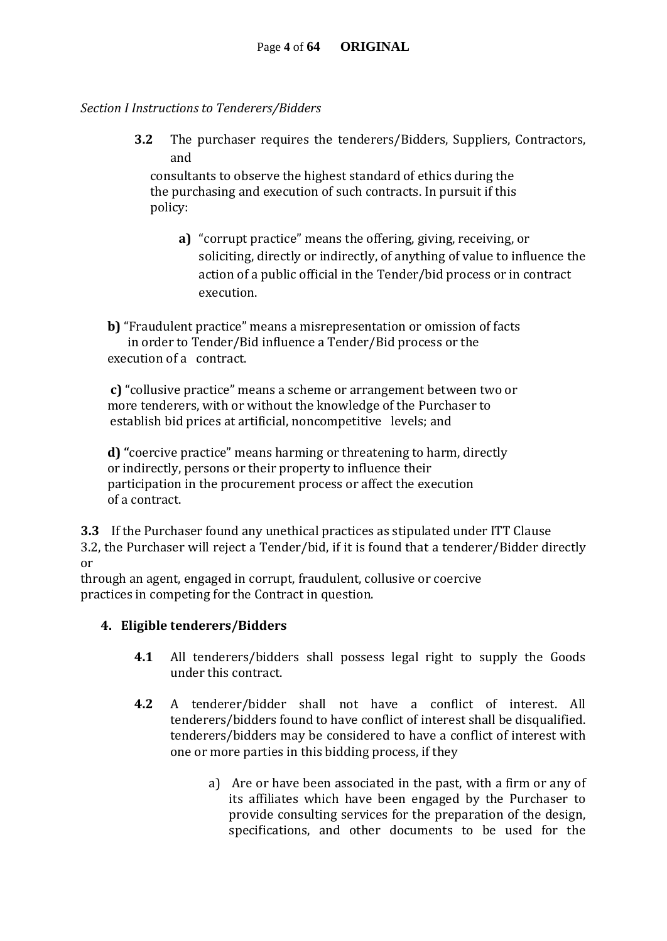#### *Section I Instructions to Tenderers/Bidders*

**3.2** The purchaser requires the tenderers/Bidders, Suppliers, Contractors, and

consultants to observe the highest standard of ethics during the the purchasing and execution of such contracts. In pursuit if this policy:

**a)** "corrupt practice" means the offering, giving, receiving, or soliciting, directly or indirectly, of anything of value to influence the action of a public official in the Tender/bid process or in contract execution.

**b)** "Fraudulent practice" means a misrepresentation or omission of facts in order to Tender/Bid influence a Tender/Bid process or the execution of a contract.

**c)** "collusive practice" means a scheme or arrangement between two or more tenderers, with or without the knowledge of the Purchaser to establish bid prices at artificial, noncompetitive levels; and

**d) "**coercive practice" means harming or threatening to harm, directly or indirectly, persons or their property to influence their participation in the procurement process or affect the execution of a contract.

**3.3** If the Purchaser found any unethical practices as stipulated under ITT Clause 3.2, the Purchaser will reject a Tender/bid, if it is found that a tenderer/Bidder directly or

through an agent, engaged in corrupt, fraudulent, collusive or coercive practices in competing for the Contract in question.

### **4. Eligible tenderers/Bidders**

- **4.1** All tenderers/bidders shall possess legal right to supply the Goods under this contract.
- **4.2** A tenderer/bidder shall not have a conflict of interest. All tenderers/bidders found to have conflict of interest shall be disqualified. tenderers/bidders may be considered to have a conflict of interest with one or more parties in this bidding process, if they
	- a) Are or have been associated in the past, with a firm or any of its affiliates which have been engaged by the Purchaser to provide consulting services for the preparation of the design, specifications, and other documents to be used for the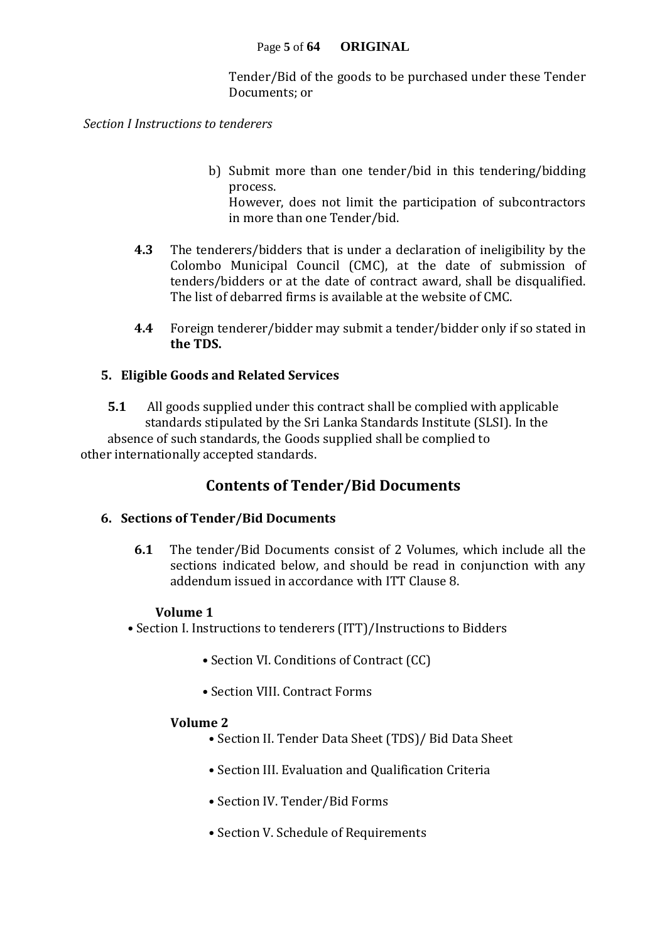Tender/Bid of the goods to be purchased under these Tender Documents; or

*Section I Instructions to tenderers* 

b) Submit more than one tender/bid in this tendering/bidding process.

However, does not limit the participation of subcontractors in more than one Tender/bid.

- **4.3** The tenderers/bidders that is under a declaration of ineligibility by the Colombo Municipal Council (CMC), at the date of submission of tenders/bidders or at the date of contract award, shall be disqualified. The list of debarred firms is available at the website of CMC.
- **4.4** Foreign tenderer/bidder may submit a tender/bidder only if so stated in **the TDS.**

#### **5. Eligible Goods and Related Services**

**5.1** All goods supplied under this contract shall be complied with applicable standards stipulated by the Sri Lanka Standards Institute (SLSI). In the absence of such standards, the Goods supplied shall be complied to other internationally accepted standards.

### **Contents of Tender/Bid Documents**

#### **6. Sections of Tender/Bid Documents**

**6.1** The tender/Bid Documents consist of 2 Volumes, which include all the sections indicated below, and should be read in conjunction with any addendum issued in accordance with ITT Clause 8.

#### **Volume 1**

• Section I. Instructions to tenderers (ITT)/Instructions to Bidders

- Section VI. Conditions of Contract (CC)
- Section VIII. Contract Forms

#### **Volume 2**

- Section II. Tender Data Sheet (TDS)/ Bid Data Sheet
- Section III. Evaluation and Qualification Criteria
- Section IV. Tender/Bid Forms
- Section V. Schedule of Requirements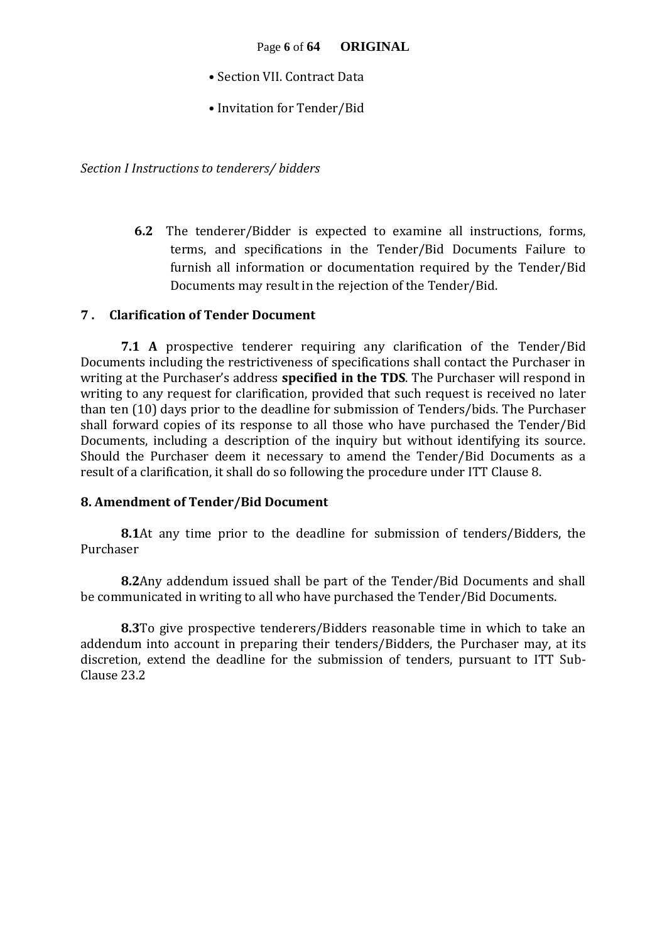- Section VII. Contract Data
- Invitation for Tender/Bid

*Section I Instructions to tenderers/ bidders*

**6.2** The tenderer/Bidder is expected to examine all instructions, forms, terms, and specifications in the Tender/Bid Documents Failure to furnish all information or documentation required by the Tender/Bid Documents may result in the rejection of the Tender/Bid.

#### **7 . Clarification of Tender Document**

**7.1 A** prospective tenderer requiring any clarification of the Tender/Bid Documents including the restrictiveness of specifications shall contact the Purchaser in writing at the Purchaser's address **specified in the TDS**. The Purchaser will respond in writing to any request for clarification, provided that such request is received no later than ten (10) days prior to the deadline for submission of Tenders/bids. The Purchaser shall forward copies of its response to all those who have purchased the Tender/Bid Documents, including a description of the inquiry but without identifying its source. Should the Purchaser deem it necessary to amend the Tender/Bid Documents as a result of a clarification, it shall do so following the procedure under ITT Clause 8.

#### **8. Amendment of Tender/Bid Document**

**8.1**At any time prior to the deadline for submission of tenders/Bidders, the Purchaser

**8.2**Any addendum issued shall be part of the Tender/Bid Documents and shall be communicated in writing to all who have purchased the Tender/Bid Documents.

**8.3**To give prospective tenderers/Bidders reasonable time in which to take an addendum into account in preparing their tenders/Bidders, the Purchaser may, at its discretion, extend the deadline for the submission of tenders, pursuant to ITT Sub-Clause 23.2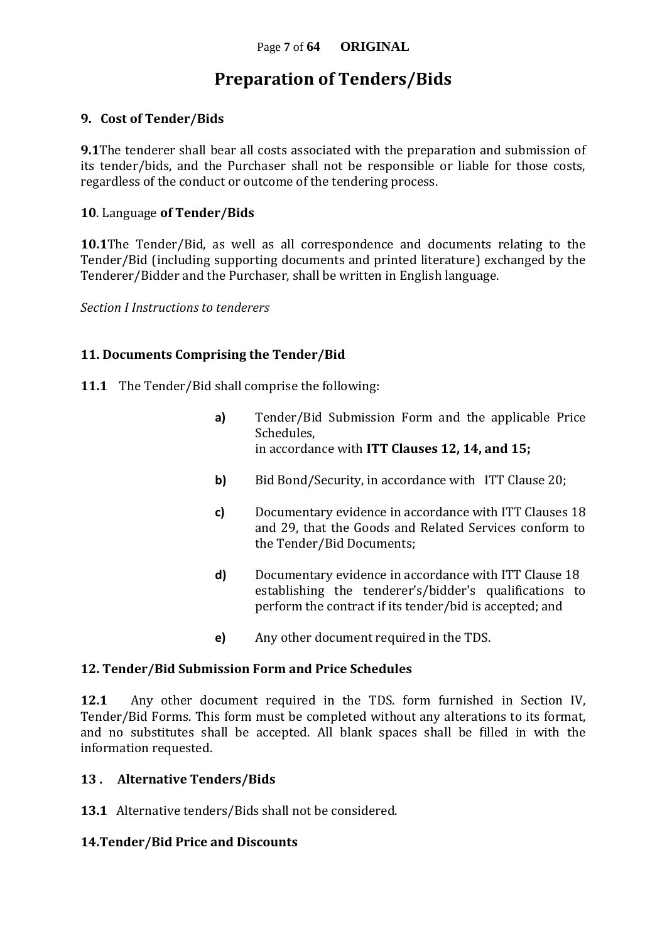## **Preparation of Tenders/Bids**

#### **9. Cost of Tender/Bids**

**9.1**The tenderer shall bear all costs associated with the preparation and submission of its tender/bids, and the Purchaser shall not be responsible or liable for those costs, regardless of the conduct or outcome of the tendering process.

#### **10**. Language **of Tender/Bids**

**10.1**The Tender/Bid, as well as all correspondence and documents relating to the Tender/Bid (including supporting documents and printed literature) exchanged by the Tenderer/Bidder and the Purchaser, shall be written in English language.

*Section I Instructions to tenderers*

#### **11. Documents Comprising the Tender/Bid**

- **11.1** The Tender/Bid shall comprise the following:
	- **a)** Tender/Bid Submission Form and the applicable Price Schedules, in accordance with **ITT Clauses 12, 14, and 15;**
	- **b)** Bid Bond/Security, in accordance with ITT Clause 20;
	- **c)** Documentary evidence in accordance with ITT Clauses 18 and 29, that the Goods and Related Services conform to the Tender/Bid Documents;
	- **d)** Documentary evidence in accordance with ITT Clause 18 establishing the tenderer's/bidder's qualifications to perform the contract if its tender/bid is accepted; and
	- **e)** Any other document required in the TDS.

#### **12. Tender/Bid Submission Form and Price Schedules**

**12.1** Any other document required in the TDS. form furnished in Section IV, Tender/Bid Forms. This form must be completed without any alterations to its format, and no substitutes shall be accepted. All blank spaces shall be filled in with the information requested.

#### **13 . Alternative Tenders/Bids**

**13.1** Alternative tenders/Bids shall not be considered.

#### **14.Tender/Bid Price and Discounts**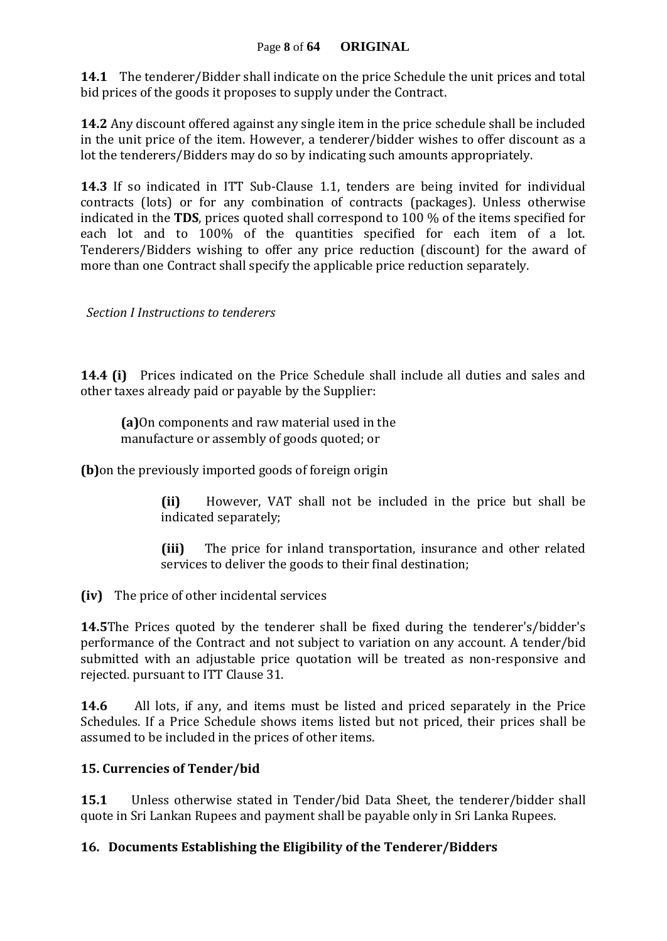#### Page **8** of **64 ORIGINAL**

**14.1** The tenderer/Bidder shall indicate on the price Schedule the unit prices and total bid prices of the goods it proposes to supply under the Contract.

**14.2** Any discount offered against any single item in the price schedule shall be included in the unit price of the item. However, a tenderer/bidder wishes to offer discount as a lot the tenderers/Bidders may do so by indicating such amounts appropriately.

**14.3** If so indicated in ITT Sub-Clause 1.1, tenders are being invited for individual contracts (lots) or for any combination of contracts (packages). Unless otherwise indicated in the **TDS**, prices quoted shall correspond to 100 % of the items specified for each lot and to 100% of the quantities specified for each item of a lot. Tenderers/Bidders wishing to offer any price reduction (discount) for the award of more than one Contract shall specify the applicable price reduction separately.

 *Section I Instructions to tenderers*

**14.4 (i)** Prices indicated on the Price Schedule shall include all duties and sales and other taxes already paid or payable by the Supplier:

**(a)**On components and raw material used in the manufacture or assembly of goods quoted; or

**(b)**on the previously imported goods of foreign origin

**(ii)** However, VAT shall not be included in the price but shall be indicated separately;

**(iii)** The price for inland transportation, insurance and other related services to deliver the goods to their final destination;

**(iv)** The price of other incidental services

**14.5**The Prices quoted by the tenderer shall be fixed during the tenderer's/bidder's performance of the Contract and not subject to variation on any account. A tender/bid submitted with an adjustable price quotation will be treated as non-responsive and rejected. pursuant to ITT Clause 31.

**14.6** All lots, if any, and items must be listed and priced separately in the Price Schedules. If a Price Schedule shows items listed but not priced, their prices shall be assumed to be included in the prices of other items.

#### **15. Currencies of Tender/bid**

**15.1** Unless otherwise stated in Tender/bid Data Sheet, the tenderer/bidder shall quote in Sri Lankan Rupees and payment shall be payable only in Sri Lanka Rupees.

#### **16. Documents Establishing the Eligibility of the Tenderer/Bidders**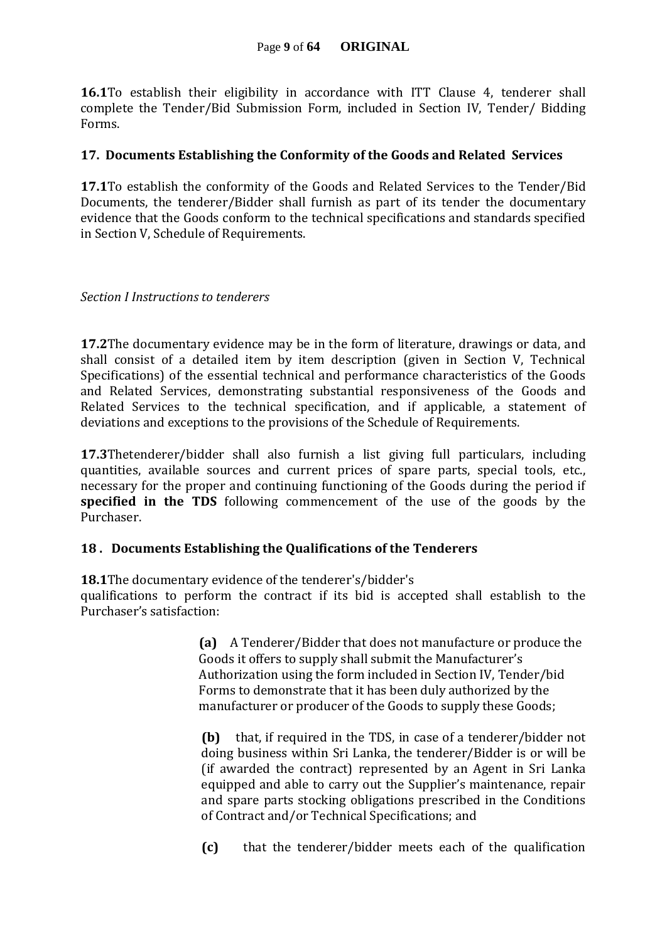**16.1**To establish their eligibility in accordance with ITT Clause 4, tenderer shall complete the Tender/Bid Submission Form, included in Section IV, Tender/ Bidding Forms.

#### **17. Documents Establishing the Conformity of the Goods and Related Services**

**17.1**To establish the conformity of the Goods and Related Services to the Tender/Bid Documents, the tenderer/Bidder shall furnish as part of its tender the documentary evidence that the Goods conform to the technical specifications and standards specified in Section V, Schedule of Requirements.

#### *Section I Instructions to tenderers*

**17.2**The documentary evidence may be in the form of literature, drawings or data, and shall consist of a detailed item by item description (given in Section V, Technical Specifications) of the essential technical and performance characteristics of the Goods and Related Services, demonstrating substantial responsiveness of the Goods and Related Services to the technical specification, and if applicable, a statement of deviations and exceptions to the provisions of the Schedule of Requirements.

**17.3**Thetenderer/bidder shall also furnish a list giving full particulars, including quantities, available sources and current prices of spare parts, special tools, etc., necessary for the proper and continuing functioning of the Goods during the period if **specified in the TDS** following commencement of the use of the goods by the Purchaser.

#### **18 . Documents Establishing the Qualifications of the Tenderers**

**18.1**The documentary evidence of the tenderer's/bidder's

qualifications to perform the contract if its bid is accepted shall establish to the Purchaser's satisfaction:

> **(a)** A Tenderer/Bidder that does not manufacture or produce the Goods it offers to supply shall submit the Manufacturer's Authorization using the form included in Section IV, Tender/bid Forms to demonstrate that it has been duly authorized by the manufacturer or producer of the Goods to supply these Goods;

> **(b)** that, if required in the TDS, in case of a tenderer/bidder not doing business within Sri Lanka, the tenderer/Bidder is or will be (if awarded the contract) represented by an Agent in Sri Lanka equipped and able to carry out the Supplier's maintenance, repair and spare parts stocking obligations prescribed in the Conditions of Contract and/or Technical Specifications; and

> **(c)** that the tenderer/bidder meets each of the qualification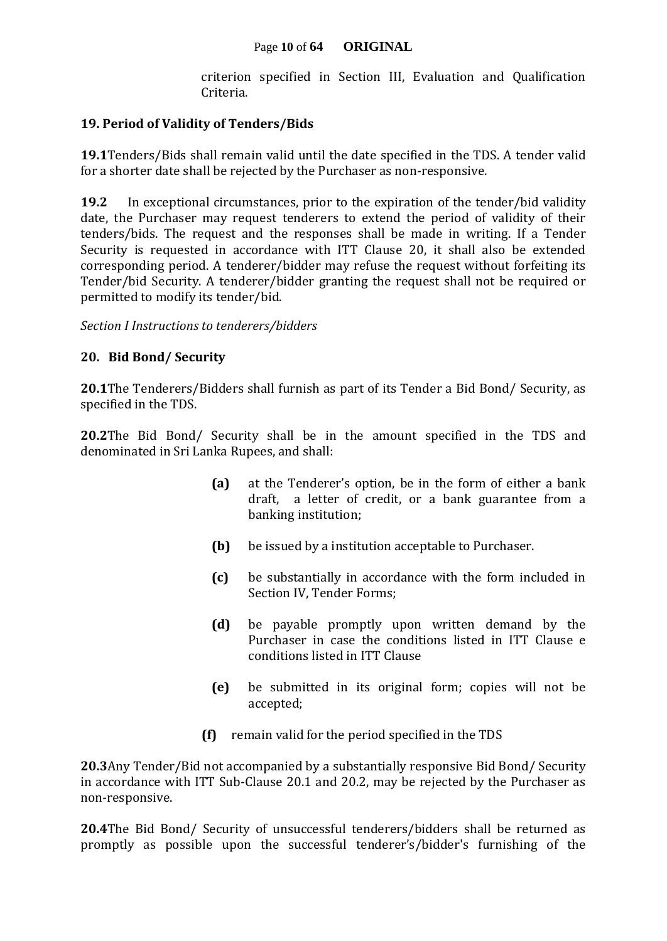criterion specified in Section III, Evaluation and Qualification Criteria.

#### **19. Period of Validity of Tenders/Bids**

**19.1**Tenders/Bids shall remain valid until the date specified in the TDS. A tender valid for a shorter date shall be rejected by the Purchaser as non-responsive.

**19.2** In exceptional circumstances, prior to the expiration of the tender/bid validity date, the Purchaser may request tenderers to extend the period of validity of their tenders/bids. The request and the responses shall be made in writing. If a Tender Security is requested in accordance with ITT Clause 20, it shall also be extended corresponding period. A tenderer/bidder may refuse the request without forfeiting its Tender/bid Security. A tenderer/bidder granting the request shall not be required or permitted to modify its tender/bid.

*Section I Instructions to tenderers/bidders*

#### **20. Bid Bond/ Security**

**20.1**The Tenderers/Bidders shall furnish as part of its Tender a Bid Bond/ Security, as specified in the TDS.

**20.2**The Bid Bond/ Security shall be in the amount specified in the TDS and denominated in Sri Lanka Rupees, and shall:

- **(a)** at the Tenderer's option, be in the form of either a bank draft, a letter of credit, or a bank guarantee from a banking institution;
- **(b)** be issued by a institution acceptable to Purchaser.
- **(c)** be substantially in accordance with the form included in Section IV, Tender Forms;
- **(d)** be payable promptly upon written demand by the Purchaser in case the conditions listed in ITT Clause e conditions listed in ITT Clause
- **(e)** be submitted in its original form; copies will not be accepted;
- **(f)** remain valid for the period specified in the TDS

**20.3**Any Tender/Bid not accompanied by a substantially responsive Bid Bond/ Security in accordance with ITT Sub-Clause 20.1 and 20.2, may be rejected by the Purchaser as non-responsive.

**20.4**The Bid Bond/ Security of unsuccessful tenderers/bidders shall be returned as promptly as possible upon the successful tenderer's/bidder's furnishing of the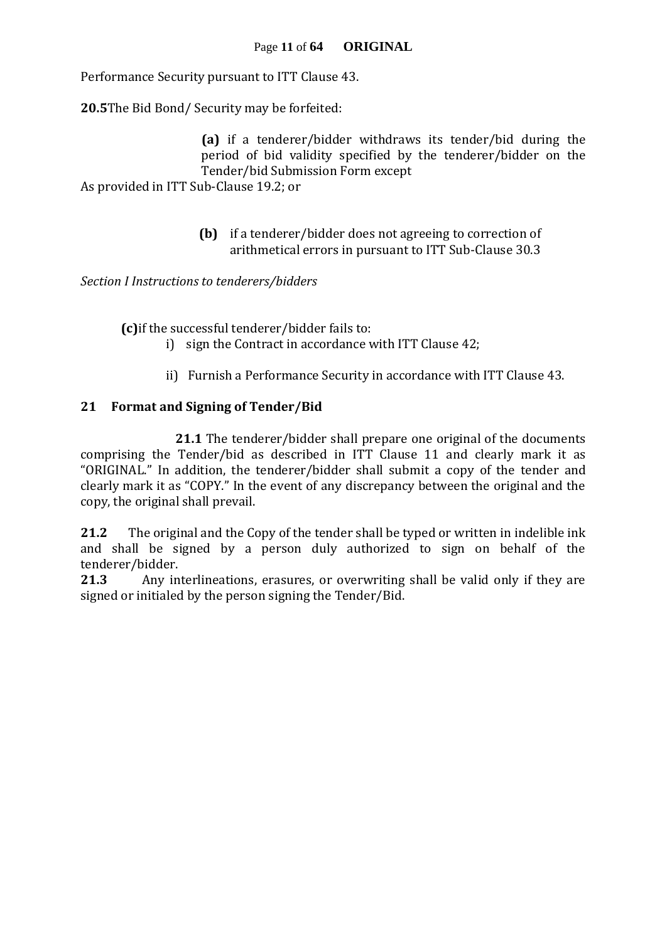Performance Security pursuant to ITT Clause 43.

**20.5**The Bid Bond/ Security may be forfeited:

**(a)** if a tenderer/bidder withdraws its tender/bid during the period of bid validity specified by the tenderer/bidder on the Tender/bid Submission Form except As provided in ITT Sub-Clause 19.2; or

> **(b)** if a tenderer/bidder does not agreeing to correction of arithmetical errors in pursuant to ITT Sub-Clause 30.3

*Section I Instructions to tenderers/bidders*

**(c)**if the successful tenderer/bidder fails to:

- i) sign the Contract in accordance with ITT Clause 42;
- ii) Furnish a Performance Security in accordance with ITT Clause 43.

#### **21 Format and Signing of Tender/Bid**

**21.1** The tenderer/bidder shall prepare one original of the documents comprising the Tender/bid as described in ITT Clause 11 and clearly mark it as "ORIGINAL." In addition, the tenderer/bidder shall submit a copy of the tender and clearly mark it as "COPY." In the event of any discrepancy between the original and the copy, the original shall prevail.

**21.2** The original and the Copy of the tender shall be typed or written in indelible ink and shall be signed by a person duly authorized to sign on behalf of the tenderer/bidder.

**21.3** Any interlineations, erasures, or overwriting shall be valid only if they are signed or initialed by the person signing the Tender/Bid.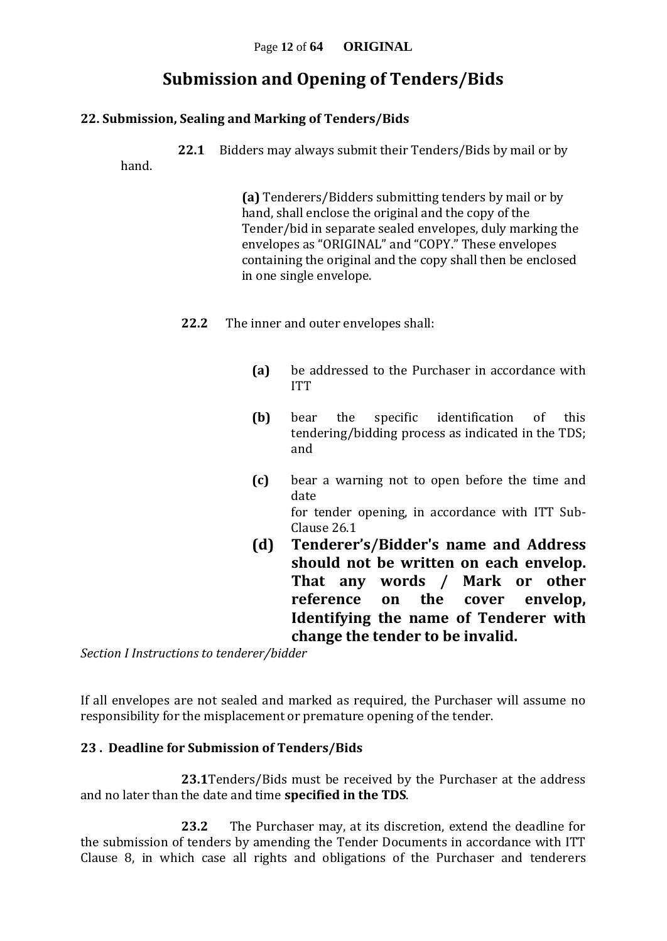## **Submission and Opening of Tenders/Bids**

#### **22. Submission, Sealing and Marking of Tenders/Bids**

**22.1** Bidders may always submit their Tenders/Bids by mail or by

hand.

**(a)** Tenderers/Bidders submitting tenders by mail or by hand, shall enclose the original and the copy of the Tender/bid in separate sealed envelopes, duly marking the envelopes as "ORIGINAL" and "COPY." These envelopes containing the original and the copy shall then be enclosed in one single envelope.

- **22.2** The inner and outer envelopes shall:
	- **(a)** be addressed to the Purchaser in accordance with ITT
	- **(b)** bear the specific identification of this tendering/bidding process as indicated in the TDS; and
	- **(c)** bear a warning not to open before the time and date for tender opening, in accordance with ITT Sub-Clause 26.1
	- **(d) Tenderer's/Bidder's name and Address should not be written on each envelop. That any words / Mark or other reference on the cover envelop, Identifying the name of Tenderer with change the tender to be invalid.**

*Section I Instructions to tenderer/bidder*

If all envelopes are not sealed and marked as required, the Purchaser will assume no responsibility for the misplacement or premature opening of the tender.

#### **23 . Deadline for Submission of Tenders/Bids**

**23.1**Tenders/Bids must be received by the Purchaser at the address and no later than the date and time **specified in the TDS**.

**23.2** The Purchaser may, at its discretion, extend the deadline for the submission of tenders by amending the Tender Documents in accordance with ITT Clause 8, in which case all rights and obligations of the Purchaser and tenderers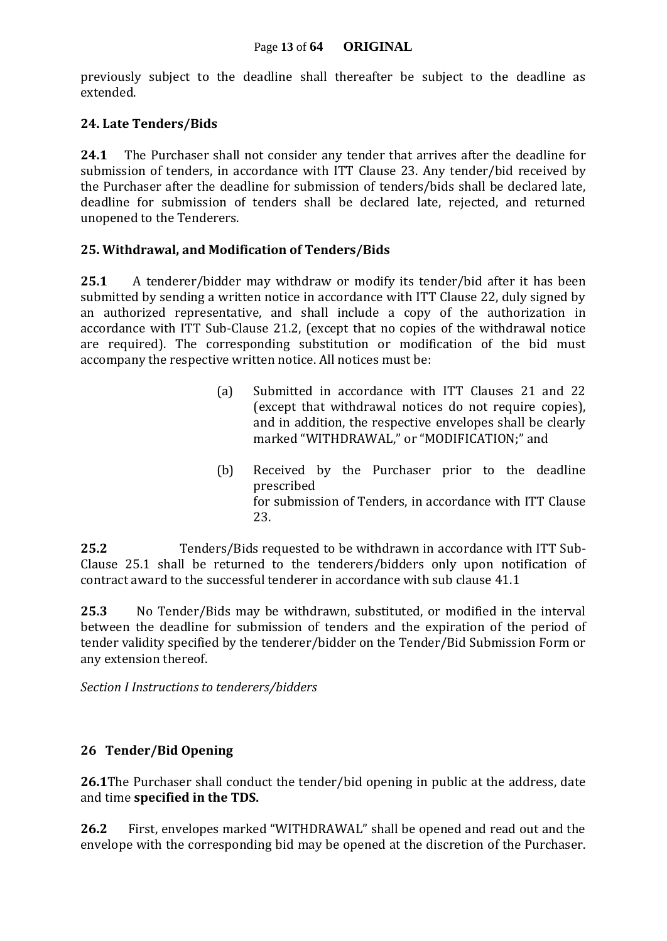previously subject to the deadline shall thereafter be subject to the deadline as extended.

#### **24. Late Tenders/Bids**

**24.1** The Purchaser shall not consider any tender that arrives after the deadline for submission of tenders, in accordance with ITT Clause 23. Any tender/bid received by the Purchaser after the deadline for submission of tenders/bids shall be declared late, deadline for submission of tenders shall be declared late, rejected, and returned unopened to the Tenderers.

#### **25. Withdrawal, and Modification of Tenders/Bids**

**25.1** A tenderer/bidder may withdraw or modify its tender/bid after it has been submitted by sending a written notice in accordance with ITT Clause 22, duly signed by an authorized representative, and shall include a copy of the authorization in accordance with ITT Sub-Clause 21.2, (except that no copies of the withdrawal notice are required). The corresponding substitution or modification of the bid must accompany the respective written notice. All notices must be:

- (a) Submitted in accordance with ITT Clauses 21 and 22 (except that withdrawal notices do not require copies), and in addition, the respective envelopes shall be clearly marked "WITHDRAWAL," or "MODIFICATION;" and
- (b) Received by the Purchaser prior to the deadline prescribed for submission of Tenders, in accordance with ITT Clause 23.

**25.2** Tenders/Bids requested to be withdrawn in accordance with ITT Sub-Clause 25.1 shall be returned to the tenderers/bidders only upon notification of contract award to the successful tenderer in accordance with sub clause 41.1

**25.3** No Tender/Bids may be withdrawn, substituted, or modified in the interval between the deadline for submission of tenders and the expiration of the period of tender validity specified by the tenderer/bidder on the Tender/Bid Submission Form or any extension thereof.

*Section I Instructions to tenderers/bidders*

#### **26 Tender/Bid Opening**

**26.1**The Purchaser shall conduct the tender/bid opening in public at the address, date and time **specified in the TDS.**

**26.2** First, envelopes marked "WITHDRAWAL" shall be opened and read out and the envelope with the corresponding bid may be opened at the discretion of the Purchaser.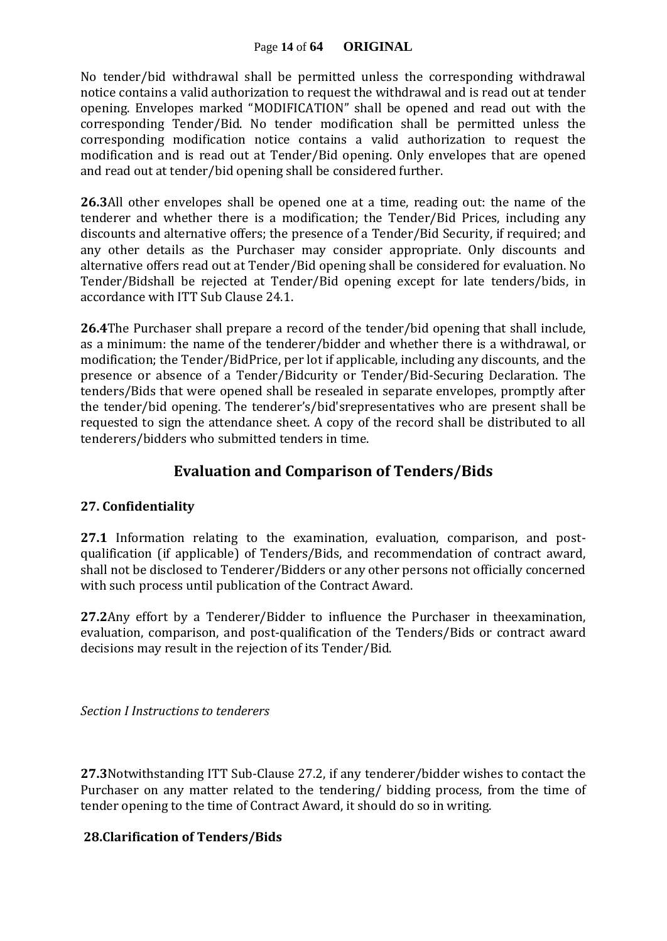#### Page **14** of **64 ORIGINAL**

No tender/bid withdrawal shall be permitted unless the corresponding withdrawal notice contains a valid authorization to request the withdrawal and is read out at tender opening. Envelopes marked "MODIFICATION" shall be opened and read out with the corresponding Tender/Bid. No tender modification shall be permitted unless the corresponding modification notice contains a valid authorization to request the modification and is read out at Tender/Bid opening. Only envelopes that are opened and read out at tender/bid opening shall be considered further.

**26.3**All other envelopes shall be opened one at a time, reading out: the name of the tenderer and whether there is a modification; the Tender/Bid Prices, including any discounts and alternative offers; the presence of a Tender/Bid Security, if required; and any other details as the Purchaser may consider appropriate. Only discounts and alternative offers read out at Tender/Bid opening shall be considered for evaluation. No Tender/Bidshall be rejected at Tender/Bid opening except for late tenders/bids, in accordance with ITT Sub Clause 24.1.

**26.4**The Purchaser shall prepare a record of the tender/bid opening that shall include, as a minimum: the name of the tenderer/bidder and whether there is a withdrawal, or modification; the Tender/BidPrice, per lot if applicable, including any discounts, and the presence or absence of a Tender/Bidcurity or Tender/Bid-Securing Declaration. The tenders/Bids that were opened shall be resealed in separate envelopes, promptly after the tender/bid opening. The tenderer's/bid'srepresentatives who are present shall be requested to sign the attendance sheet. A copy of the record shall be distributed to all tenderers/bidders who submitted tenders in time.

### **Evaluation and Comparison of Tenders/Bids**

#### **27. Confidentiality**

**27.1** Information relating to the examination, evaluation, comparison, and postqualification (if applicable) of Tenders/Bids, and recommendation of contract award, shall not be disclosed to Tenderer/Bidders or any other persons not officially concerned with such process until publication of the Contract Award.

**27.2**Any effort by a Tenderer/Bidder to influence the Purchaser in theexamination, evaluation, comparison, and post-qualification of the Tenders/Bids or contract award decisions may result in the rejection of its Tender/Bid.

*Section I Instructions to tenderers*

**27.3**Notwithstanding ITT Sub-Clause 27.2, if any tenderer/bidder wishes to contact the Purchaser on any matter related to the tendering/ bidding process, from the time of tender opening to the time of Contract Award, it should do so in writing.

#### **28.Clarification of Tenders/Bids**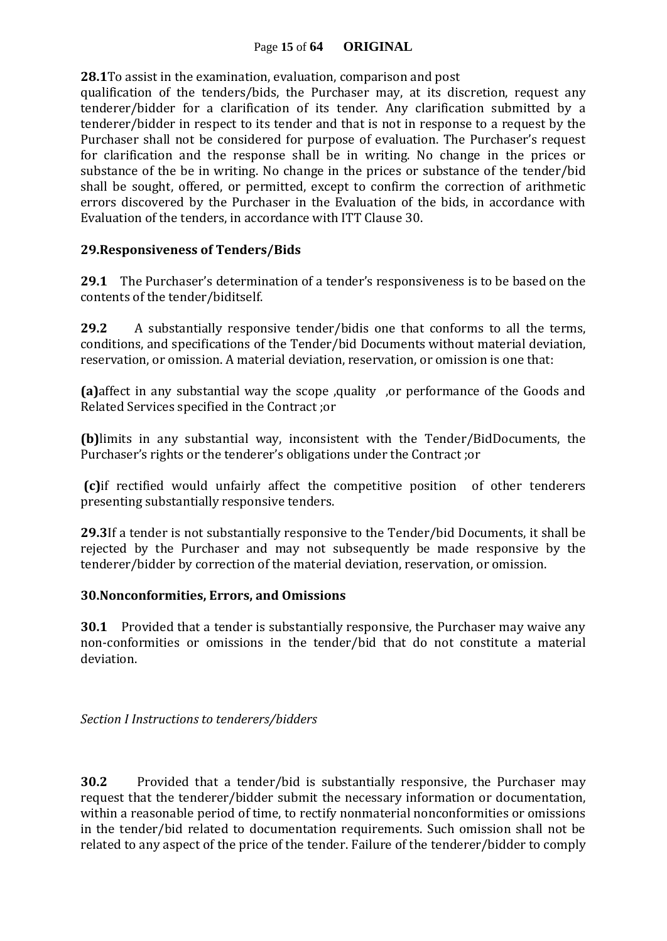#### Page **15** of **64 ORIGINAL**

**28.1**To assist in the examination, evaluation, comparison and post

qualification of the tenders/bids, the Purchaser may, at its discretion, request any tenderer/bidder for a clarification of its tender. Any clarification submitted by a tenderer/bidder in respect to its tender and that is not in response to a request by the Purchaser shall not be considered for purpose of evaluation. The Purchaser's request for clarification and the response shall be in writing. No change in the prices or substance of the be in writing. No change in the prices or substance of the tender/bid shall be sought, offered, or permitted, except to confirm the correction of arithmetic errors discovered by the Purchaser in the Evaluation of the bids, in accordance with Evaluation of the tenders, in accordance with ITT Clause 30.

#### **29.Responsiveness of Tenders/Bids**

**29.1** The Purchaser's determination of a tender's responsiveness is to be based on the contents of the tender/biditself.

**29.2** A substantially responsive tender/bidis one that conforms to all the terms, conditions, and specifications of the Tender/bid Documents without material deviation, reservation, or omission. A material deviation, reservation, or omission is one that:

**(a)**affect in any substantial way the scope ,quality ,or performance of the Goods and Related Services specified in the Contract ;or

**(b)**limits in any substantial way, inconsistent with the Tender/BidDocuments, the Purchaser's rights or the tenderer's obligations under the Contract ;or

**(c)**if rectified would unfairly affect the competitive position of other tenderers presenting substantially responsive tenders.

**29.3**If a tender is not substantially responsive to the Tender/bid Documents, it shall be rejected by the Purchaser and may not subsequently be made responsive by the tenderer/bidder by correction of the material deviation, reservation, or omission.

#### **30.Nonconformities, Errors, and Omissions**

**30.1** Provided that a tender is substantially responsive, the Purchaser may waive any non-conformities or omissions in the tender/bid that do not constitute a material deviation.

*Section I Instructions to tenderers/bidders*

**30.2** Provided that a tender/bid is substantially responsive, the Purchaser may request that the tenderer/bidder submit the necessary information or documentation, within a reasonable period of time, to rectify nonmaterial nonconformities or omissions in the tender/bid related to documentation requirements. Such omission shall not be related to any aspect of the price of the tender. Failure of the tenderer/bidder to comply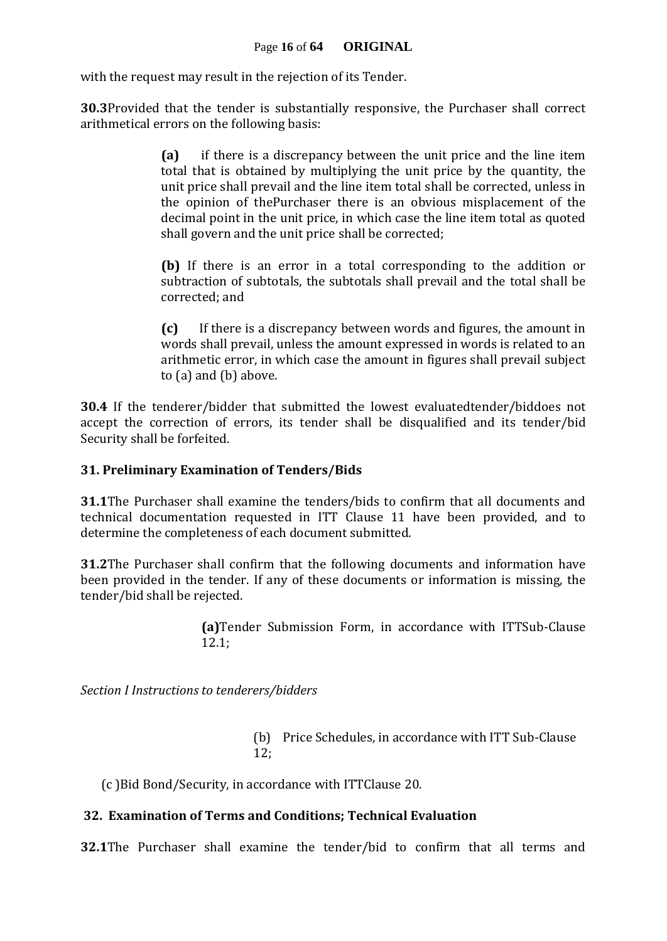with the request may result in the rejection of its Tender.

**30.3**Provided that the tender is substantially responsive, the Purchaser shall correct arithmetical errors on the following basis:

> **(a)** if there is a discrepancy between the unit price and the line item total that is obtained by multiplying the unit price by the quantity, the unit price shall prevail and the line item total shall be corrected, unless in the opinion of thePurchaser there is an obvious misplacement of the decimal point in the unit price, in which case the line item total as quoted shall govern and the unit price shall be corrected;

> **(b)** If there is an error in a total corresponding to the addition or subtraction of subtotals, the subtotals shall prevail and the total shall be corrected; and

> **(c)** If there is a discrepancy between words and figures, the amount in words shall prevail, unless the amount expressed in words is related to an arithmetic error, in which case the amount in figures shall prevail subject to (a) and (b) above.

**30.4** If the tenderer/bidder that submitted the lowest evaluatedtender/biddoes not accept the correction of errors, its tender shall be disqualified and its tender/bid Security shall be forfeited.

#### **31. Preliminary Examination of Tenders/Bids**

**31.1**The Purchaser shall examine the tenders/bids to confirm that all documents and technical documentation requested in ITT Clause 11 have been provided, and to determine the completeness of each document submitted.

**31.2**The Purchaser shall confirm that the following documents and information have been provided in the tender. If any of these documents or information is missing, the tender/bid shall be rejected.

> **(a)**Tender Submission Form, in accordance with ITTSub-Clause 12.1;

*Section I Instructions to tenderers/bidders*

(b) Price Schedules, in accordance with ITT Sub-Clause 12;

(c )Bid Bond/Security, in accordance with ITTClause 20.

#### **32. Examination of Terms and Conditions; Technical Evaluation**

**32.1**The Purchaser shall examine the tender/bid to confirm that all terms and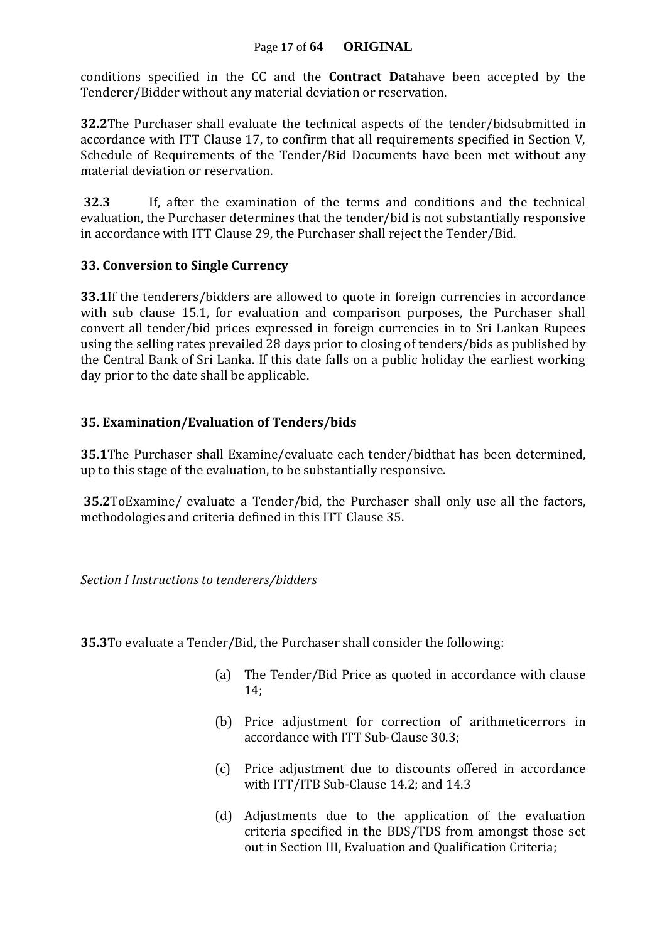#### Page **17** of **64 ORIGINAL**

conditions specified in the CC and the **Contract Data**have been accepted by the Tenderer/Bidder without any material deviation or reservation.

**32.2**The Purchaser shall evaluate the technical aspects of the tender/bidsubmitted in accordance with ITT Clause 17, to confirm that all requirements specified in Section V, Schedule of Requirements of the Tender/Bid Documents have been met without any material deviation or reservation.

**32.3** If, after the examination of the terms and conditions and the technical evaluation, the Purchaser determines that the tender/bid is not substantially responsive in accordance with ITT Clause 29, the Purchaser shall reject the Tender/Bid.

#### **33. Conversion to Single Currency**

**33.1**If the tenderers/bidders are allowed to quote in foreign currencies in accordance with sub clause 15.1, for evaluation and comparison purposes, the Purchaser shall convert all tender/bid prices expressed in foreign currencies in to Sri Lankan Rupees using the selling rates prevailed 28 days prior to closing of tenders/bids as published by the Central Bank of Sri Lanka. If this date falls on a public holiday the earliest working day prior to the date shall be applicable.

#### **35. Examination/Evaluation of Tenders/bids**

**35.1**The Purchaser shall Examine/evaluate each tender/bidthat has been determined, up to this stage of the evaluation, to be substantially responsive.

**35.2**ToExamine/ evaluate a Tender/bid, the Purchaser shall only use all the factors, methodologies and criteria defined in this ITT Clause 35.

*Section I Instructions to tenderers/bidders*

**35.3**To evaluate a Tender/Bid, the Purchaser shall consider the following:

- (a) The Tender/Bid Price as quoted in accordance with clause 14;
- (b) Price adjustment for correction of arithmeticerrors in accordance with ITT Sub-Clause 30.3;
- (c) Price adjustment due to discounts offered in accordance with ITT/ITB Sub-Clause 14.2; and 14.3
- (d) Adjustments due to the application of the evaluation criteria specified in the BDS/TDS from amongst those set out in Section III, Evaluation and Qualification Criteria;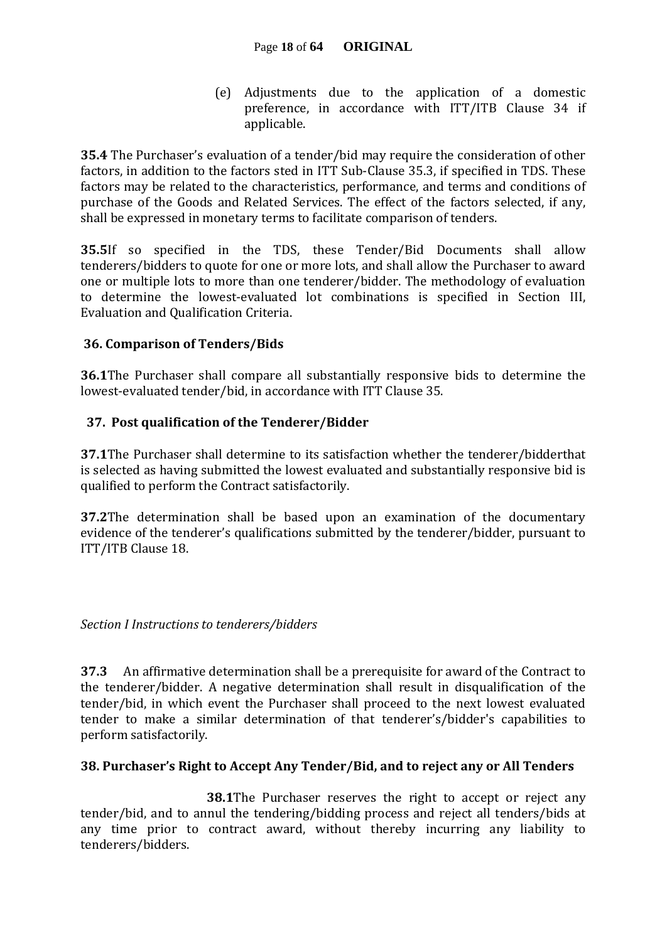(e) Adjustments due to the application of a domestic preference, in accordance with ITT/ITB Clause 34 if applicable.

**35.4** The Purchaser's evaluation of a tender/bid may require the consideration of other factors, in addition to the factors sted in ITT Sub-Clause 35.3, if specified in TDS. These factors may be related to the characteristics, performance, and terms and conditions of purchase of the Goods and Related Services. The effect of the factors selected, if any, shall be expressed in monetary terms to facilitate comparison of tenders.

**35.5**If so specified in the TDS, these Tender/Bid Documents shall allow tenderers/bidders to quote for one or more lots, and shall allow the Purchaser to award one or multiple lots to more than one tenderer/bidder. The methodology of evaluation to determine the lowest-evaluated lot combinations is specified in Section III, Evaluation and Qualification Criteria.

### **36. Comparison of Tenders/Bids**

**36.1**The Purchaser shall compare all substantially responsive bids to determine the lowest-evaluated tender/bid, in accordance with ITT Clause 35.

#### **37. Post qualification of the Tenderer/Bidder**

**37.1**The Purchaser shall determine to its satisfaction whether the tenderer/bidderthat is selected as having submitted the lowest evaluated and substantially responsive bid is qualified to perform the Contract satisfactorily.

**37.2**The determination shall be based upon an examination of the documentary evidence of the tenderer's qualifications submitted by the tenderer/bidder, pursuant to ITT/ITB Clause 18.

*Section I Instructions to tenderers/bidders*

**37.3** An affirmative determination shall be a prerequisite for award of the Contract to the tenderer/bidder. A negative determination shall result in disqualification of the tender/bid, in which event the Purchaser shall proceed to the next lowest evaluated tender to make a similar determination of that tenderer's/bidder's capabilities to perform satisfactorily.

#### **38. Purchaser's Right to Accept Any Tender/Bid, and to reject any or All Tenders**

 **38.1**The Purchaser reserves the right to accept or reject any tender/bid, and to annul the tendering/bidding process and reject all tenders/bids at any time prior to contract award, without thereby incurring any liability to tenderers/bidders.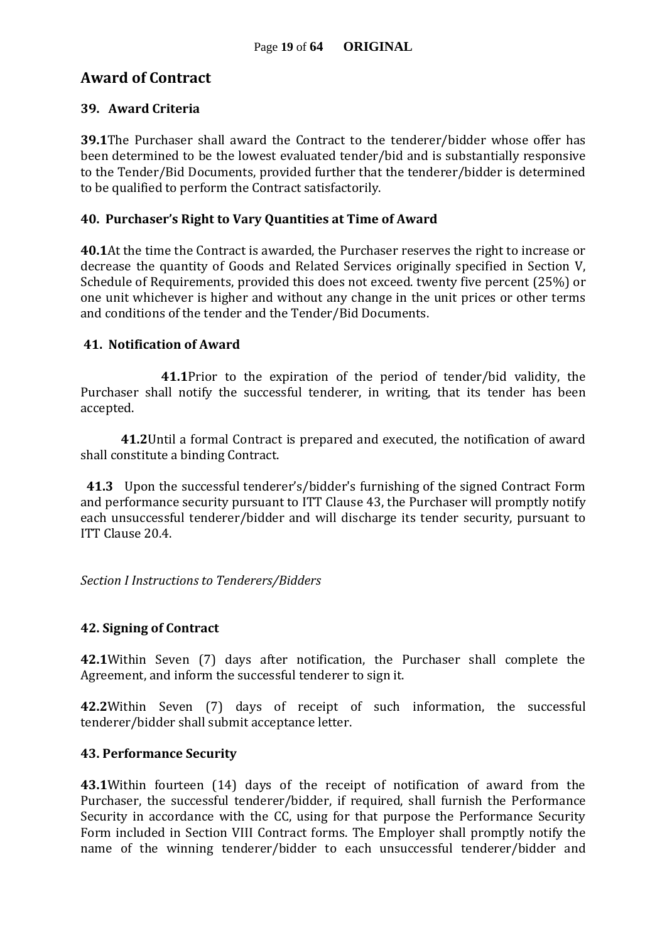### **Award of Contract**

#### **39. Award Criteria**

**39.1**The Purchaser shall award the Contract to the tenderer/bidder whose offer has been determined to be the lowest evaluated tender/bid and is substantially responsive to the Tender/Bid Documents, provided further that the tenderer/bidder is determined to be qualified to perform the Contract satisfactorily.

#### **40. Purchaser's Right to Vary Quantities at Time of Award**

**40.1**At the time the Contract is awarded, the Purchaser reserves the right to increase or decrease the quantity of Goods and Related Services originally specified in Section V, Schedule of Requirements, provided this does not exceed. twenty five percent (25%) or one unit whichever is higher and without any change in the unit prices or other terms and conditions of the tender and the Tender/Bid Documents.

#### **41. Notification of Award**

**41.1**Prior to the expiration of the period of tender/bid validity, the Purchaser shall notify the successful tenderer, in writing, that its tender has been accepted.

**41.2**Until a formal Contract is prepared and executed, the notification of award shall constitute a binding Contract.

 **41.3** Upon the successful tenderer's/bidder's furnishing of the signed Contract Form and performance security pursuant to ITT Clause 43, the Purchaser will promptly notify each unsuccessful tenderer/bidder and will discharge its tender security, pursuant to ITT Clause 20.4.

*Section I Instructions to Tenderers/Bidders*

#### **42. Signing of Contract**

**42.1**Within Seven (7) days after notification, the Purchaser shall complete the Agreement, and inform the successful tenderer to sign it.

**42.2**Within Seven (7) days of receipt of such information, the successful tenderer/bidder shall submit acceptance letter.

#### **43. Performance Security**

**43.1**Within fourteen (14) days of the receipt of notification of award from the Purchaser, the successful tenderer/bidder, if required, shall furnish the Performance Security in accordance with the CC, using for that purpose the Performance Security Form included in Section VIII Contract forms. The Employer shall promptly notify the name of the winning tenderer/bidder to each unsuccessful tenderer/bidder and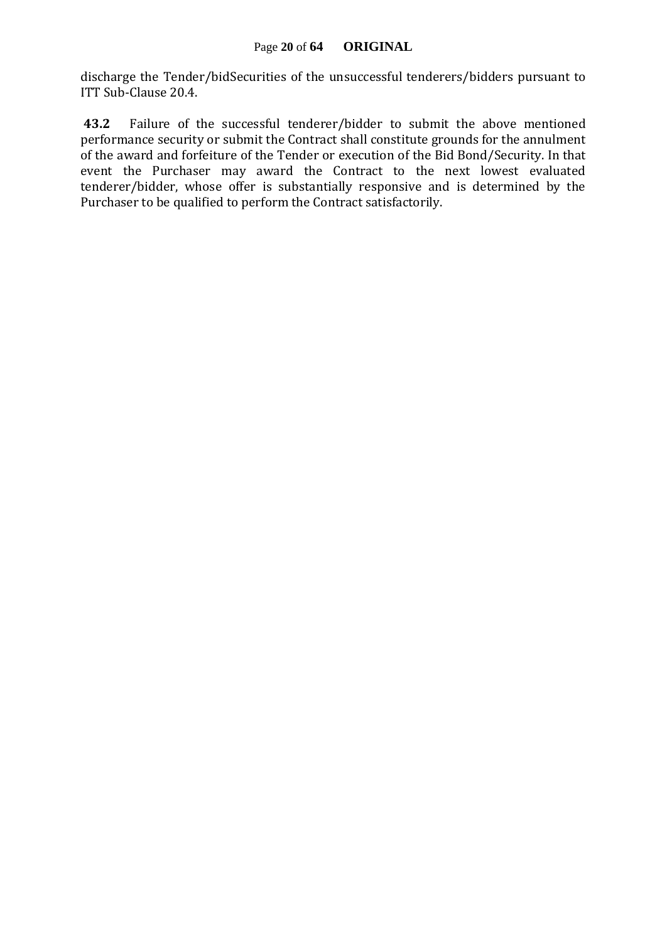discharge the Tender/bidSecurities of the unsuccessful tenderers/bidders pursuant to ITT Sub-Clause 20.4.

**43.2** Failure of the successful tenderer/bidder to submit the above mentioned performance security or submit the Contract shall constitute grounds for the annulment of the award and forfeiture of the Tender or execution of the Bid Bond/Security. In that event the Purchaser may award the Contract to the next lowest evaluated tenderer/bidder, whose offer is substantially responsive and is determined by the Purchaser to be qualified to perform the Contract satisfactorily.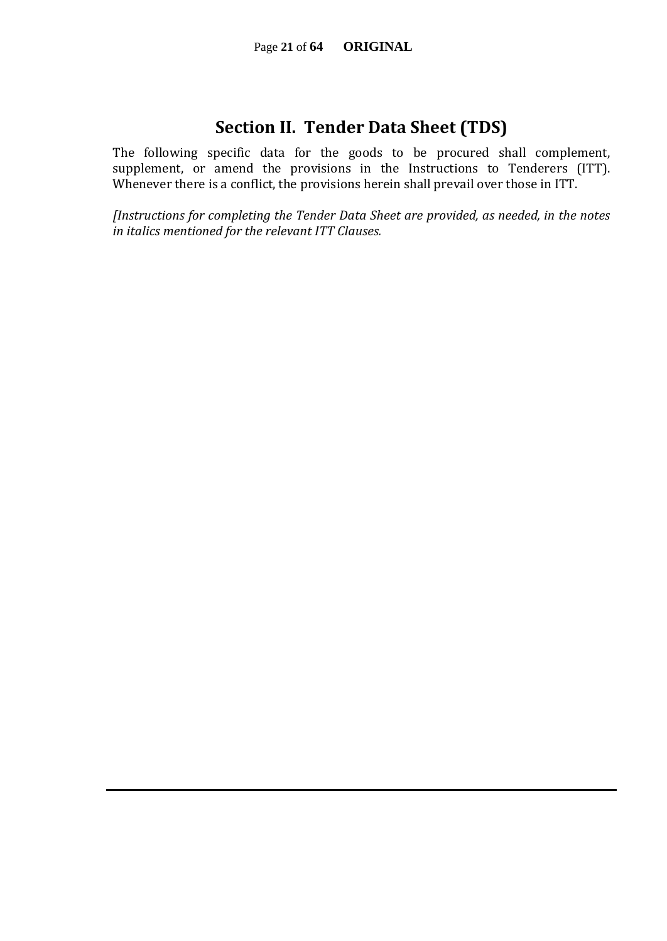## **Section II. Tender Data Sheet (TDS)**

The following specific data for the goods to be procured shall complement, supplement, or amend the provisions in the Instructions to Tenderers (ITT). Whenever there is a conflict, the provisions herein shall prevail over those in ITT.

*[Instructions for completing the Tender Data Sheet are provided, as needed, in the notes in italics mentioned for the relevant ITT Clauses.*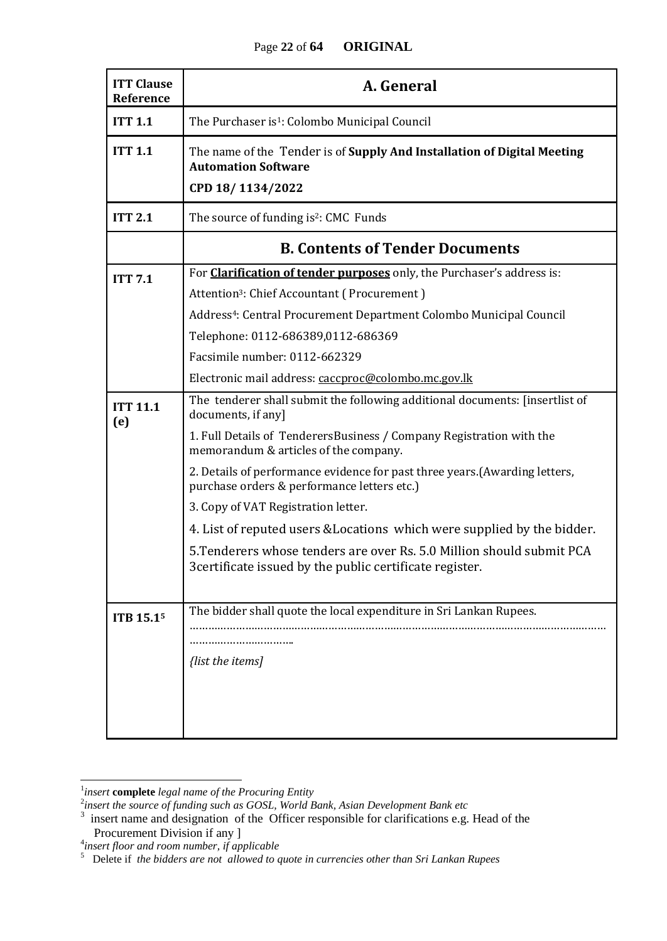#### Page **22** of **64 ORIGINAL**

| <b>ITT Clause</b><br>Reference | A. General                                                                                                                                                                                                                                                                                                                                                                                                                                                                                                                                                                                              |  |  |  |  |  |
|--------------------------------|---------------------------------------------------------------------------------------------------------------------------------------------------------------------------------------------------------------------------------------------------------------------------------------------------------------------------------------------------------------------------------------------------------------------------------------------------------------------------------------------------------------------------------------------------------------------------------------------------------|--|--|--|--|--|
| <b>ITT 1.1</b>                 | The Purchaser is <sup>1</sup> : Colombo Municipal Council                                                                                                                                                                                                                                                                                                                                                                                                                                                                                                                                               |  |  |  |  |  |
| <b>ITT 1.1</b>                 | The name of the Tender is of Supply And Installation of Digital Meeting<br><b>Automation Software</b><br>CPD 18/1134/2022                                                                                                                                                                                                                                                                                                                                                                                                                                                                               |  |  |  |  |  |
| <b>ITT 2.1</b>                 | The source of funding is <sup>2</sup> : CMC Funds                                                                                                                                                                                                                                                                                                                                                                                                                                                                                                                                                       |  |  |  |  |  |
|                                | <b>B. Contents of Tender Documents</b>                                                                                                                                                                                                                                                                                                                                                                                                                                                                                                                                                                  |  |  |  |  |  |
| <b>ITT 7.1</b>                 | For <b>Clarification of tender purposes</b> only, the Purchaser's address is:<br>Attention <sup>3</sup> : Chief Accountant (Procurement)<br>Address <sup>4</sup> : Central Procurement Department Colombo Municipal Council<br>Telephone: 0112-686389,0112-686369<br>Facsimile number: 0112-662329<br>Electronic mail address: caccproc@colombo.mc.gov.lk                                                                                                                                                                                                                                               |  |  |  |  |  |
| <b>ITT 11.1</b><br>(e)         | The tenderer shall submit the following additional documents: [insertlist of<br>documents, if any]<br>1. Full Details of TenderersBusiness / Company Registration with the<br>memorandum & articles of the company.<br>2. Details of performance evidence for past three years. (Awarding letters,<br>purchase orders & performance letters etc.)<br>3. Copy of VAT Registration letter.<br>4. List of reputed users & Locations which were supplied by the bidder.<br>5. Tenderers whose tenders are over Rs. 5.0 Million should submit PCA<br>3certificate issued by the public certificate register. |  |  |  |  |  |
| ITB 15.15                      | The bidder shall quote the local expenditure in Sri Lankan Rupees.<br>{list the items]                                                                                                                                                                                                                                                                                                                                                                                                                                                                                                                  |  |  |  |  |  |

 $\frac{1}{2}$ <br>insert **complete** legal name of the Procuring Entity<br> $\frac{2}{3}$  insert the source of funding such as GOSL, World Bank, Asian Development Bank etc<br> $\frac{3}{3}$  insert name and designation of the Officer responsible f Procurement Division if any ]

<sup>&</sup>lt;sup>4</sup>insert floor and room number, if applicable<br><sup>5</sup> Delete if *the bidders are not allowed to quote in currencies other than Sri Lankan Rupees*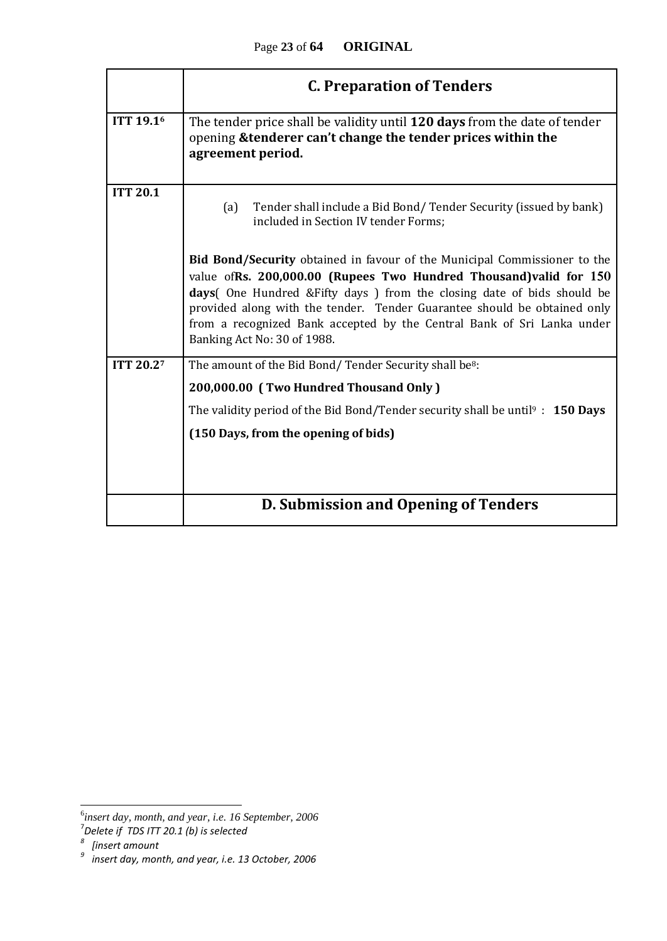|                  | <b>C. Preparation of Tenders</b>                                                                                                                                                                                                                                                                                                                                                                                         |  |  |  |  |  |  |  |  |
|------------------|--------------------------------------------------------------------------------------------------------------------------------------------------------------------------------------------------------------------------------------------------------------------------------------------------------------------------------------------------------------------------------------------------------------------------|--|--|--|--|--|--|--|--|
| <b>ITT 19.16</b> | The tender price shall be validity until 120 days from the date of tender<br>opening & tenderer can't change the tender prices within the<br>agreement period.                                                                                                                                                                                                                                                           |  |  |  |  |  |  |  |  |
| <b>ITT 20.1</b>  | Tender shall include a Bid Bond/Tender Security (issued by bank)<br>(a)<br>included in Section IV tender Forms;                                                                                                                                                                                                                                                                                                          |  |  |  |  |  |  |  |  |
|                  | <b>Bid Bond/Security</b> obtained in favour of the Municipal Commissioner to the<br>value of Rs. 200,000.00 (Rupees Two Hundred Thousand) valid for 150<br>days( One Hundred & Fifty days ) from the closing date of bids should be<br>provided along with the tender. Tender Guarantee should be obtained only<br>from a recognized Bank accepted by the Central Bank of Sri Lanka under<br>Banking Act No: 30 of 1988. |  |  |  |  |  |  |  |  |
| <b>ITT 20.27</b> | The amount of the Bid Bond/Tender Security shall be <sup>8</sup> :<br>200,000.00 (Two Hundred Thousand Only)                                                                                                                                                                                                                                                                                                             |  |  |  |  |  |  |  |  |
|                  | The validity period of the Bid Bond/Tender security shall be until <sup>9</sup> : <b>150 Days</b><br>(150 Days, from the opening of bids)                                                                                                                                                                                                                                                                                |  |  |  |  |  |  |  |  |
|                  | D. Submission and Opening of Tenders                                                                                                                                                                                                                                                                                                                                                                                     |  |  |  |  |  |  |  |  |

<sup>&</sup>lt;sup>6</sup><br><sup>5</sup>insert day, month, and year, i.e. 16 September, 2006<sup>7</sup><br><sup>8</sup> [insert amount<br><sup>9</sup> insert day, month, and year, i.e. 13 October, 2006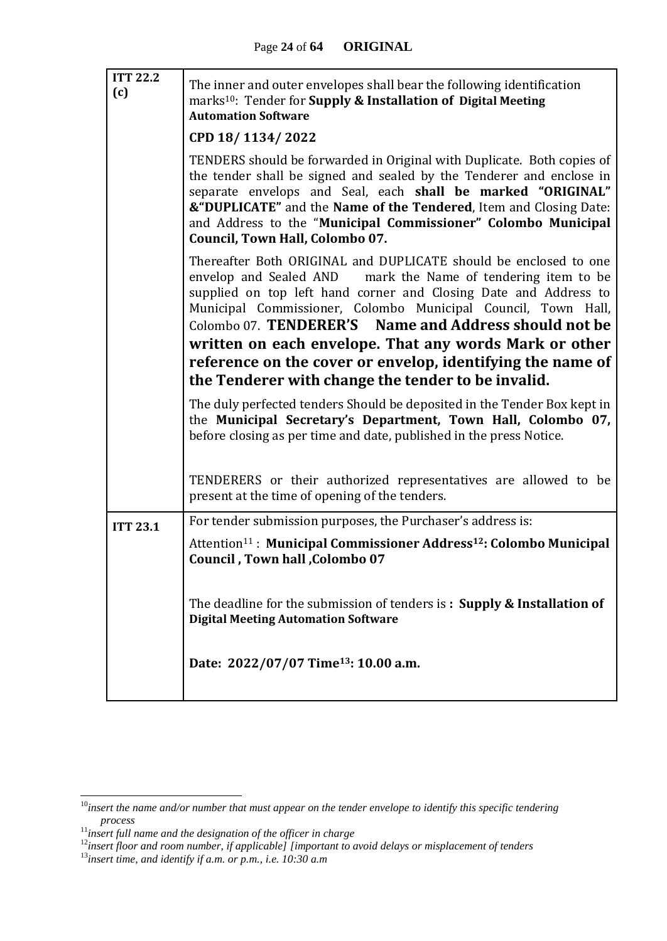| <b>ITT 22.2</b><br>(c) | The inner and outer envelopes shall bear the following identification<br>marks <sup>10</sup> : Tender for <b>Supply &amp; Installation of Digital Meeting</b><br><b>Automation Software</b>                                                                                                                                                                                            |  |  |  |  |
|------------------------|----------------------------------------------------------------------------------------------------------------------------------------------------------------------------------------------------------------------------------------------------------------------------------------------------------------------------------------------------------------------------------------|--|--|--|--|
|                        | CPD 18/1134/2022                                                                                                                                                                                                                                                                                                                                                                       |  |  |  |  |
|                        | TENDERS should be forwarded in Original with Duplicate. Both copies of<br>the tender shall be signed and sealed by the Tenderer and enclose in<br>separate envelops and Seal, each shall be marked "ORIGINAL"<br>&"DUPLICATE" and the Name of the Tendered, Item and Closing Date:<br>and Address to the "Municipal Commissioner" Colombo Municipal<br>Council, Town Hall, Colombo 07. |  |  |  |  |
|                        | Thereafter Both ORIGINAL and DUPLICATE should be enclosed to one<br>envelop and Sealed AND mark the Name of tendering item to be<br>supplied on top left hand corner and Closing Date and Address to<br>Municipal Commissioner, Colombo Municipal Council, Town Hall,<br>Colombo 07. TENDERER'S Name and Address should not be                                                         |  |  |  |  |
|                        | written on each envelope. That any words Mark or other                                                                                                                                                                                                                                                                                                                                 |  |  |  |  |
|                        | reference on the cover or envelop, identifying the name of                                                                                                                                                                                                                                                                                                                             |  |  |  |  |
|                        | the Tenderer with change the tender to be invalid.                                                                                                                                                                                                                                                                                                                                     |  |  |  |  |
|                        | The duly perfected tenders Should be deposited in the Tender Box kept in<br>the Municipal Secretary's Department, Town Hall, Colombo 07,<br>before closing as per time and date, published in the press Notice.                                                                                                                                                                        |  |  |  |  |
|                        | TENDERERS or their authorized representatives are allowed to be<br>present at the time of opening of the tenders.                                                                                                                                                                                                                                                                      |  |  |  |  |
| <b>ITT 23.1</b>        | For tender submission purposes, the Purchaser's address is:                                                                                                                                                                                                                                                                                                                            |  |  |  |  |
|                        | Attention <sup>11</sup> : Municipal Commissioner Address <sup>12</sup> : Colombo Municipal<br>Council, Town hall, Colombo 07                                                                                                                                                                                                                                                           |  |  |  |  |
|                        | The deadline for the submission of tenders is: Supply & Installation of<br><b>Digital Meeting Automation Software</b>                                                                                                                                                                                                                                                                  |  |  |  |  |
|                        | Date: 2022/07/07 Time <sup>13</sup> : 10.00 a.m.                                                                                                                                                                                                                                                                                                                                       |  |  |  |  |

1

<sup>10</sup>*insert the name and/or number that must appear on the tender envelope to identify this specific tendering process*

<sup>11</sup>*insert full name and the designation of the officer in charge*

<sup>12</sup>*insert floor and room number, if applicable] [important to avoid delays or misplacement of tenders*

<sup>13</sup>*insert time, and identify if a.m. or p.m., i.e. 10:30 a.m*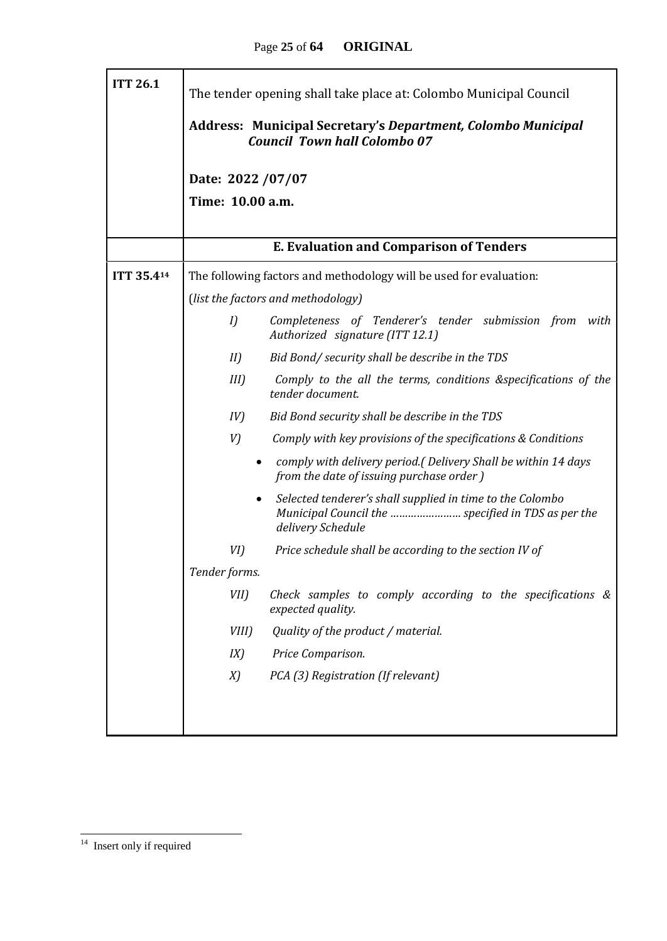| <b>ITT 26.1</b> | The tender opening shall take place at: Colombo Municipal Council                                                                                 |  |  |  |  |  |  |  |  |  |
|-----------------|---------------------------------------------------------------------------------------------------------------------------------------------------|--|--|--|--|--|--|--|--|--|
|                 | <b>Address: Municipal Secretary's Department, Colombo Municipal</b><br><b>Council Town hall Colombo 07</b>                                        |  |  |  |  |  |  |  |  |  |
|                 | Date: 2022 / 07/07                                                                                                                                |  |  |  |  |  |  |  |  |  |
|                 | Time: 10.00 a.m.                                                                                                                                  |  |  |  |  |  |  |  |  |  |
|                 |                                                                                                                                                   |  |  |  |  |  |  |  |  |  |
|                 | <b>E. Evaluation and Comparison of Tenders</b>                                                                                                    |  |  |  |  |  |  |  |  |  |
| ITT 35.414      | The following factors and methodology will be used for evaluation:                                                                                |  |  |  |  |  |  |  |  |  |
|                 | (list the factors and methodology)                                                                                                                |  |  |  |  |  |  |  |  |  |
|                 | Completeness of Tenderer's tender submission from<br>I<br>with<br>Authorized signature (ITT 12.1)                                                 |  |  |  |  |  |  |  |  |  |
|                 | Bid Bond/ security shall be describe in the TDS<br>II                                                                                             |  |  |  |  |  |  |  |  |  |
|                 | Comply to the all the terms, conditions &specifications of the<br>$III$ )<br>tender document.                                                     |  |  |  |  |  |  |  |  |  |
|                 | Bid Bond security shall be describe in the TDS<br>IV)                                                                                             |  |  |  |  |  |  |  |  |  |
|                 | V)<br>Comply with key provisions of the specifications & Conditions                                                                               |  |  |  |  |  |  |  |  |  |
|                 | comply with delivery period.(Delivery Shall be within 14 days<br>$\bullet$<br>from the date of issuing purchase order)                            |  |  |  |  |  |  |  |  |  |
|                 | Selected tenderer's shall supplied in time to the Colombo<br>$\bullet$<br>Municipal Council the  specified in TDS as per the<br>delivery Schedule |  |  |  |  |  |  |  |  |  |
|                 | Price schedule shall be according to the section IV of<br>VI)                                                                                     |  |  |  |  |  |  |  |  |  |
|                 | Tender forms.                                                                                                                                     |  |  |  |  |  |  |  |  |  |
|                 | $VII$ )<br>Check samples to comply according to the specifications $\&$<br>expected quality.                                                      |  |  |  |  |  |  |  |  |  |
|                 | Quality of the product / material.<br>VIII)                                                                                                       |  |  |  |  |  |  |  |  |  |
|                 | IX)<br>Price Comparison.                                                                                                                          |  |  |  |  |  |  |  |  |  |
|                 | PCA (3) Registration (If relevant)<br>X)                                                                                                          |  |  |  |  |  |  |  |  |  |
|                 |                                                                                                                                                   |  |  |  |  |  |  |  |  |  |
|                 |                                                                                                                                                   |  |  |  |  |  |  |  |  |  |

<sup>&</sup>lt;sup>14</sup> Insert only if required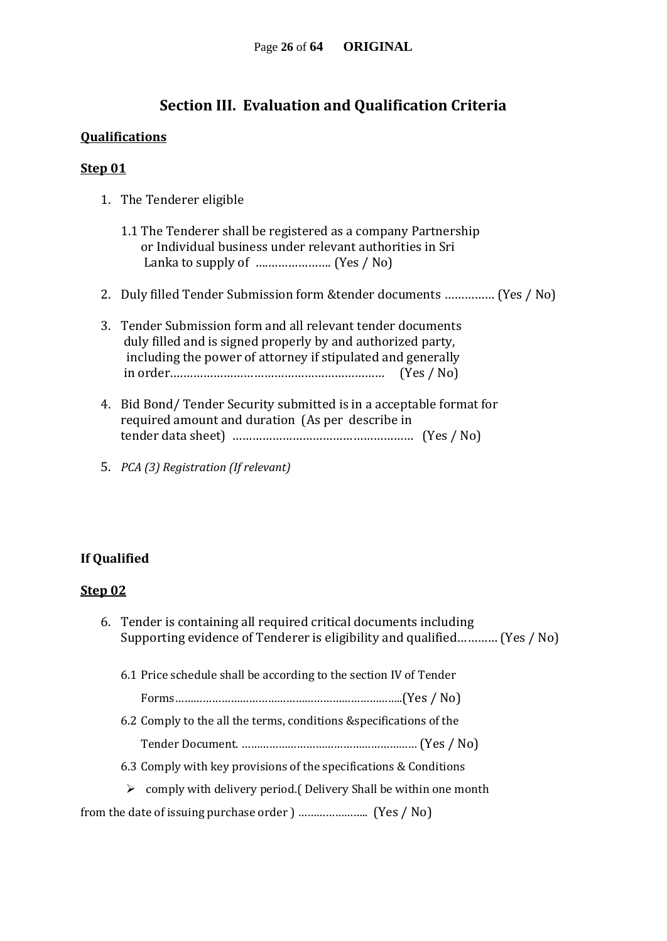### **Section III. Evaluation and Qualification Criteria**

#### **Qualifications**

#### **Step 01**

- 1. The Tenderer eligible
	- 1.1 The Tenderer shall be registered as a company Partnership or Individual business under relevant authorities in Sri Lanka to supply of ….………………. (Yes / No)
- 2. Duly filled Tender Submission form &tender documents …………… (Yes / No)
- 3. Tender Submission form and all relevant tender documents duly filled and is signed properly by and authorized party, including the power of attorney if stipulated and generally in order.……………………………………………………… (Yes / No)
- 4. Bid Bond/ Tender Security submitted is in a acceptable format for required amount and duration (As per describe in tender data sheet) ……………………………………………… (Yes / No)
- 5. *PCA (3) Registration (If relevant)*

#### **If Qualified**

#### **Step 02**

6. Tender is containing all required critical documents including Supporting evidence of Tenderer is eligibility and qualified………… (Yes / No) 6.1 Price schedule shall be according to the section IV of Tender Forms………………………………………………………………..(Yes / No) 6.2 Comply to the all the terms, conditions &specifications of the Tender Document. ………………………………………………… (Yes / No) 6.3 Comply with key provisions of the specifications & Conditions  $\triangleright$  comply with delivery period. (Delivery Shall be within one month

from the date of issuing purchase order ) ………………….. (Yes / No)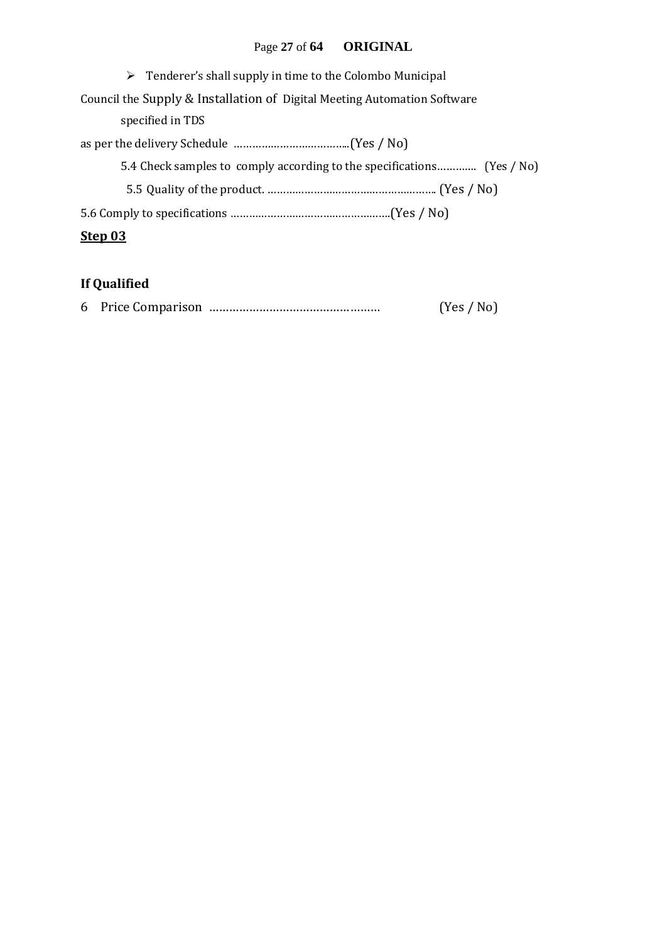## Page **27** of **64 ORIGINAL**

| $\triangleright$ Tenderer's shall supply in time to the Colombo Municipal |
|---------------------------------------------------------------------------|
| Council the Supply & Installation of Digital Meeting Automation Software  |
| specified in TDS                                                          |
|                                                                           |
| 5.4 Check samples to comply according to the specifications (Yes / No)    |
|                                                                           |
|                                                                           |
| Step 03                                                                   |

## **If Qualified**

|  |  |  | (Yes / No) |  |
|--|--|--|------------|--|
|--|--|--|------------|--|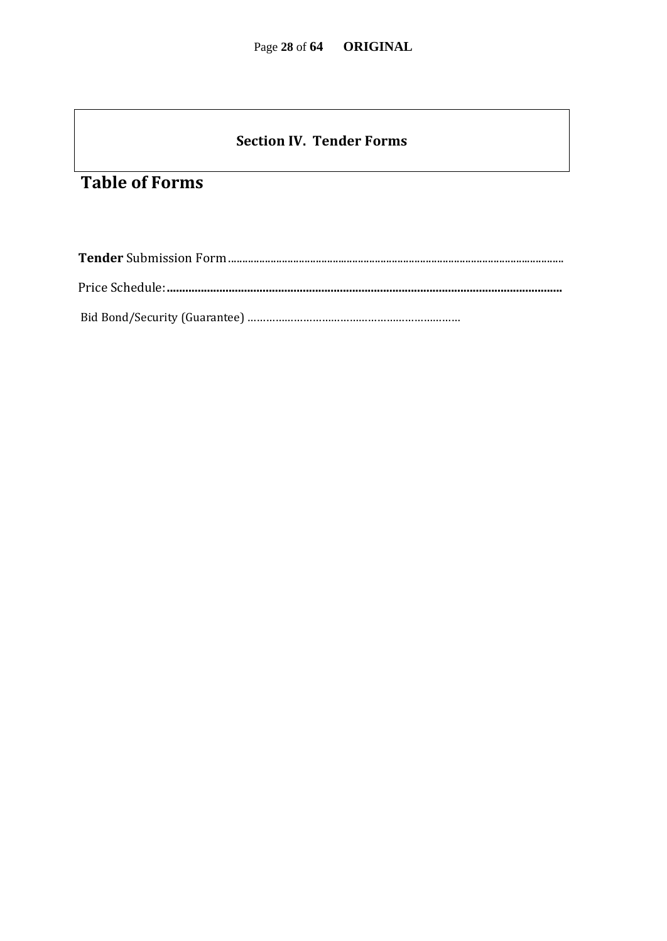### **Section IV. Tender Forms**

## **Table of Forms**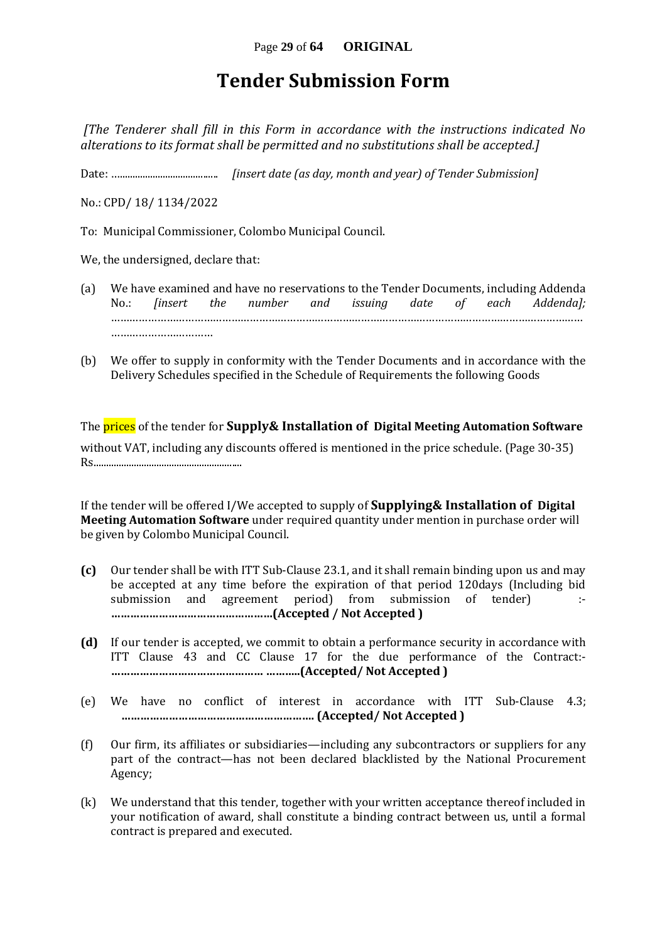## **Tender Submission Form**

*[The Tenderer shall fill in this Form in accordance with the instructions indicated No alterations to its format shall be permitted and no substitutions shall be accepted.]*

Date: …....................................... *[insert date (as day, month and year) of Tender Submission]*

No.: CPD/ 18/ 1134/2022

To: Municipal Commissioner, Colombo Municipal Council.

We, the undersigned, declare that:

- (a) We have examined and have no reservations to the Tender Documents, including Addenda No.: *[insert the number and issuing date of each Addenda];* ……………………………………………………………………………………………………………………………………… ……………………………
- (b) We offer to supply in conformity with the Tender Documents and in accordance with the Delivery Schedules specified in the Schedule of Requirements the following Goods

The prices of the tender for **Supply& Installation of Digital Meeting Automation Software** without VAT, including any discounts offered is mentioned in the price schedule. (Page 30-35) Rs...........................................................

If the tender will be offered I/We accepted to supply of **Supplying& Installation of Digital Meeting Automation Software** under required quantity under mention in purchase order will be given by Colombo Municipal Council.

- **(c)** Our tender shall be with ITT Sub-Clause 23.1, and it shall remain binding upon us and may be accepted at any time before the expiration of that period 120days (Including bid submission and agreement period) from submission of tender) :- **……………………………………………(Accepted / Not Accepted )**
- **(d)** If our tender is accepted, we commit to obtain a performance security in accordance with ITT Clause 43 and CC Clause 17 for the due performance of the Contract:- **………………………………………… ………..(Accepted/ Not Accepted )**
- (e) We have no conflict of interest in accordance with ITT Sub-Clause 4.3; **……………………………………………………. (Accepted/ Not Accepted )**
- (f) Our firm, its affiliates or subsidiaries—including any subcontractors or suppliers for any part of the contract—has not been declared blacklisted by the National Procurement Agency;
- (k) We understand that this tender, together with your written acceptance thereof included in your notification of award, shall constitute a binding contract between us, until a formal contract is prepared and executed.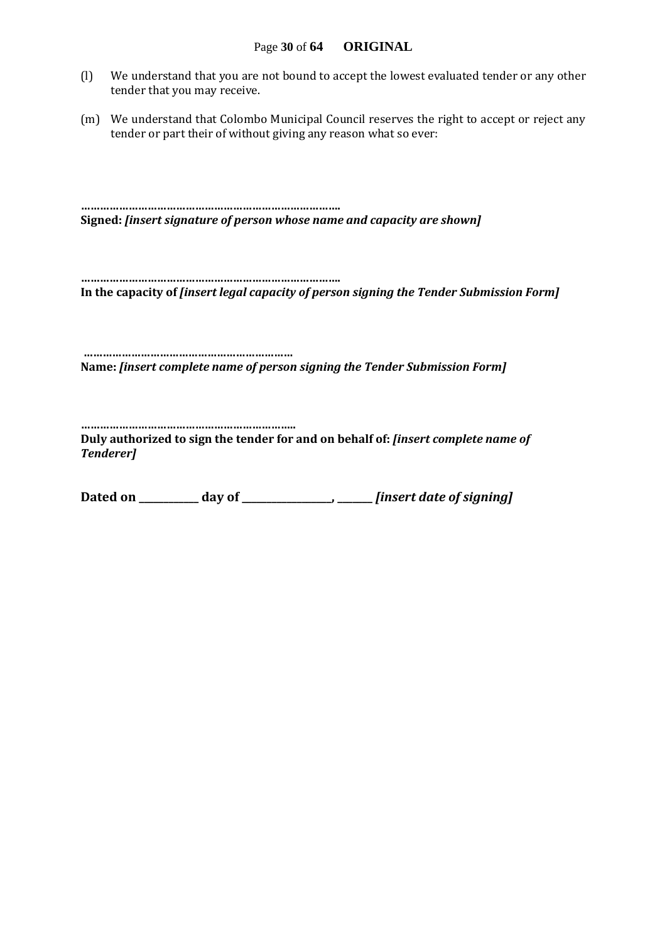- (l) We understand that you are not bound to accept the lowest evaluated tender or any other tender that you may receive.
- (m) We understand that Colombo Municipal Council reserves the right to accept or reject any tender or part their of without giving any reason what so ever:

**………………………………………………………………………. Signed:** *[insert signature of person whose name and capacity are shown]*

**………………………………………………………………………. In the capacity of** *[insert legal capacity of person signing the Tender Submission Form]*

**………………………………………………………… Name:** *[insert complete name of person signing the Tender Submission Form]*

**…………………………………………………………..**

**Duly authorized to sign the tender for and on behalf of:** *[insert complete name of Tenderer]*

**Dated on \_\_\_\_\_\_\_\_\_\_\_\_ day of \_\_\_\_\_\_\_\_\_\_\_\_\_\_\_\_\_\_, \_\_\_\_\_\_\_** *[insert date of signing]*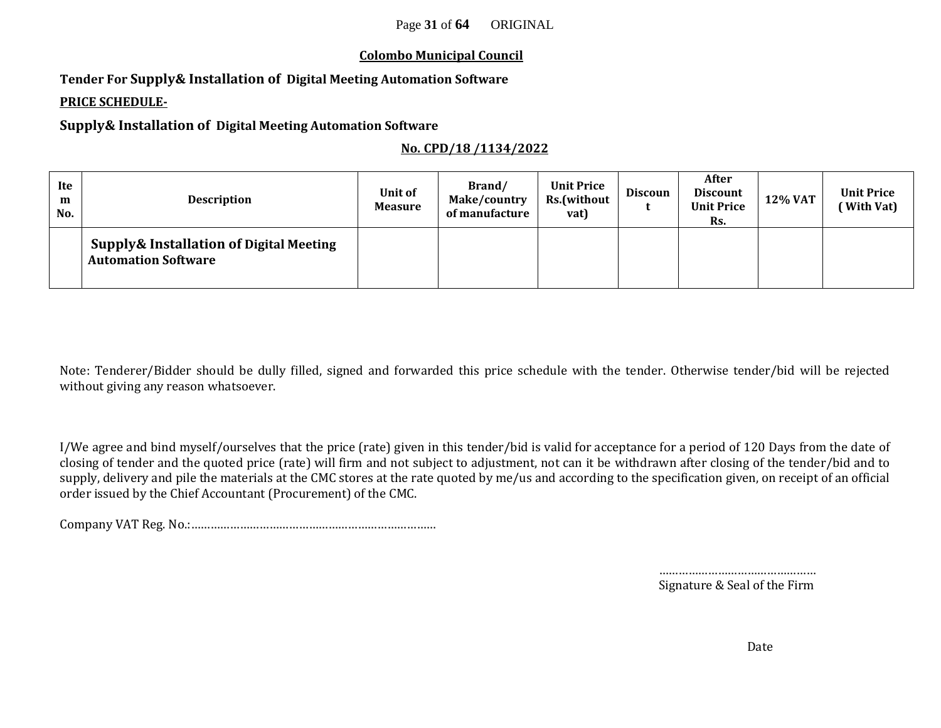#### **Colombo Municipal Council**

**Tender For Supply& Installation of Digital Meeting Automation Software**

#### **PRICE SCHEDULE-**

**Supply& Installation of Digital Meeting Automation Software**

#### **No. CPD/18 /1134/2022**

| Ite<br>m<br>No. | <b>Description</b>                                                               | Unit of<br><b>Measure</b> | Brand/<br>Make/country<br>of manufacture | <b>Unit Price</b><br>Rs.(without<br>vat) | <b>Discoun</b> | After<br><b>Discount</b><br><b>Unit Price</b><br>Rs. | 12% VAT | <b>Unit Price</b><br>(With Vat) |
|-----------------|----------------------------------------------------------------------------------|---------------------------|------------------------------------------|------------------------------------------|----------------|------------------------------------------------------|---------|---------------------------------|
|                 | <b>Supply&amp; Installation of Digital Meeting</b><br><b>Automation Software</b> |                           |                                          |                                          |                |                                                      |         |                                 |

Note: Tenderer/Bidder should be dully filled, signed and forwarded this price schedule with the tender. Otherwise tender/bid will be rejected without giving any reason whatsoever.

I/We agree and bind myself/ourselves that the price (rate) given in this tender/bid is valid for acceptance for a period of 120 Days from the date of closing of tender and the quoted price (rate) will firm and not subject to adjustment, not can it be withdrawn after closing of the tender/bid and to supply, delivery and pile the materials at the CMC stores at the rate quoted by me/us and according to the specification given, on receipt of an official order issued by the Chief Accountant (Procurement) of the CMC.

Company VAT Reg. No.:…………………………………………………………………

…………………………………………… Signature & Seal of the Firm

Date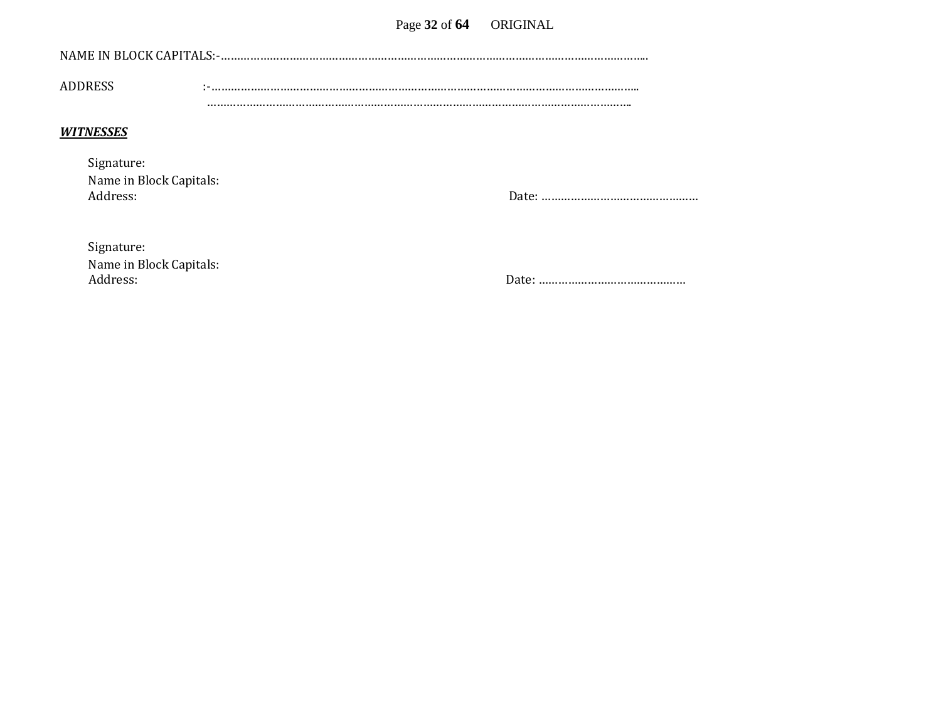| NAME IN BLOCK CAPITALS:-. |  |
|---------------------------|--|
| <b>ADDRESS</b>            |  |
|                           |  |

#### *WITNESSES*

| Signature:              |
|-------------------------|
| Name in Block Capitals: |
| Address:                |

Address: Date: …………………………………………

| Signature:              |
|-------------------------|
| Name in Block Capitals: |
| Address:                |

Address: Date: ………………………………………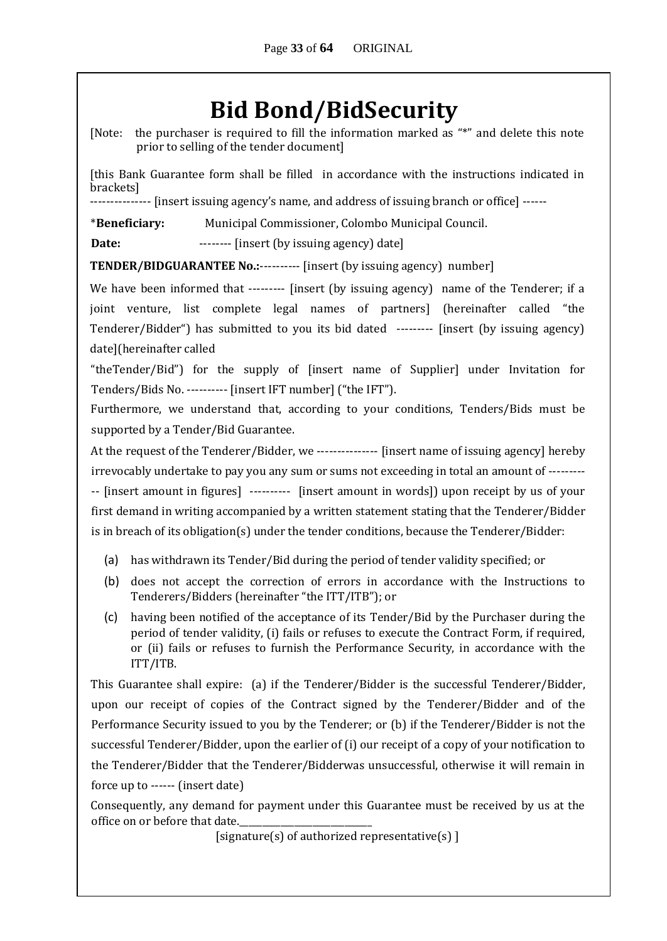# **Bid Bond/BidSecurity**

[Note: the purchaser is required to fill the information marked as "\*" and delete this note prior to selling of the tender document]

[this Bank Guarantee form shall be filled in accordance with the instructions indicated in brackets]

--------------- [insert issuing agency's name, and address of issuing branch or office] ------

\***Beneficiary:** Municipal Commissioner, Colombo Municipal Council.

**Date:** -------- [insert (by issuing agency) date]

**TENDER/BIDGUARANTEE No.:**---------- [insert (by issuing agency) number]

We have been informed that --------- [insert (by issuing agency) name of the Tenderer; if a joint venture, list complete legal names of partners] (hereinafter called "the Tenderer/Bidder") has submitted to you its bid dated --------- [insert (by issuing agency) date](hereinafter called

"theTender/Bid") for the supply of [insert name of Supplier] under Invitation for Tenders/Bids No. ---------- [insert IFT number] ("the IFT").

Furthermore, we understand that, according to your conditions, Tenders/Bids must be supported by a Tender/Bid Guarantee.

At the request of the Tenderer/Bidder, we --------------- [insert name of issuing agency] hereby irrevocably undertake to pay you any sum or sums not exceeding in total an amount of --------- -- [insert amount in figures] ---------- [insert amount in words]) upon receipt by us of your first demand in writing accompanied by a written statement stating that the Tenderer/Bidder is in breach of its obligation(s) under the tender conditions, because the Tenderer/Bidder:

- (a) has withdrawn its Tender/Bid during the period of tender validity specified; or
- (b) does not accept the correction of errors in accordance with the Instructions to Tenderers/Bidders (hereinafter "the ITT/ITB"); or
- (c) having been notified of the acceptance of its Tender/Bid by the Purchaser during the period of tender validity, (i) fails or refuses to execute the Contract Form, if required, or (ii) fails or refuses to furnish the Performance Security, in accordance with the ITT/ITB.

This Guarantee shall expire: (a) if the Tenderer/Bidder is the successful Tenderer/Bidder, upon our receipt of copies of the Contract signed by the Tenderer/Bidder and of the Performance Security issued to you by the Tenderer; or (b) if the Tenderer/Bidder is not the successful Tenderer/Bidder, upon the earlier of (i) our receipt of a copy of your notification to the Tenderer/Bidder that the Tenderer/Bidderwas unsuccessful, otherwise it will remain in force up to ------ (insert date)

Consequently, any demand for payment under this Guarantee must be received by us at the office on or before that date.

[signature(s) of authorized representative(s) ]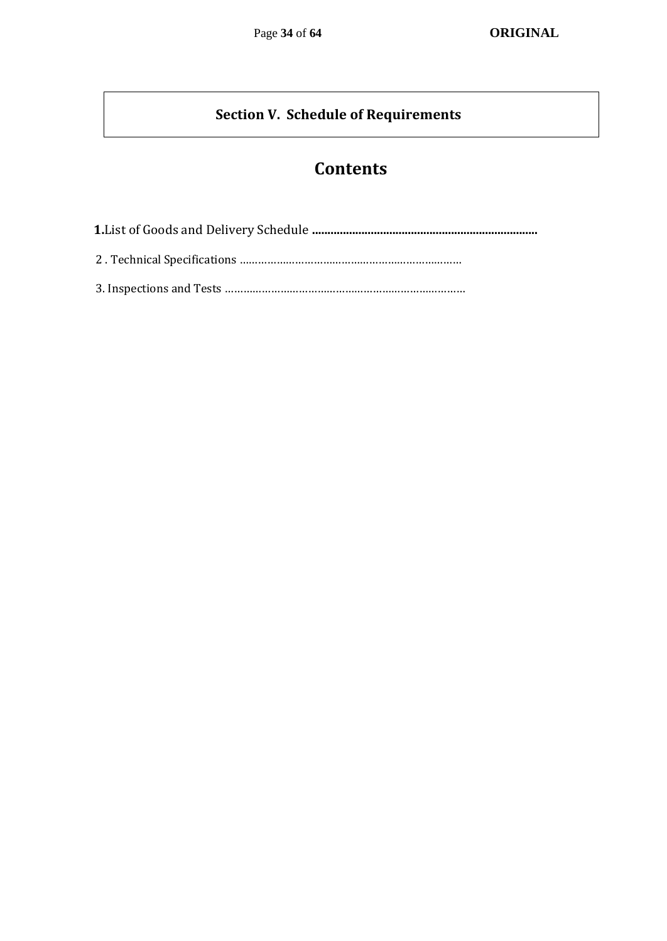### **Section V. Schedule of Requirements**

## **Contents**

 **1.**List of Goods and Delivery Schedule **.........................................................................** 2 . Technical Specifications ………………………………………………………………

3. Inspections and Tests ……………………………………………………………………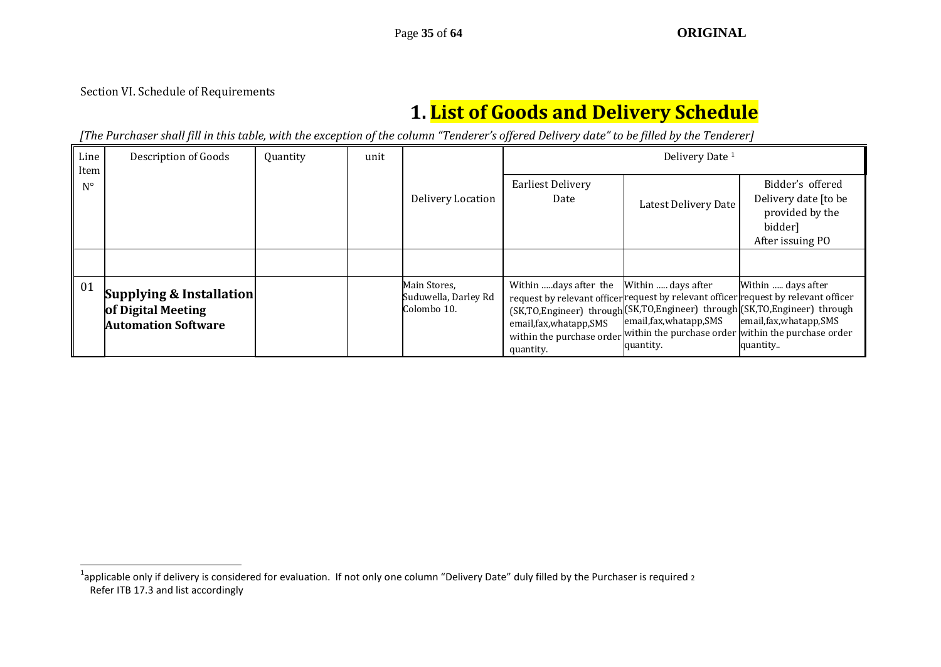#### Section VI. Schedule of Requirements

-

## **1. List of Goods and Delivery Schedule**

*[The Purchaser shall fill in this table, with the exception of the column "Tenderer's offered Delivery date" to be filled by the Tenderer]* 

| Line<br>Item | Description of Goods                                                                    | Quantity | unit |                                                     | Delivery Date <sup>1</sup>                                                                  |                                                             |                                                                                                                                                                                                                                                                                      |
|--------------|-----------------------------------------------------------------------------------------|----------|------|-----------------------------------------------------|---------------------------------------------------------------------------------------------|-------------------------------------------------------------|--------------------------------------------------------------------------------------------------------------------------------------------------------------------------------------------------------------------------------------------------------------------------------------|
| $N^{\circ}$  |                                                                                         |          |      | Delivery Location                                   | <b>Earliest Delivery</b><br>Date                                                            | Latest Delivery Date                                        | Bidder's offered<br>Delivery date [to be<br>provided by the<br>bidder]<br>After issuing PO                                                                                                                                                                                           |
|              |                                                                                         |          |      |                                                     |                                                                                             |                                                             |                                                                                                                                                                                                                                                                                      |
| 01           | <b>Supplying &amp; Installation</b><br>of Digital Meeting<br><b>Automation Software</b> |          |      | Main Stores,<br>Suduwella, Darley Rd<br>Colombo 10. | Within days after the<br>email, fax, whatapp, SMS<br>within the purchase order<br>quantity. | Within  days after<br>email, fax, whatapp, SMS<br>quantity. | Within  days after<br>request by relevant officer request by relevant officer request by relevant officer<br>(SK,TO,Engineer) through(SK,TO,Engineer) through(SK,TO,Engineer) through<br>email, fax, whatapp, SMS<br>within the purchase order within the purchase order<br>quantity |

 $^1$ applicable only if delivery is considered for evaluation. If not only one column "Delivery Date" duly filled by the Purchaser is required 2 Refer ITB 17.3 and list accordingly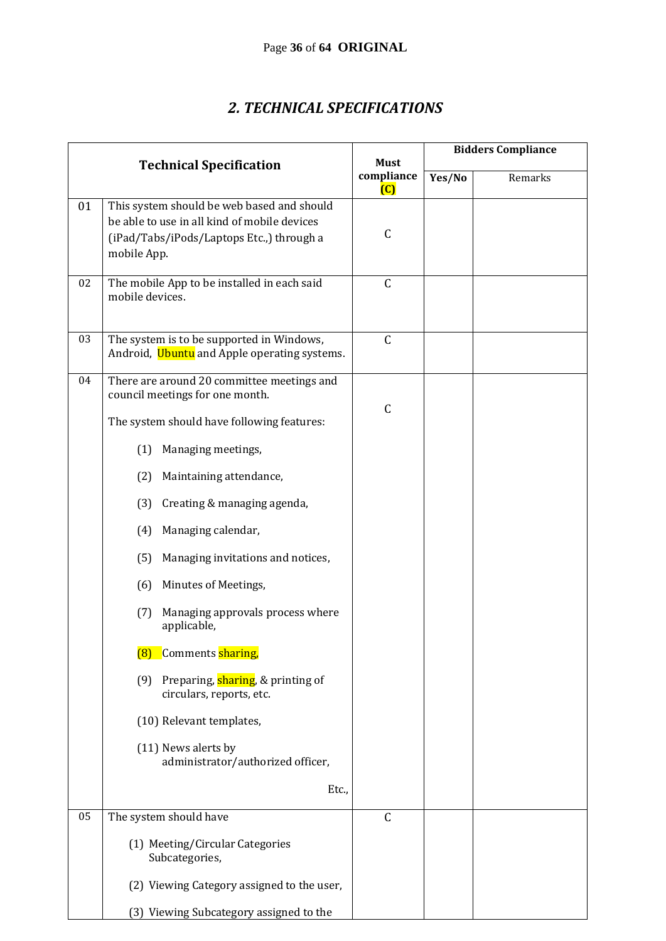### *2. TECHNICAL SPECIFICATIONS*

|    |                                                                                                                                                        |                                             | <b>Bidders Compliance</b> |         |
|----|--------------------------------------------------------------------------------------------------------------------------------------------------------|---------------------------------------------|---------------------------|---------|
|    | <b>Technical Specification</b>                                                                                                                         | <b>Must</b><br>compliance<br>$\overline{C}$ | Yes/No                    | Remarks |
| 01 | This system should be web based and should<br>be able to use in all kind of mobile devices<br>(iPad/Tabs/iPods/Laptops Etc.,) through a<br>mobile App. | $\mathsf{C}$                                |                           |         |
| 02 | The mobile App to be installed in each said<br>mobile devices.                                                                                         | $\mathsf C$                                 |                           |         |
| 03 | The system is to be supported in Windows,<br>Android, Ubuntu and Apple operating systems.                                                              | $\mathsf C$                                 |                           |         |
| 04 | There are around 20 committee meetings and<br>council meetings for one month.                                                                          |                                             |                           |         |
|    | The system should have following features:                                                                                                             | $\mathsf{C}$                                |                           |         |
|    | Managing meetings,<br>(1)                                                                                                                              |                                             |                           |         |
|    | (2)<br>Maintaining attendance,                                                                                                                         |                                             |                           |         |
|    | Creating & managing agenda,<br>(3)                                                                                                                     |                                             |                           |         |
|    | Managing calendar,<br>(4)                                                                                                                              |                                             |                           |         |
|    | Managing invitations and notices,<br>(5)                                                                                                               |                                             |                           |         |
|    | Minutes of Meetings,<br>(6)                                                                                                                            |                                             |                           |         |
|    | Managing approvals process where<br>(7)<br>applicable,                                                                                                 |                                             |                           |         |
|    | Comments sharing,<br>(8)                                                                                                                               |                                             |                           |         |
|    | (9) Preparing, sharing, & printing of<br>circulars, reports, etc.                                                                                      |                                             |                           |         |
|    | (10) Relevant templates,                                                                                                                               |                                             |                           |         |
|    | (11) News alerts by<br>administrator/authorized officer,                                                                                               |                                             |                           |         |
|    | Etc.,                                                                                                                                                  |                                             |                           |         |
| 05 | The system should have                                                                                                                                 | $\mathsf{C}$                                |                           |         |
|    | (1) Meeting/Circular Categories<br>Subcategories,                                                                                                      |                                             |                           |         |
|    | (2) Viewing Category assigned to the user,                                                                                                             |                                             |                           |         |
|    | (3) Viewing Subcategory assigned to the                                                                                                                |                                             |                           |         |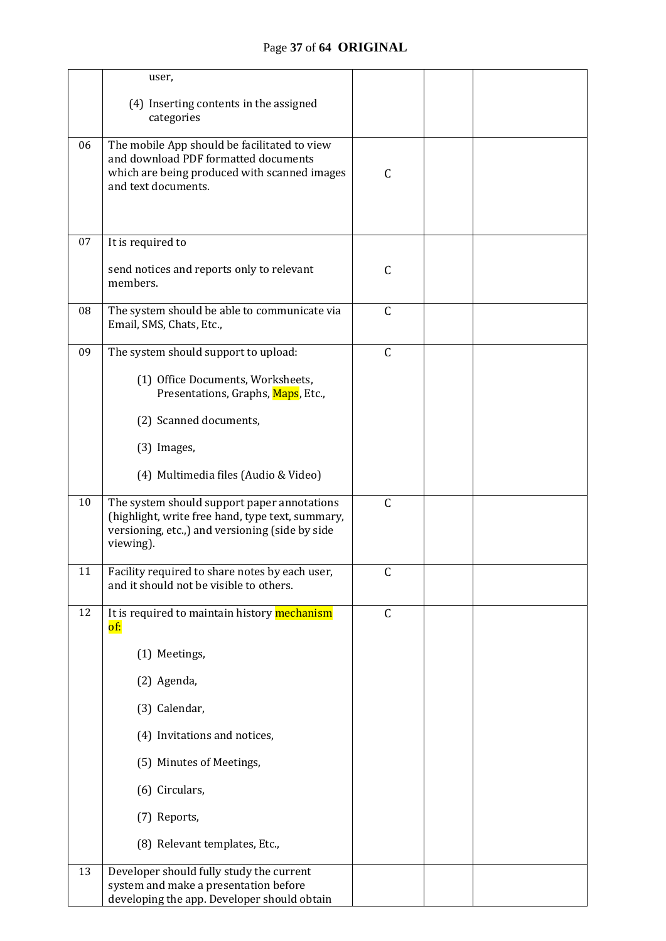|    | user,                                                                                                                                                           |              |  |  |
|----|-----------------------------------------------------------------------------------------------------------------------------------------------------------------|--------------|--|--|
|    | (4) Inserting contents in the assigned<br>categories                                                                                                            |              |  |  |
| 06 | The mobile App should be facilitated to view<br>and download PDF formatted documents<br>which are being produced with scanned images<br>and text documents.     | $\mathsf{C}$ |  |  |
| 07 | It is required to                                                                                                                                               |              |  |  |
|    | send notices and reports only to relevant<br>members.                                                                                                           | $\mathsf{C}$ |  |  |
| 08 | The system should be able to communicate via<br>Email, SMS, Chats, Etc.,                                                                                        | $\mathsf C$  |  |  |
| 09 | The system should support to upload:                                                                                                                            | $\mathsf C$  |  |  |
|    | (1) Office Documents, Worksheets,<br>Presentations, Graphs, Maps, Etc.,                                                                                         |              |  |  |
|    | (2) Scanned documents,                                                                                                                                          |              |  |  |
|    | (3) Images,                                                                                                                                                     |              |  |  |
|    | (4) Multimedia files (Audio & Video)                                                                                                                            |              |  |  |
| 10 | The system should support paper annotations<br>(highlight, write free hand, type text, summary,<br>versioning, etc.,) and versioning (side by side<br>viewing). | $\mathsf C$  |  |  |
| 11 | Facility required to share notes by each user,<br>and it should not be visible to others.                                                                       | $\mathsf{C}$ |  |  |
| 12 | It is required to maintain history mechanism<br>of:                                                                                                             | $\mathsf C$  |  |  |
|    | (1) Meetings,                                                                                                                                                   |              |  |  |
|    | (2) Agenda,                                                                                                                                                     |              |  |  |
|    | (3) Calendar,                                                                                                                                                   |              |  |  |
|    | (4) Invitations and notices,                                                                                                                                    |              |  |  |
|    | (5) Minutes of Meetings,                                                                                                                                        |              |  |  |
|    | (6) Circulars,                                                                                                                                                  |              |  |  |
|    | (7) Reports,                                                                                                                                                    |              |  |  |
|    | (8) Relevant templates, Etc.,                                                                                                                                   |              |  |  |
| 13 | Developer should fully study the current<br>system and make a presentation before<br>developing the app. Developer should obtain                                |              |  |  |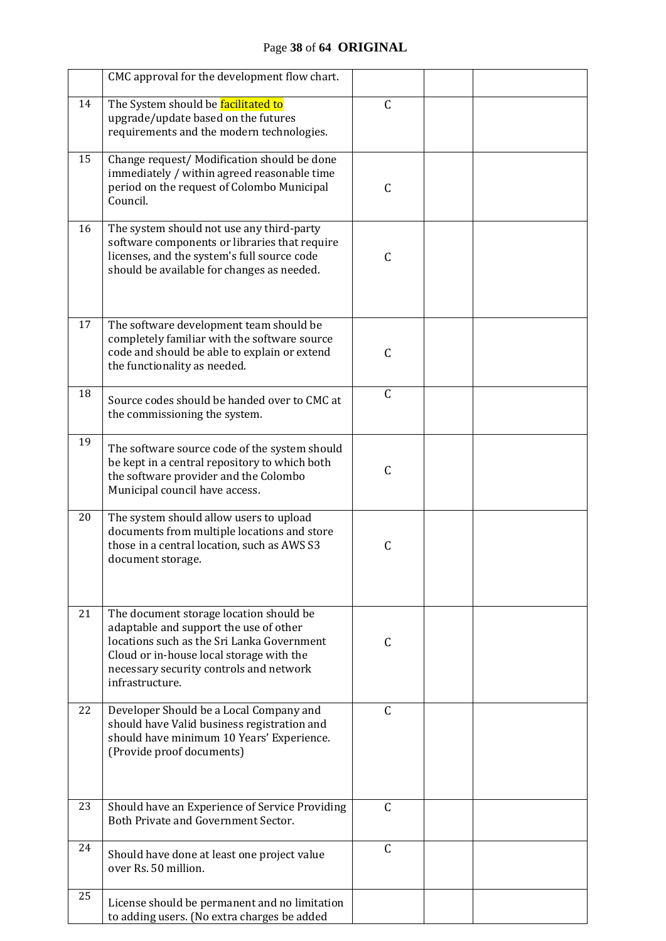|    | CMC approval for the development flow chart.                                                                                                                                                                                              |               |  |
|----|-------------------------------------------------------------------------------------------------------------------------------------------------------------------------------------------------------------------------------------------|---------------|--|
| 14 | The System should be facilitated to<br>upgrade/update based on the futures<br>requirements and the modern technologies.                                                                                                                   | $\mathsf C$   |  |
| 15 | Change request/ Modification should be done<br>immediately / within agreed reasonable time<br>period on the request of Colombo Municipal<br>Council.                                                                                      | $\mathsf{C}$  |  |
| 16 | The system should not use any third-party<br>software components or libraries that require<br>licenses, and the system's full source code<br>should be available for changes as needed.                                                   | C             |  |
| 17 | The software development team should be<br>completely familiar with the software source<br>code and should be able to explain or extend<br>the functionality as needed.                                                                   | $\mathsf{C}$  |  |
| 18 | Source codes should be handed over to CMC at<br>the commissioning the system.                                                                                                                                                             | $\mathsf{C}$  |  |
| 19 | The software source code of the system should<br>be kept in a central repository to which both<br>the software provider and the Colombo<br>Municipal council have access.                                                                 | $\mathsf{C}$  |  |
| 20 | The system should allow users to upload<br>documents from multiple locations and store<br>those in a central location, such as AWS S3<br>document storage.                                                                                | $\mathsf{C}$  |  |
| 21 | The document storage location should be<br>adaptable and support the use of other<br>locations such as the Sri Lanka Government<br>Cloud or in-house local storage with the<br>necessary security controls and network<br>infrastructure. | C             |  |
| 22 | Developer Should be a Local Company and<br>should have Valid business registration and<br>should have minimum 10 Years' Experience.<br>(Provide proof documents)                                                                          | $\mathsf{C}$  |  |
| 23 | Should have an Experience of Service Providing<br>Both Private and Government Sector.                                                                                                                                                     | $\mathcal{C}$ |  |
| 24 | Should have done at least one project value<br>over Rs. 50 million.                                                                                                                                                                       | $\mathsf C$   |  |
| 25 | License should be permanent and no limitation<br>to adding users. (No extra charges be added                                                                                                                                              |               |  |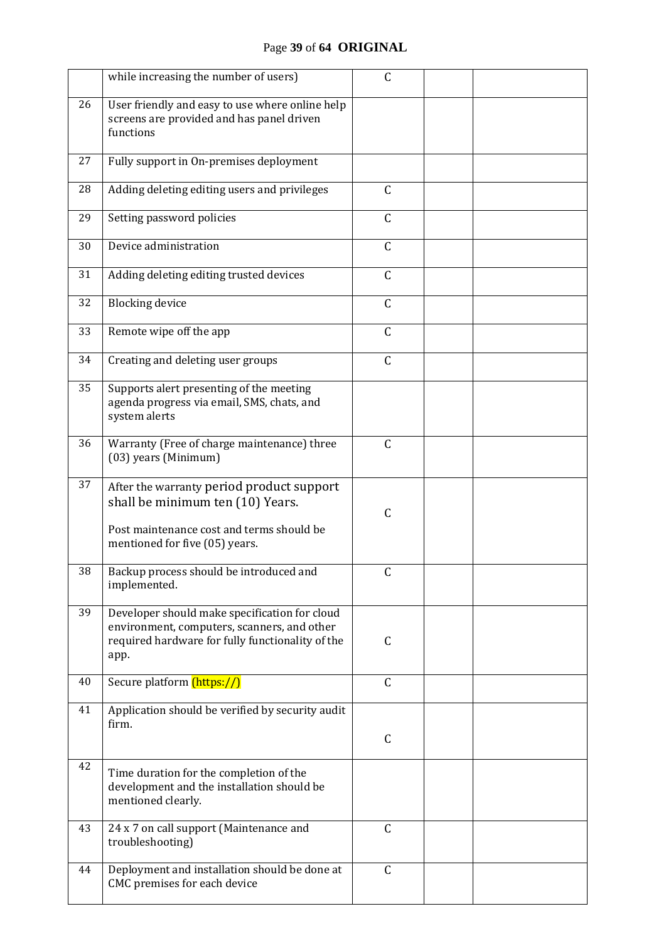### Page **39** of **64 ORIGINAL**

|    | while increasing the number of users)                                                                                                                        | C            |  |
|----|--------------------------------------------------------------------------------------------------------------------------------------------------------------|--------------|--|
| 26 | User friendly and easy to use where online help<br>screens are provided and has panel driven<br>functions                                                    |              |  |
| 27 | Fully support in On-premises deployment                                                                                                                      |              |  |
| 28 | Adding deleting editing users and privileges                                                                                                                 | $\mathsf C$  |  |
| 29 | Setting password policies                                                                                                                                    | $\mathsf C$  |  |
| 30 | Device administration                                                                                                                                        | $\mathsf C$  |  |
| 31 | Adding deleting editing trusted devices                                                                                                                      | $\mathsf C$  |  |
| 32 | <b>Blocking device</b>                                                                                                                                       | $\mathsf C$  |  |
| 33 | Remote wipe off the app                                                                                                                                      | $\mathsf{C}$ |  |
| 34 | Creating and deleting user groups                                                                                                                            | $\mathsf C$  |  |
| 35 | Supports alert presenting of the meeting<br>agenda progress via email, SMS, chats, and<br>system alerts                                                      |              |  |
| 36 | Warranty (Free of charge maintenance) three<br>(03) years (Minimum)                                                                                          | $\mathsf C$  |  |
| 37 | After the warranty period product support<br>shall be minimum ten (10) Years.<br>Post maintenance cost and terms should be<br>mentioned for five (05) years. | $\mathsf C$  |  |
| 38 | Backup process should be introduced and<br>implemented.                                                                                                      | $\mathsf C$  |  |
| 39 | Developer should make specification for cloud<br>environment, computers, scanners, and other<br>required hardware for fully functionality of the<br>app.     | $\mathsf C$  |  |
| 40 | Secure platform (https://)                                                                                                                                   | $\mathsf C$  |  |
| 41 | Application should be verified by security audit<br>firm.                                                                                                    | C            |  |
| 42 | Time duration for the completion of the<br>development and the installation should be<br>mentioned clearly.                                                  |              |  |
| 43 | 24 x 7 on call support (Maintenance and<br>troubleshooting)                                                                                                  | $\mathsf C$  |  |
| 44 | Deployment and installation should be done at<br>CMC premises for each device                                                                                | $\mathsf C$  |  |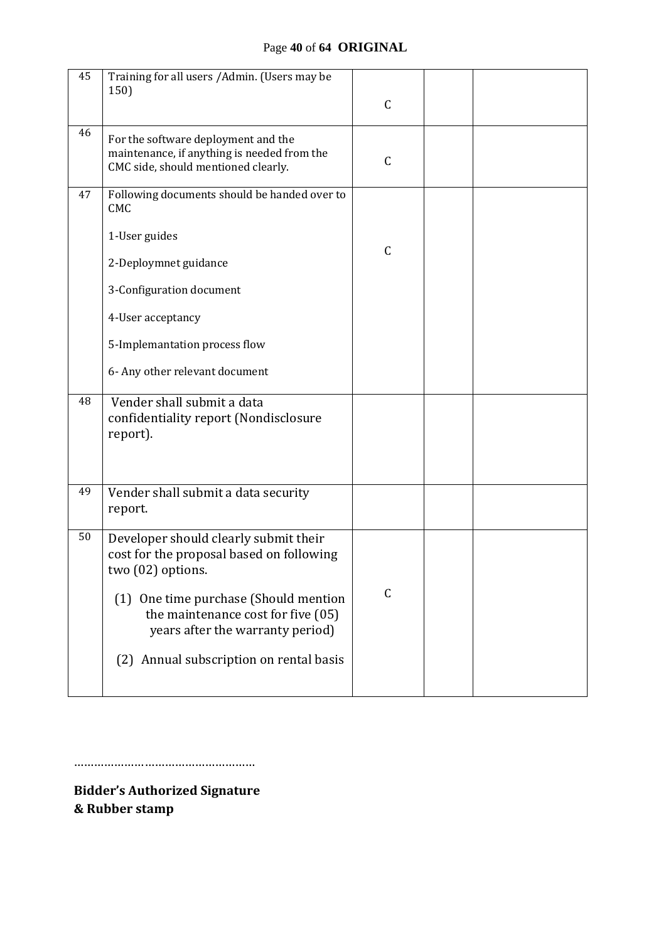#### Page **40** of **64 ORIGINAL**

| 45 | Training for all users / Admin. (Users may be<br>150)                                                                     | $\mathsf C$  |  |
|----|---------------------------------------------------------------------------------------------------------------------------|--------------|--|
| 46 | For the software deployment and the<br>maintenance, if anything is needed from the<br>CMC side, should mentioned clearly. | $\mathsf{C}$ |  |
| 47 | Following documents should be handed over to<br><b>CMC</b>                                                                |              |  |
|    | 1-User guides                                                                                                             | $\mathsf{C}$ |  |
|    | 2-Deploymnet guidance                                                                                                     |              |  |
|    | 3-Configuration document                                                                                                  |              |  |
|    | 4-User acceptancy                                                                                                         |              |  |
|    | 5-Implemantation process flow                                                                                             |              |  |
|    | 6- Any other relevant document                                                                                            |              |  |
| 48 | Vender shall submit a data<br>confidentiality report (Nondisclosure<br>report).                                           |              |  |
| 49 | Vender shall submit a data security<br>report.                                                                            |              |  |
| 50 | Developer should clearly submit their<br>cost for the proposal based on following<br>two (02) options.                    |              |  |
|    | One time purchase (Should mention<br>(1)<br>the maintenance cost for five (05)<br>years after the warranty period)        | C            |  |
|    | (2) Annual subscription on rental basis                                                                                   |              |  |

………………………………………………

**Bidder's Authorized Signature & Rubber stamp**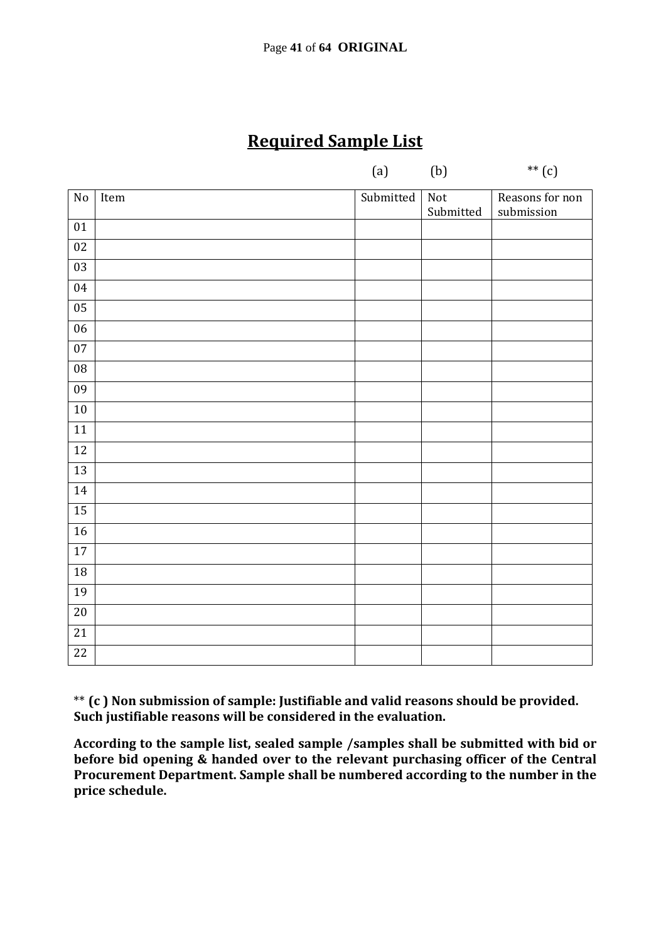## **Required Sample List**

| $(a)$ $(b)$ | $**$ (c) |
|-------------|----------|
|             |          |

| $\overline{No}$ | Item | Submitted | Not       | Reasons for non |
|-----------------|------|-----------|-----------|-----------------|
| $01\,$          |      |           | Submitted | submission      |
|                 |      |           |           |                 |
| $02\,$          |      |           |           |                 |
| $\overline{03}$ |      |           |           |                 |
| 04              |      |           |           |                 |
| $\overline{05}$ |      |           |           |                 |
| $\overline{06}$ |      |           |           |                 |
| $07\,$          |      |           |           |                 |
| ${\bf 08}$      |      |           |           |                 |
| 09              |      |           |           |                 |
| 10              |      |           |           |                 |
| $\overline{11}$ |      |           |           |                 |
| $12\,$          |      |           |           |                 |
| 13              |      |           |           |                 |
| 14              |      |           |           |                 |
| $\overline{15}$ |      |           |           |                 |
| $16\,$          |      |           |           |                 |
| 17              |      |           |           |                 |
| $18\,$          |      |           |           |                 |
| 19              |      |           |           |                 |
| $20\,$          |      |           |           |                 |
| $\overline{21}$ |      |           |           |                 |
| $22\,$          |      |           |           |                 |

\*\* **(c ) Non submission of sample: Justifiable and valid reasons should be provided. Such justifiable reasons will be considered in the evaluation.** 

**According to the sample list, sealed sample /samples shall be submitted with bid or before bid opening & handed over to the relevant purchasing officer of the Central Procurement Department. Sample shall be numbered according to the number in the price schedule.**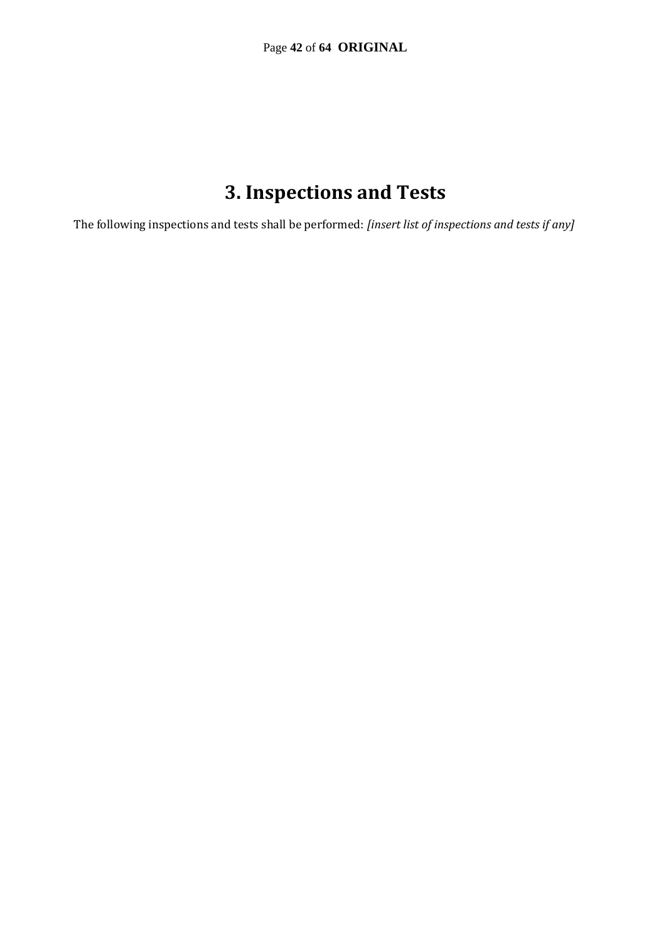## **3. Inspections and Tests**

The following inspections and tests shall be performed: *[insert list of inspections and tests if any]*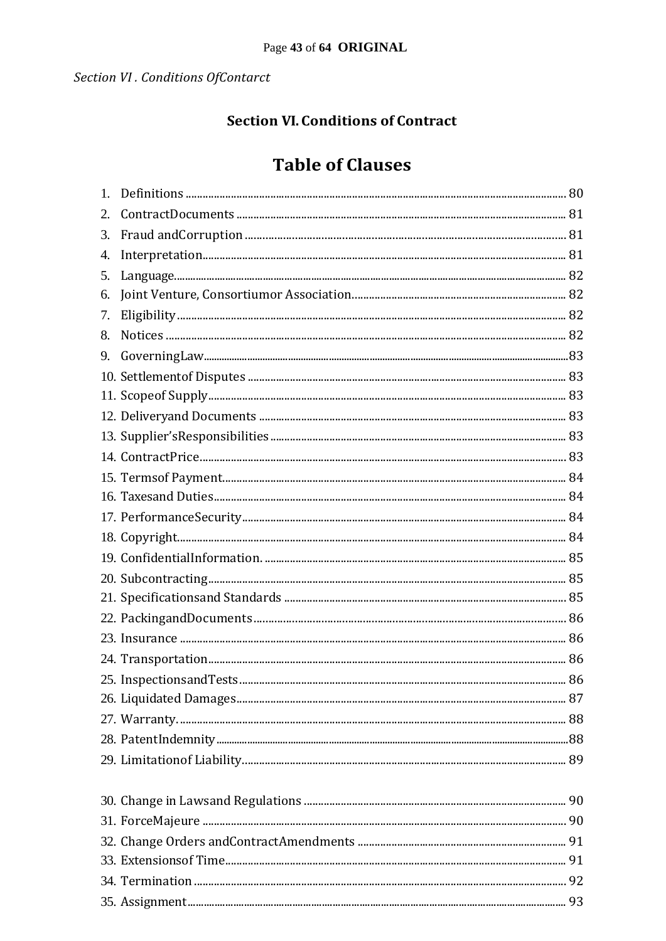### **Section VI. Conditions of Contract**

## **Table of Clauses**

| 1. |  |
|----|--|
|    |  |
| 3. |  |
| 4. |  |
| 5. |  |
| 6. |  |
| 7. |  |
| 8. |  |
| 9. |  |
|    |  |
|    |  |
|    |  |
|    |  |
|    |  |
|    |  |
|    |  |
|    |  |
|    |  |
|    |  |
|    |  |
|    |  |
|    |  |
|    |  |
|    |  |
|    |  |
|    |  |
|    |  |
|    |  |
|    |  |
|    |  |
|    |  |
|    |  |
|    |  |
|    |  |
|    |  |
|    |  |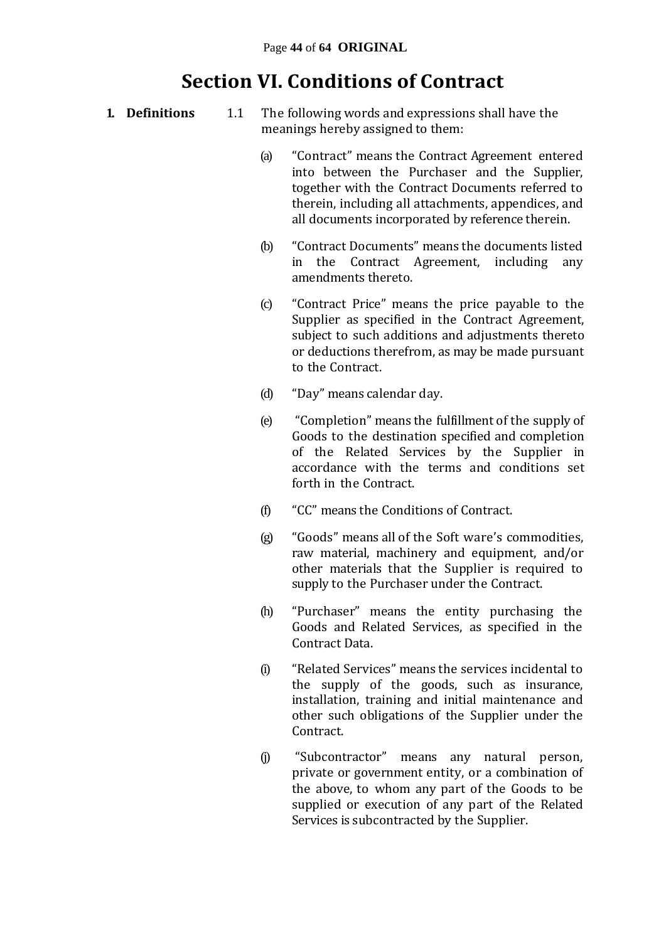## **Section VI. Conditions of Contract**

- **1. Definitions** 1.1 The following words and expressions shall have the meanings hereby assigned to them:
	- (a) "Contract" means the Contract Agreement entered into between the Purchaser and the Supplier, together with the Contract Documents referred to therein, including all attachments, appendices, and all documents incorporated by reference therein.
	- (b) "Contract Documents" means the documents listed in the Contract Agreement, including any amendments thereto.
	- (c) "Contract Price" means the price payable to the Supplier as specified in the Contract Agreement, subject to such additions and adjustments thereto or deductions therefrom, as may be made pursuant to the Contract.
	- (d) "Day" means calendar day.
	- (e) "Completion" means the fulfillment of the supply of Goods to the destination specified and completion of the Related Services by the Supplier in accordance with the terms and conditions set forth in the Contract.
	- (f) "CC" means the Conditions of Contract.
	- (g) "Goods" means all of the Soft ware's commodities, raw material, machinery and equipment, and/or other materials that the Supplier is required to supply to the Purchaser under the Contract.
	- (h) "Purchaser" means the entity purchasing the Goods and Related Services, as specified in the Contract Data.
	- (i) "Related Services" means the services incidental to the supply of the goods, such as insurance, installation, training and initial maintenance and other such obligations of the Supplier under the Contract.
	- (j) "Subcontractor" means any natural person, private or government entity, or a combination of the above, to whom any part of the Goods to be supplied or execution of any part of the Related Services is subcontracted by the Supplier.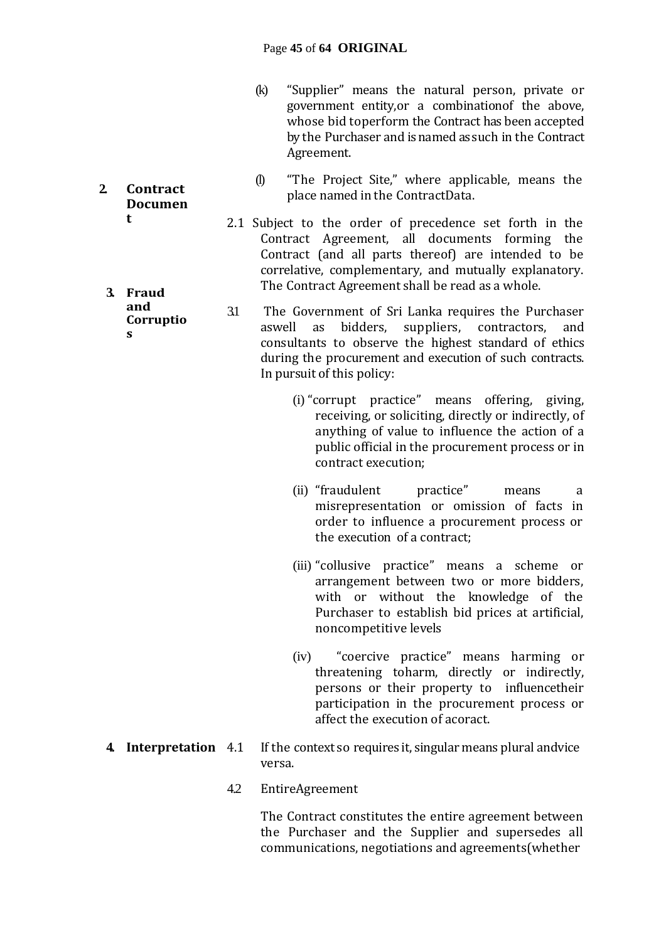- (k) "Supplier" means the natural person, private or government entity,or a combinationof the above, whose bid toperform the Contract has been accepted by the Purchaser and is named as such in the Contract Agreement.
- (l) "The Project Site," where applicable, means the place named in the ContractData.
- 2.1 Subject to the order of precedence set forth in the Contract Agreement, all documents forming the Contract (and all parts thereof) are intended to be correlative, complementary, and mutually explanatory. The Contract Agreement shall be read as a whole.
- 3.1 The Government of Sri Lanka requires the Purchaser aswell as bidders, suppliers, contractors, and consultants to observe the highest standard of ethics during the procurement and execution of such contracts. In pursuit of this policy:
	- (i) "corrupt practice" means offering, giving, receiving, or soliciting, directly or indirectly, of anything of value to influence the action of a public official in the procurement process or in contract execution;
	- (ii) "fraudulent practice" means a misrepresentation or omission of facts in order to influence a procurement process or the execution of a contract;
	- (iii) "collusive practice" means a scheme or arrangement between two or more bidders, with or without the knowledge of the Purchaser to establish bid prices at artificial, noncompetitive levels
	- (iv) "coercive practice" means harming or threatening toharm, directly or indirectly, persons or their property to influencetheir participation in the procurement process or affect the execution of acoract.
- **4. Interpretation** 4.1 If the context so requires it, singular means plural andvice versa.
	- 4.2 EntireAgreement

The Contract constitutes the entire agreement between the Purchaser and the Supplier and supersedes all communications, negotiations and agreements(whether

**2. Contract Documen t**

**3. Fraud and Corruptio s**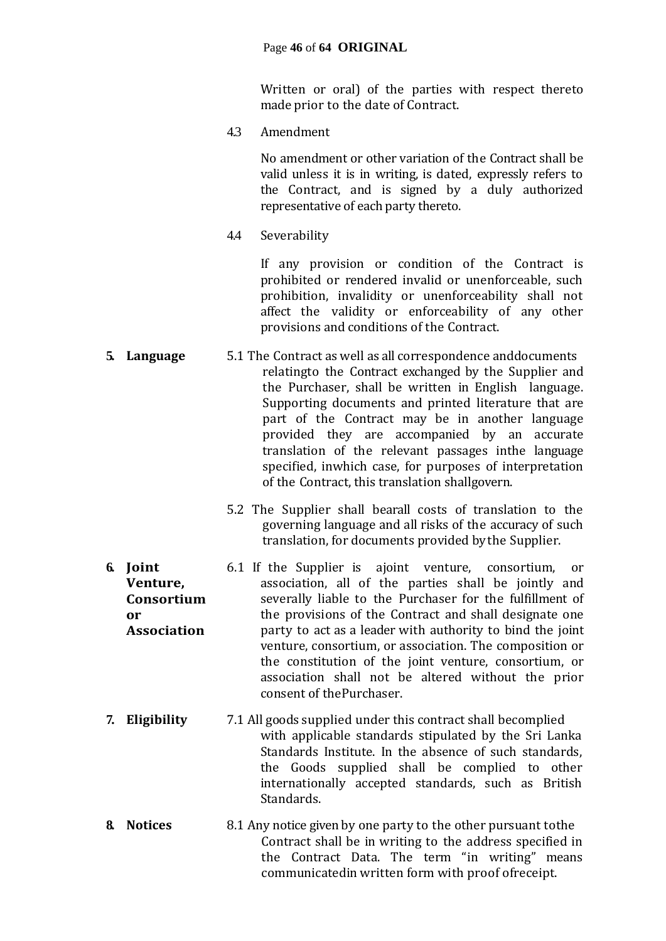#### Page **46** of **64 ORIGINAL**

Written or oral) of the parties with respect thereto made prior to the date of Contract.

4.3 Amendment

No amendment or other variation of the Contract shall be valid unless it is in writing, is dated, expressly refers to the Contract, and is signed by a duly authorized representative of each party thereto.

4.4 Severability

If any provision or condition of the Contract is prohibited or rendered invalid or unenforceable, such prohibition, invalidity or unenforceability shall not affect the validity or enforceability of any other provisions and conditions of the Contract.

- **5. Language** 5.1 The Contract as well as all correspondence anddocuments relatingto the Contract exchanged by the Supplier and the Purchaser, shall be written in English language. Supporting documents and printed literature that are part of the Contract may be in another language provided they are accompanied by an accurate translation of the relevant passages inthe language specified, inwhich case, for purposes of interpretation of the Contract, this translation shallgovern.
	- 5.2 The Supplier shall bearall costs of translation to the governing language and all risks of the accuracy of such translation, for documents provided by the Supplier.
- **6. Joint Venture, Consortium or Association** 6.1 If the Supplier is ajoint venture, consortium, or association, all of the parties shall be jointly and severally liable to the Purchaser for the fulfillment of the provisions of the Contract and shall designate one party to act as a leader with authority to bind the joint venture, consortium, or association. The composition or the constitution of the joint venture, consortium, or association shall not be altered without the prior consent of thePurchaser.
- **7. Eligibility** 7.1 All goods supplied under this contract shall becomplied with applicable standards stipulated by the Sri Lanka Standards Institute. In the absence of such standards, the Goods supplied shall be complied to other internationally accepted standards, such as British Standards.
- **8. Notices** 8.1 Any notice given by one party to the other pursuant tothe Contract shall be in writing to the address specified in the Contract Data. The term "in writing" means communicatedin written form with proof ofreceipt.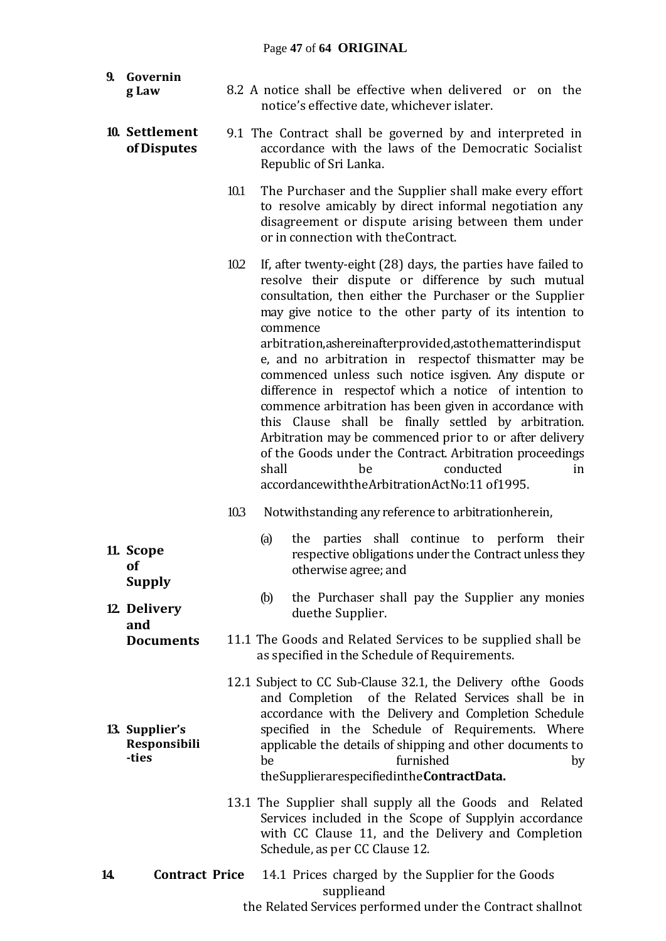| 9.<br>Governin<br>g Law                 | 8.2 A notice shall be effective when delivered or on the                                                                                                                                                                                                                                                                                                                                                                                                                                          |
|-----------------------------------------|---------------------------------------------------------------------------------------------------------------------------------------------------------------------------------------------------------------------------------------------------------------------------------------------------------------------------------------------------------------------------------------------------------------------------------------------------------------------------------------------------|
|                                         | notice's effective date, whichever islater.                                                                                                                                                                                                                                                                                                                                                                                                                                                       |
| 10. Settlement<br>of Disputes           | 9.1 The Contract shall be governed by and interpreted in<br>accordance with the laws of the Democratic Socialist<br>Republic of Sri Lanka.                                                                                                                                                                                                                                                                                                                                                        |
|                                         | 10.1<br>The Purchaser and the Supplier shall make every effort<br>to resolve amicably by direct informal negotiation any<br>disagreement or dispute arising between them under<br>or in connection with the Contract.                                                                                                                                                                                                                                                                             |
|                                         | 10.2<br>If, after twenty-eight (28) days, the parties have failed to<br>resolve their dispute or difference by such mutual<br>consultation, then either the Purchaser or the Supplier<br>may give notice to the other party of its intention to<br>commence<br>arbitration, ashereinafter provided, asto the matter indisput                                                                                                                                                                      |
|                                         | e, and no arbitration in respectof thismatter may be<br>commenced unless such notice isgiven. Any dispute or<br>difference in respectof which a notice of intention to<br>commence arbitration has been given in accordance with<br>this Clause shall be finally settled by arbitration.<br>Arbitration may be commenced prior to or after delivery<br>of the Goods under the Contract. Arbitration proceedings<br>conducted<br>shall<br>be<br>in<br>accordancewiththeArbitrationActNo:11 of1995. |
|                                         | 103<br>Notwithstanding any reference to arbitrationherein,                                                                                                                                                                                                                                                                                                                                                                                                                                        |
| 11. Scope<br><b>of</b><br><b>Supply</b> | the parties shall continue to perform their<br>(a)<br>respective obligations under the Contract unless they<br>otherwise agree; and                                                                                                                                                                                                                                                                                                                                                               |
| 12 Delivery<br>and                      | the Purchaser shall pay the Supplier any monies<br>(b)<br>duethe Supplier.                                                                                                                                                                                                                                                                                                                                                                                                                        |
| <b>Documents</b>                        | 11.1 The Goods and Related Services to be supplied shall be<br>as specified in the Schedule of Requirements.                                                                                                                                                                                                                                                                                                                                                                                      |
| 13. Supplier's<br>Responsibili<br>-ties | 12.1 Subject to CC Sub-Clause 32.1, the Delivery of the Goods<br>and Completion of the Related Services shall be in<br>accordance with the Delivery and Completion Schedule<br>specified in the Schedule of Requirements. Where<br>applicable the details of shipping and other documents to<br>furnished<br>be<br>by<br>the Supplierarespecified in the Contract Data.                                                                                                                           |
|                                         | 13.1 The Supplier shall supply all the Goods and Related<br>Services included in the Scope of Supplyin accordance<br>with CC Clause 11, and the Delivery and Completion<br>Schedule, as per CC Clause 12.                                                                                                                                                                                                                                                                                         |

**14. Contract Price** 14.1 Prices charged by the Supplier for the Goods supplieand the Related Services performed under the Contract shallnot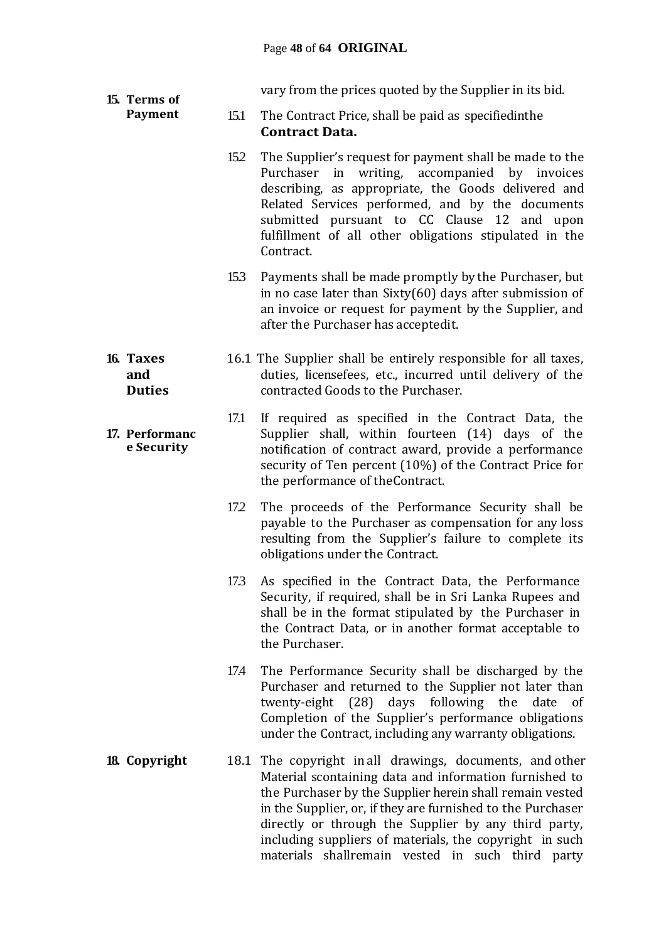vary from the prices quoted by the Supplier in its bid.

- 15.1 The Contract Price, shall be paid as specifiedinthe **Contract Data.**
	- 15.2 The Supplier's request for payment shall be made to the Purchaser in writing, accompanied by invoices describing, as appropriate, the Goods delivered and Related Services performed, and by the documents submitted pursuant to CC Clause 12 and upon fulfillment of all other obligations stipulated in the Contract.
	- 15.3 Payments shall be made promptly by the Purchaser, but in no case later than Sixty(60) days after submission of an invoice or request for payment by the Supplier, and after the Purchaser has acceptedit.
- 16.1 The Supplier shall be entirely responsible for all taxes, duties, licensefees, etc., incurred until delivery of the contracted Goods to the Purchaser.
	- 17.1 If required as specified in the Contract Data, the Supplier shall, within fourteen (14) days of the notification of contract award, provide a performance security of Ten percent (10%) of the Contract Price for the performance of theContract.
		- 17.2 The proceeds of the Performance Security shall be payable to the Purchaser as compensation for any loss resulting from the Supplier's failure to complete its obligations under the Contract.
		- 17.3 As specified in the Contract Data, the Performance Security, if required, shall be in Sri Lanka Rupees and shall be in the format stipulated by the Purchaser in the Contract Data, or in another format acceptable to the Purchaser.
		- 17.4 The Performance Security shall be discharged by the Purchaser and returned to the Supplier not later than twenty-eight (28) days following the date of Completion of the Supplier's performance obligations under the Contract, including any warranty obligations.
- **18. Copyright** 18.1 The copyright in all drawings, documents, and other Material scontaining data and information furnished to the Purchaser by the Supplier herein shall remain vested in the Supplier, or, if they are furnished to the Purchaser directly or through the Supplier by any third party, including suppliers of materials, the copyright in such materials shallremain vested in such third party

#### **16. Taxes and Duties**

**15. Terms of Payment**

#### **17. Performanc e Security**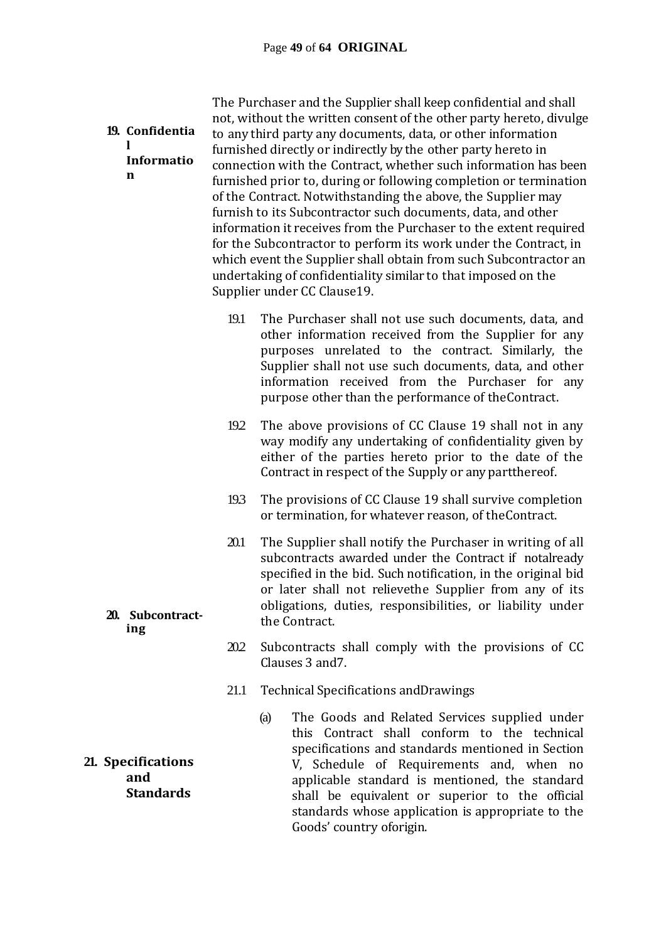| 19. Confidentia<br>Informatio<br>n            |      | The Purchaser and the Supplier shall keep confidential and shall<br>not, without the written consent of the other party hereto, divulge<br>to any third party any documents, data, or other information<br>furnished directly or indirectly by the other party hereto in<br>connection with the Contract, whether such information has been<br>furnished prior to, during or following completion or termination<br>of the Contract. Notwithstanding the above, the Supplier may<br>furnish to its Subcontractor such documents, data, and other<br>information it receives from the Purchaser to the extent required<br>for the Subcontractor to perform its work under the Contract, in<br>which event the Supplier shall obtain from such Subcontractor an<br>undertaking of confidentiality similar to that imposed on the<br>Supplier under CC Clause19. |
|-----------------------------------------------|------|---------------------------------------------------------------------------------------------------------------------------------------------------------------------------------------------------------------------------------------------------------------------------------------------------------------------------------------------------------------------------------------------------------------------------------------------------------------------------------------------------------------------------------------------------------------------------------------------------------------------------------------------------------------------------------------------------------------------------------------------------------------------------------------------------------------------------------------------------------------|
|                                               | 19.1 | The Purchaser shall not use such documents, data, and<br>other information received from the Supplier for any<br>purposes unrelated to the contract. Similarly, the<br>Supplier shall not use such documents, data, and other<br>information received from the Purchaser for any<br>purpose other than the performance of the Contract.                                                                                                                                                                                                                                                                                                                                                                                                                                                                                                                       |
|                                               | 19.2 | The above provisions of CC Clause 19 shall not in any<br>way modify any undertaking of confidentiality given by<br>either of the parties hereto prior to the date of the<br>Contract in respect of the Supply or any partthereof.                                                                                                                                                                                                                                                                                                                                                                                                                                                                                                                                                                                                                             |
|                                               | 193  | The provisions of CC Clause 19 shall survive completion<br>or termination, for whatever reason, of the Contract.                                                                                                                                                                                                                                                                                                                                                                                                                                                                                                                                                                                                                                                                                                                                              |
| 20. Subcontract-<br>ing                       | 20.1 | The Supplier shall notify the Purchaser in writing of all<br>subcontracts awarded under the Contract if notalready<br>specified in the bid. Such notification, in the original bid<br>or later shall not relievethe Supplier from any of its<br>obligations, duties, responsibilities, or liability under<br>the Contract.                                                                                                                                                                                                                                                                                                                                                                                                                                                                                                                                    |
|                                               | 20.2 | Subcontracts shall comply with the provisions of CC<br>Clauses 3 and 7.                                                                                                                                                                                                                                                                                                                                                                                                                                                                                                                                                                                                                                                                                                                                                                                       |
|                                               | 21.1 | <b>Technical Specifications and Drawings</b>                                                                                                                                                                                                                                                                                                                                                                                                                                                                                                                                                                                                                                                                                                                                                                                                                  |
| 21. Specifications<br>and<br><b>Standards</b> |      | The Goods and Related Services supplied under<br>(a)<br>this Contract shall conform to the technical<br>specifications and standards mentioned in Section<br>V, Schedule of Requirements and, when no<br>applicable standard is mentioned, the standard<br>shall be equivalent or superior to the official<br>standards whose application is appropriate to the<br>Goods' country oforigin.                                                                                                                                                                                                                                                                                                                                                                                                                                                                   |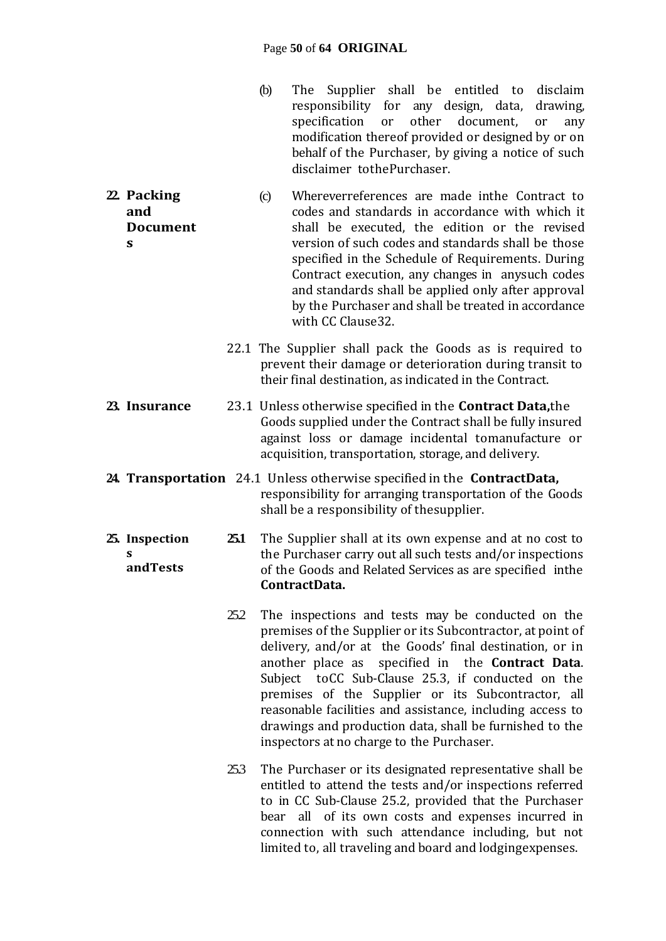- (b) The Supplier shall be entitled to disclaim responsibility for any design, data, drawing, specification or other document, or any modification thereof provided or designed by or on behalf of the Purchaser, by giving a notice of such disclaimer tothePurchaser.
- **22. Packing and Document s** (c) Whereverreferences are made inthe Contract to codes and standards in accordance with which it shall be executed, the edition or the revised version of such codes and standards shall be those specified in the Schedule of Requirements. During Contract execution, any changes in anysuch codes and standards shall be applied only after approval by the Purchaser and shall be treated in accordance with CC Clause32.
	- 22.1 The Supplier shall pack the Goods as is required to prevent their damage or deterioration during transit to their final destination, as indicated in the Contract.
- **23. Insurance** 23.1 Unless otherwise specified in the **Contract Data,**the Goods supplied under the Contract shall be fully insured against loss or damage incidental tomanufacture or acquisition, transportation, storage, and delivery.
- **24. Transportation** 24.1 Unless otherwise specified in the **ContractData,** responsibility for arranging transportation of the Goods shall be a responsibility of thesupplier.

**25. Inspection s andTests 25.1** The Supplier shall at its own expense and at no cost to the Purchaser carry out all such tests and/or inspections of the Goods and Related Services as are specified inthe **ContractData.**

- 252 The inspections and tests may be conducted on the premises of the Supplier or its Subcontractor, at point of delivery, and/or at the Goods' final destination, or in another place as specified in the **Contract Data**. Subject toCC Sub-Clause 25.3, if conducted on the premises of the Supplier or its Subcontractor, all reasonable facilities and assistance, including access to drawings and production data, shall be furnished to the inspectors at no charge to the Purchaser.
- 25.3 The Purchaser or its designated representative shall be entitled to attend the tests and/or inspections referred to in CC Sub-Clause 25.2, provided that the Purchaser bear all of its own costs and expenses incurred in connection with such attendance including, but not limited to, all traveling and board and lodgingexpenses.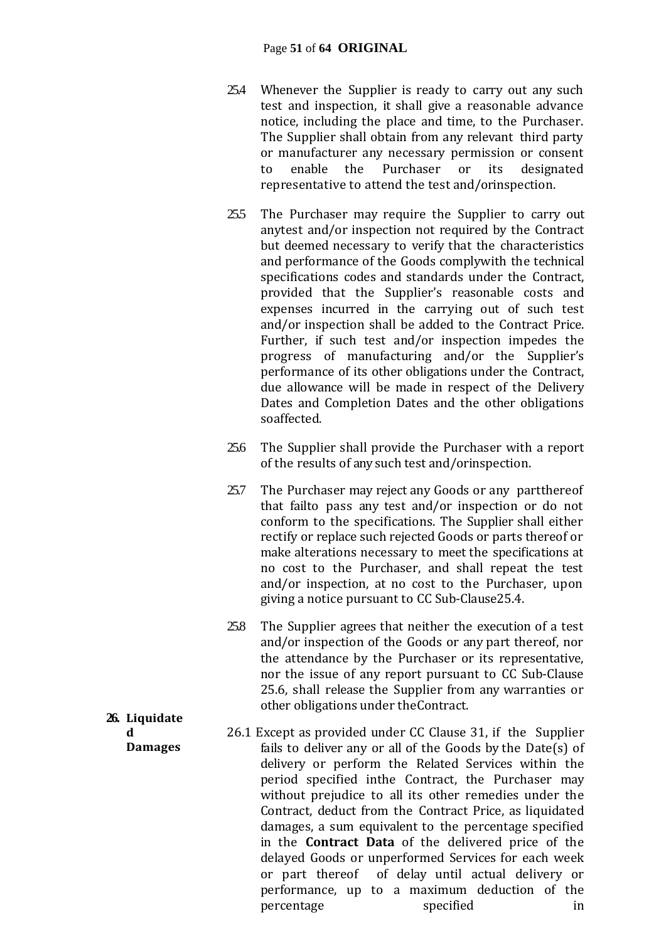#### Page **51** of **64 ORIGINAL**

- 25.4 Whenever the Supplier is ready to carry out any such test and inspection, it shall give a reasonable advance notice, including the place and time, to the Purchaser. The Supplier shall obtain from any relevant third party or manufacturer any necessary permission or consent to enable the Purchaser or its designated representative to attend the test and/orinspection.
- 25.5 The Purchaser may require the Supplier to carry out anytest and/or inspection not required by the Contract but deemed necessary to verify that the characteristics and performance of the Goods complywith the technical specifications codes and standards under the Contract, provided that the Supplier's reasonable costs and expenses incurred in the carrying out of such test and/or inspection shall be added to the Contract Price. Further, if such test and/or inspection impedes the progress of manufacturing and/or the Supplier's performance of its other obligations under the Contract, due allowance will be made in respect of the Delivery Dates and Completion Dates and the other obligations soaffected.
- 25.6 The Supplier shall provide the Purchaser with a report of the results of any such test and/orinspection.
- 25.7 The Purchaser may reject any Goods or any partthereof that failto pass any test and/or inspection or do not conform to the specifications. The Supplier shall either rectify or replace such rejected Goods or parts thereof or make alterations necessary to meet the specifications at no cost to the Purchaser, and shall repeat the test and/or inspection, at no cost to the Purchaser, upon giving a notice pursuant to CC Sub-Clause25.4.
- 25.8 The Supplier agrees that neither the execution of a test and/or inspection of the Goods or any part thereof, nor the attendance by the Purchaser or its representative, nor the issue of any report pursuant to CC Sub-Clause 25.6, shall release the Supplier from any warranties or other obligations under theContract.
- 26.1 Except as provided under CC Clause 31, if the Supplier fails to deliver any or all of the Goods by the Date(s) of delivery or perform the Related Services within the period specified inthe Contract, the Purchaser may without prejudice to all its other remedies under the Contract, deduct from the Contract Price, as liquidated damages, a sum equivalent to the percentage specified in the **Contract Data** of the delivered price of the delayed Goods or unperformed Services for each week or part thereof of delay until actual delivery or performance, up to a maximum deduction of the percentage specified in
- **26. Liquidate d Damages**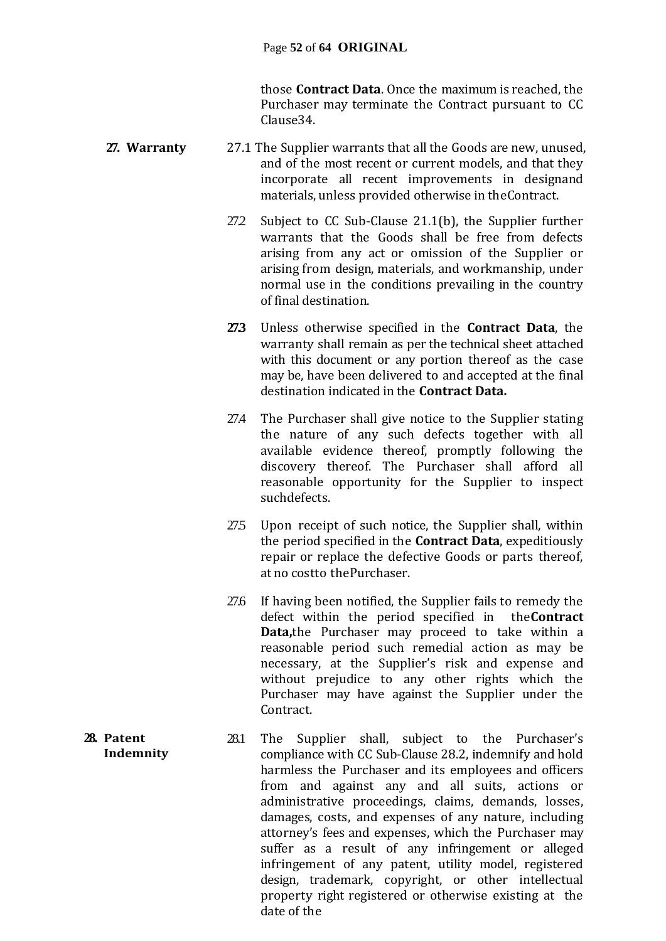those **Contract Data**. Once the maximum is reached, the Purchaser may terminate the Contract pursuant to CC Clause34.

- **27. Warranty** 27.1 The Supplier warrants that all the Goods are new, unused, and of the most recent or current models, and that they incorporate all recent improvements in designand materials, unless provided otherwise in theContract.
	- 27.2 Subject to CC Sub-Clause 21.1(b), the Supplier further warrants that the Goods shall be free from defects arising from any act or omission of the Supplier or arising from design, materials, and workmanship, under normal use in the conditions prevailing in the country of final destination.
	- **27.3** Unless otherwise specified in the **Contract Data**, the warranty shall remain as per the technical sheet attached with this document or any portion thereof as the case may be, have been delivered to and accepted at the final destination indicated in the **Contract Data.**
	- 27.4 The Purchaser shall give notice to the Supplier stating the nature of any such defects together with all available evidence thereof, promptly following the discovery thereof. The Purchaser shall afford all reasonable opportunity for the Supplier to inspect suchdefects.
	- 27.5 Upon receipt of such notice, the Supplier shall, within the period specified in the **Contract Data**, expeditiously repair or replace the defective Goods or parts thereof, at no costto thePurchaser.
	- 27.6 If having been notified, the Supplier fails to remedy the defect within the period specified in the**Contract Data,**the Purchaser may proceed to take within a reasonable period such remedial action as may be necessary, at the Supplier's risk and expense and without prejudice to any other rights which the Purchaser may have against the Supplier under the Contract.
- **28. Patent Indemnity** 28.1 The Supplier shall, subject to the Purchaser's compliance with CC Sub-Clause 28.2, indemnify and hold harmless the Purchaser and its employees and officers from and against any and all suits, actions or administrative proceedings, claims, demands, losses, damages, costs, and expenses of any nature, including attorney's fees and expenses, which the Purchaser may suffer as a result of any infringement or alleged infringement of any patent, utility model, registered design, trademark, copyright, or other intellectual property right registered or otherwise existing at the date of the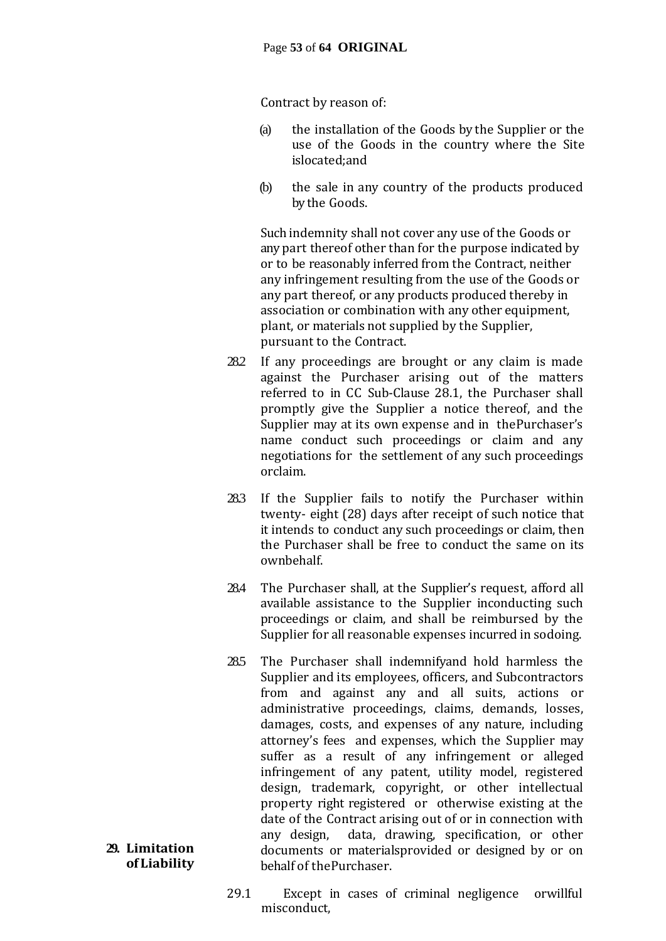Contract by reason of:

- (a) the installation of the Goods by the Supplier or the use of the Goods in the country where the Site islocated;and
- (b) the sale in any country of the products produced by the Goods.

Such indemnity shall not cover any use of the Goods or any part thereof other than for the purpose indicated by or to be reasonably inferred from the Contract, neither any infringement resulting from the use of the Goods or any part thereof, or any products produced thereby in association or combination with any other equipment, plant, or materials not supplied by the Supplier, pursuant to the Contract.

- 28.2 If any proceedings are brought or any claim is made against the Purchaser arising out of the matters referred to in CC Sub-Clause 28.1, the Purchaser shall promptly give the Supplier a notice thereof, and the Supplier may at its own expense and in thePurchaser's name conduct such proceedings or claim and any negotiations for the settlement of any such proceedings orclaim.
- 28.3 If the Supplier fails to notify the Purchaser within twenty- eight (28) days after receipt of such notice that it intends to conduct any such proceedings or claim, then the Purchaser shall be free to conduct the same on its ownbehalf.
- 28.4 The Purchaser shall, at the Supplier's request, afford all available assistance to the Supplier inconducting such proceedings or claim, and shall be reimbursed by the Supplier for all reasonable expenses incurred in sodoing.
- 28.5 The Purchaser shall indemnifyand hold harmless the Supplier and its employees, officers, and Subcontractors from and against any and all suits, actions or administrative proceedings, claims, demands, losses, damages, costs, and expenses of any nature, including attorney's fees and expenses, which the Supplier may suffer as a result of any infringement or alleged infringement of any patent, utility model, registered design, trademark, copyright, or other intellectual property right registered or otherwise existing at the date of the Contract arising out of or in connection with any design, data, drawing, specification, or other documents or materialsprovided or designed by or on behalf of thePurchaser.
- 29.1 Except in cases of criminal negligence orwillful misconduct,

#### **29. Limitation of Liability**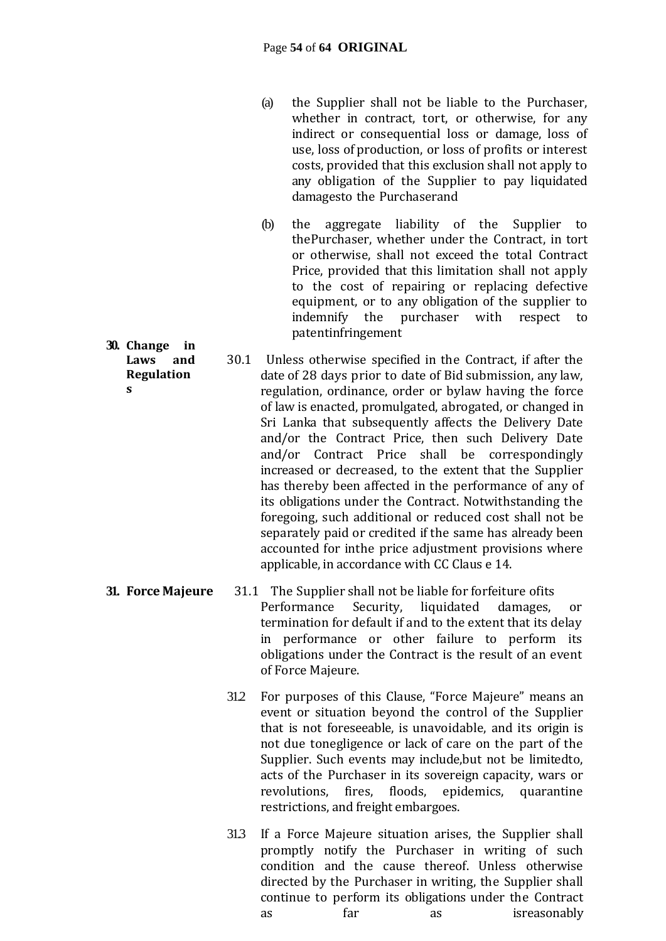- (a) the Supplier shall not be liable to the Purchaser, whether in contract, tort, or otherwise, for any indirect or consequential loss or damage, loss of use, loss of production, or loss of profits or interest costs, provided that this exclusion shall not apply to any obligation of the Supplier to pay liquidated damagesto the Purchaserand
- (b) the aggregate liability of the Supplier to thePurchaser, whether under the Contract, in tort or otherwise, shall not exceed the total Contract Price, provided that this limitation shall not apply to the cost of repairing or replacing defective equipment, or to any obligation of the supplier to indemnify the purchaser with respect to patentinfringement
- 30.1 Unless otherwise specified in the Contract, if after the date of 28 days prior to date of Bid submission, any law, regulation, ordinance, order or bylaw having the force of law is enacted, promulgated, abrogated, or changed in Sri Lanka that subsequently affects the Delivery Date and/or the Contract Price, then such Delivery Date and/or Contract Price shall be correspondingly increased or decreased, to the extent that the Supplier has thereby been affected in the performance of any of its obligations under the Contract. Notwithstanding the foregoing, such additional or reduced cost shall not be separately paid or credited if the same has already been accounted for inthe price adjustment provisions where applicable, in accordance with CC Claus e 14.
- **31. Force Majeure** 31.1 The Supplier shall not be liable for forfeiture ofits Performance Security, liquidated damages, or termination for default if and to the extent that its delay in performance or other failure to perform its obligations under the Contract is the result of an event of Force Majeure.
	- 31.2 For purposes of this Clause, "Force Majeure" means an event or situation beyond the control of the Supplier that is not foreseeable, is unavoidable, and its origin is not due tonegligence or lack of care on the part of the Supplier. Such events may include,but not be limitedto, acts of the Purchaser in its sovereign capacity, wars or revolutions, fires, floods, epidemics, quarantine restrictions, and freight embargoes.
	- 31.3 If a Force Majeure situation arises, the Supplier shall promptly notify the Purchaser in writing of such condition and the cause thereof. Unless otherwise directed by the Purchaser in writing, the Supplier shall continue to perform its obligations under the Contract as far as isreasonably

**30. Change in Laws and Regulation**

**s**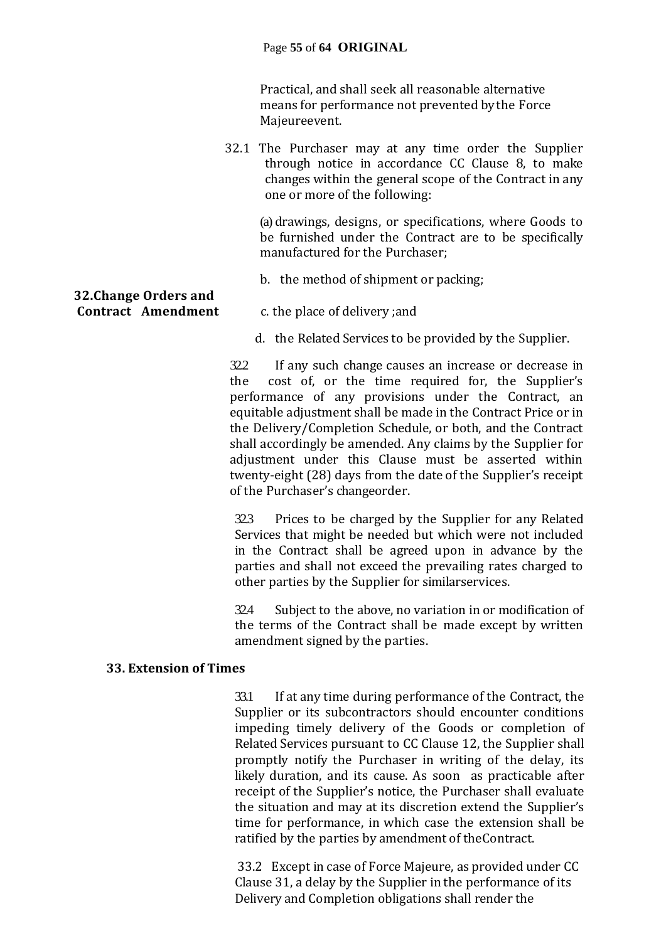#### Page **55** of **64 ORIGINAL**

Practical, and shall seek all reasonable alternative means for performance not prevented by the Force Majeureevent.

32.1 The Purchaser may at any time order the Supplier through notice in accordance CC Clause 8, to make changes within the general scope of the Contract in any one or more of the following:

(a) drawings, designs, or specifications, where Goods to be furnished under the Contract are to be specifically manufactured for the Purchaser;

b. the method of shipment or packing;

# **32.Change Orders and**

- **Contract Amendment** c. the place of delivery ;and
	- d. the Related Services to be provided by the Supplier.

32.2 If any such change causes an increase or decrease in the cost of, or the time required for, the Supplier's performance of any provisions under the Contract, an equitable adjustment shall be made in the Contract Price or in the Delivery/Completion Schedule, or both, and the Contract shall accordingly be amended. Any claims by the Supplier for adjustment under this Clause must be asserted within twenty-eight (28) days from the date of the Supplier's receipt of the Purchaser's changeorder.

32.3 Prices to be charged by the Supplier for any Related Services that might be needed but which were not included in the Contract shall be agreed upon in advance by the parties and shall not exceed the prevailing rates charged to other parties by the Supplier for similarservices.

32.4 Subject to the above, no variation in or modification of the terms of the Contract shall be made except by written amendment signed by the parties.

#### **33. Extension of Times**

33.1 If at any time during performance of the Contract, the Supplier or its subcontractors should encounter conditions impeding timely delivery of the Goods or completion of Related Services pursuant to CC Clause 12, the Supplier shall promptly notify the Purchaser in writing of the delay, its likely duration, and its cause. As soon as practicable after receipt of the Supplier's notice, the Purchaser shall evaluate the situation and may at its discretion extend the Supplier's time for performance, in which case the extension shall be ratified by the parties by amendment of theContract.

33.2 Except in case of Force Majeure, as provided under CC Clause 31, a delay by the Supplier in the performance of its Delivery and Completion obligations shall render the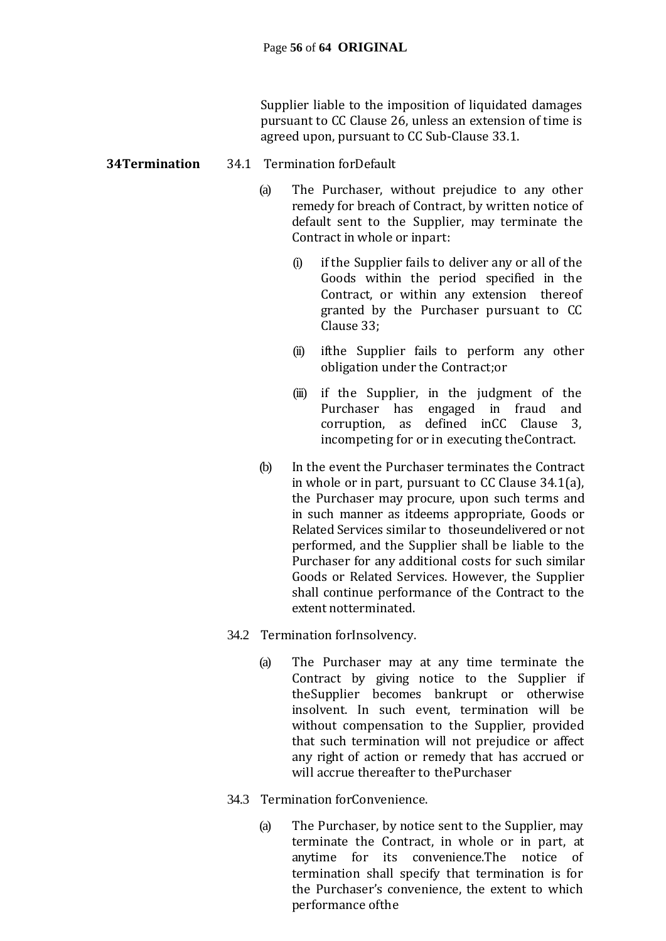Supplier liable to the imposition of liquidated damages pursuant to CC Clause 26, unless an extension of time is agreed upon, pursuant to CC Sub-Clause 33.1.

#### **34Termination** 34.1 Termination forDefault

- (a) The Purchaser, without prejudice to any other remedy for breach of Contract, by written notice of default sent to the Supplier, may terminate the Contract in whole or inpart:
	- (i) if the Supplier fails to deliver any or all of the Goods within the period specified in the Contract, or within any extension thereof granted by the Purchaser pursuant to CC Clause 33;
	- (ii) ifthe Supplier fails to perform any other obligation under the Contract;or
	- (iii) if the Supplier, in the judgment of the Purchaser has engaged in fraud and corruption, as defined inCC Clause 3, incompeting for or in executing theContract.
- (b) In the event the Purchaser terminates the Contract in whole or in part, pursuant to CC Clause 34.1(a), the Purchaser may procure, upon such terms and in such manner as itdeems appropriate, Goods or Related Services similar to thoseundelivered or not performed, and the Supplier shall be liable to the Purchaser for any additional costs for such similar Goods or Related Services. However, the Supplier shall continue performance of the Contract to the extent notterminated.
- 34.2 Termination forInsolvency.
	- (a) The Purchaser may at any time terminate the Contract by giving notice to the Supplier if theSupplier becomes bankrupt or otherwise insolvent. In such event, termination will be without compensation to the Supplier, provided that such termination will not prejudice or affect any right of action or remedy that has accrued or will accrue thereafter to thePurchaser
- 34.3 Termination forConvenience.
	- (a) The Purchaser, by notice sent to the Supplier, may terminate the Contract, in whole or in part, at anytime for its convenience.The notice of termination shall specify that termination is for the Purchaser's convenience, the extent to which performance ofthe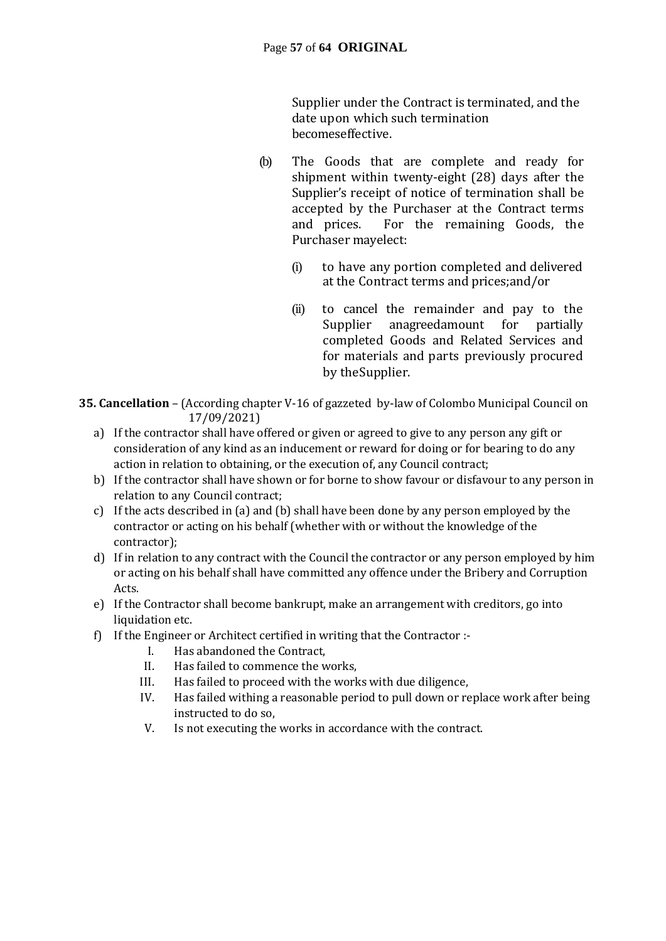Supplier under the Contract is terminated, and the date upon which such termination becomeseffective.

- (b) The Goods that are complete and ready for shipment within twenty-eight (28) days after the Supplier's receipt of notice of termination shall be accepted by the Purchaser at the Contract terms and prices. For the remaining Goods, the Purchaser mayelect:
	- (i) to have any portion completed and delivered at the Contract terms and prices;and/or
	- (ii) to cancel the remainder and pay to the Supplier anagreedamount for partially completed Goods and Related Services and for materials and parts previously procured by theSupplier.
- **35. Cancellation** (According chapter V-16 of gazzeted by-law of Colombo Municipal Council on 17/09/2021)
	- a) If the contractor shall have offered or given or agreed to give to any person any gift or consideration of any kind as an inducement or reward for doing or for bearing to do any action in relation to obtaining, or the execution of, any Council contract;
	- b) If the contractor shall have shown or for borne to show favour or disfavour to any person in relation to any Council contract;
	- c) If the acts described in (a) and (b) shall have been done by any person employed by the contractor or acting on his behalf (whether with or without the knowledge of the contractor);
	- d) If in relation to any contract with the Council the contractor or any person employed by him or acting on his behalf shall have committed any offence under the Bribery and Corruption Acts.
	- e) If the Contractor shall become bankrupt, make an arrangement with creditors, go into liquidation etc.
	- f) If the Engineer or Architect certified in writing that the Contractor :-
		- I. Has abandoned the Contract,
		- II. Has failed to commence the works,
		- III. Has failed to proceed with the works with due diligence,
		- IV. Has failed withing a reasonable period to pull down or replace work after being instructed to do so,
		- V. Is not executing the works in accordance with the contract.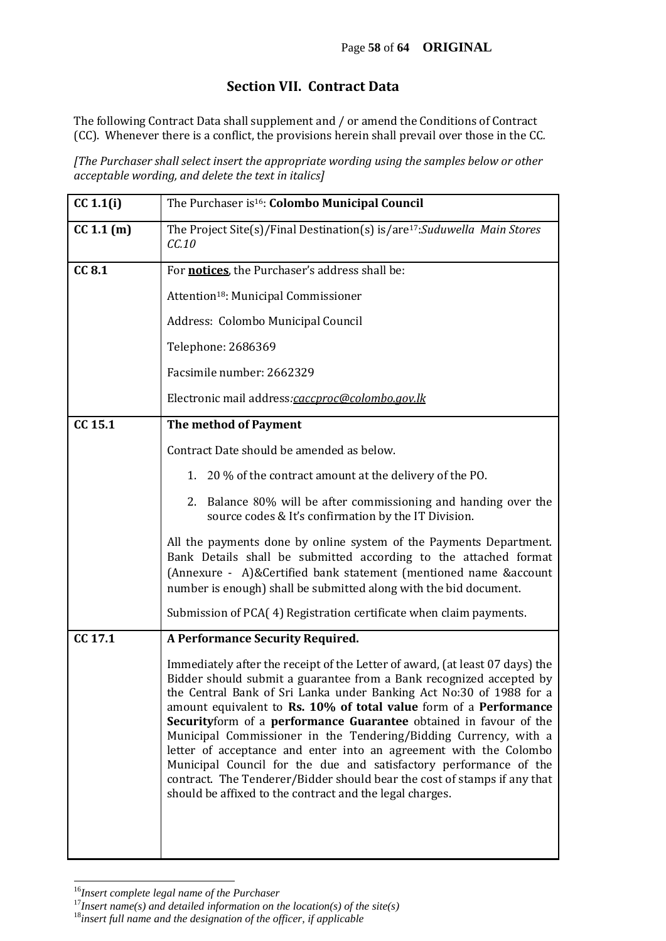### **Section VII. Contract Data**

The following Contract Data shall supplement and / or amend the Conditions of Contract (CC). Whenever there is a conflict, the provisions herein shall prevail over those in the CC*.* 

*[The Purchaser shall select insert the appropriate wording using the samples below or other acceptable wording, and delete the text in italics]*

| CC 1.1(i)  | The Purchaser is <sup>16</sup> : Colombo Municipal Council                                                                                                                                                                                                                                                                                                                                                                                                                                                                                                                                                                                                                                                                 |
|------------|----------------------------------------------------------------------------------------------------------------------------------------------------------------------------------------------------------------------------------------------------------------------------------------------------------------------------------------------------------------------------------------------------------------------------------------------------------------------------------------------------------------------------------------------------------------------------------------------------------------------------------------------------------------------------------------------------------------------------|
| CC 1.1 (m) | The Project Site(s)/Final Destination(s) is/are <sup>17</sup> : Suduwella Main Stores<br>CC.10                                                                                                                                                                                                                                                                                                                                                                                                                                                                                                                                                                                                                             |
| CC 8.1     | For <b>notices</b> , the Purchaser's address shall be:                                                                                                                                                                                                                                                                                                                                                                                                                                                                                                                                                                                                                                                                     |
|            | Attention <sup>18</sup> : Municipal Commissioner                                                                                                                                                                                                                                                                                                                                                                                                                                                                                                                                                                                                                                                                           |
|            | Address: Colombo Municipal Council                                                                                                                                                                                                                                                                                                                                                                                                                                                                                                                                                                                                                                                                                         |
|            | Telephone: 2686369                                                                                                                                                                                                                                                                                                                                                                                                                                                                                                                                                                                                                                                                                                         |
|            | Facsimile number: 2662329                                                                                                                                                                                                                                                                                                                                                                                                                                                                                                                                                                                                                                                                                                  |
|            | Electronic mail address:caccproc@colombo.gov.lk                                                                                                                                                                                                                                                                                                                                                                                                                                                                                                                                                                                                                                                                            |
| CC 15.1    | The method of Payment                                                                                                                                                                                                                                                                                                                                                                                                                                                                                                                                                                                                                                                                                                      |
|            | Contract Date should be amended as below.                                                                                                                                                                                                                                                                                                                                                                                                                                                                                                                                                                                                                                                                                  |
|            | 1. 20 % of the contract amount at the delivery of the PO.                                                                                                                                                                                                                                                                                                                                                                                                                                                                                                                                                                                                                                                                  |
|            | 2. Balance 80% will be after commissioning and handing over the<br>source codes & It's confirmation by the IT Division.                                                                                                                                                                                                                                                                                                                                                                                                                                                                                                                                                                                                    |
|            | All the payments done by online system of the Payments Department.<br>Bank Details shall be submitted according to the attached format<br>(Annexure - A)&Certified bank statement (mentioned name &account<br>number is enough) shall be submitted along with the bid document.                                                                                                                                                                                                                                                                                                                                                                                                                                            |
|            | Submission of PCA(4) Registration certificate when claim payments.                                                                                                                                                                                                                                                                                                                                                                                                                                                                                                                                                                                                                                                         |
| CC 17.1    | A Performance Security Required.                                                                                                                                                                                                                                                                                                                                                                                                                                                                                                                                                                                                                                                                                           |
|            | Immediately after the receipt of the Letter of award, (at least 07 days) the<br>Bidder should submit a guarantee from a Bank recognized accepted by<br>the Central Bank of Sri Lanka under Banking Act No:30 of 1988 for a<br>amount equivalent to Rs. 10% of total value form of a Performance<br>Securityform of a performance Guarantee obtained in favour of the<br>Municipal Commissioner in the Tendering/Bidding Currency, with a<br>letter of acceptance and enter into an agreement with the Colombo<br>Municipal Council for the due and satisfactory performance of the<br>contract. The Tenderer/Bidder should bear the cost of stamps if any that<br>should be affixed to the contract and the legal charges. |
|            |                                                                                                                                                                                                                                                                                                                                                                                                                                                                                                                                                                                                                                                                                                                            |

<sup>16</sup>*Insert complete legal name of the Purchaser*

l

<sup>17</sup>*Insert name(s) and detailed information on the location(s) of the site(s)*

<sup>18</sup>*insert full name and the designation of the officer, if applicable*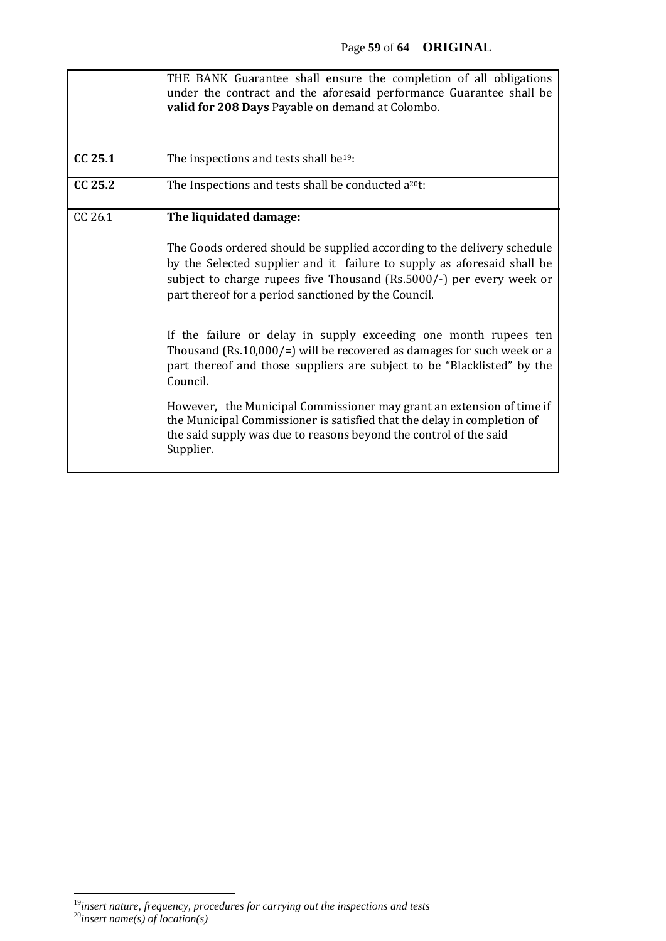|         | THE BANK Guarantee shall ensure the completion of all obligations<br>under the contract and the aforesaid performance Guarantee shall be<br>valid for 208 Days Payable on demand at Colombo.                                                                                                                                                                                                                                                                                                                                                                                                                                                                                                                                                                                            |
|---------|-----------------------------------------------------------------------------------------------------------------------------------------------------------------------------------------------------------------------------------------------------------------------------------------------------------------------------------------------------------------------------------------------------------------------------------------------------------------------------------------------------------------------------------------------------------------------------------------------------------------------------------------------------------------------------------------------------------------------------------------------------------------------------------------|
| CC 25.1 | The inspections and tests shall be <sup>19</sup> :                                                                                                                                                                                                                                                                                                                                                                                                                                                                                                                                                                                                                                                                                                                                      |
| CC 25.2 | The Inspections and tests shall be conducted a <sup>20</sup> t:                                                                                                                                                                                                                                                                                                                                                                                                                                                                                                                                                                                                                                                                                                                         |
| CC 26.1 | The liquidated damage:<br>The Goods ordered should be supplied according to the delivery schedule<br>by the Selected supplier and it failure to supply as aforesaid shall be<br>subject to charge rupees five Thousand (Rs.5000/-) per every week or<br>part thereof for a period sanctioned by the Council.<br>If the failure or delay in supply exceeding one month rupees ten<br>Thousand (Rs.10,000/=) will be recovered as damages for such week or a<br>part thereof and those suppliers are subject to be "Blacklisted" by the<br>Council.<br>However, the Municipal Commissioner may grant an extension of time if<br>the Municipal Commissioner is satisfied that the delay in completion of<br>the said supply was due to reasons beyond the control of the said<br>Supplier. |

 $\overline{a}$ <sup>19</sup>*insert nature, frequency, procedures for carrying out the inspections and tests* <sup>20</sup>*insert name(s) of location(s)*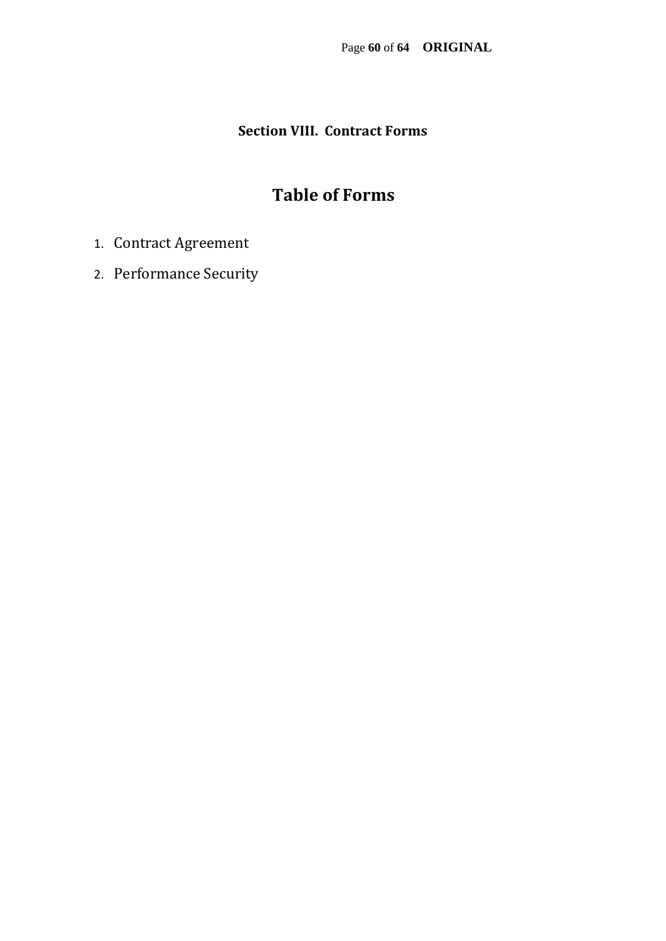### **Section VIII. Contract Forms**

## **Table of Forms**

- 1. Contract Agreement
- 2. Performance Security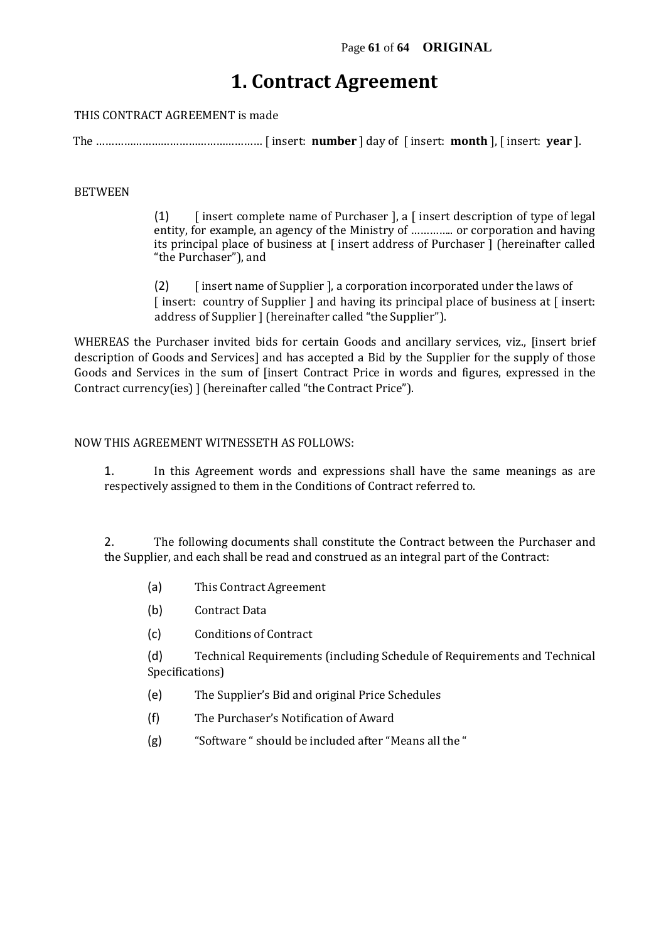## **1. Contract Agreement**

THIS CONTRACT AGREEMENT is made

The ……………………………………………… [ insert: **number** ] day of [ insert: **month** ], [ insert: **year** ].

#### BETWEEN

(1)  $\int$  [ insert complete name of Purchaser ], a  $\int$  insert description of type of legal entity, for example, an agency of the Ministry of ………….. or corporation and having its principal place of business at [ insert address of Purchaser ] (hereinafter called "the Purchaser"), and

(2) [ insert name of Supplier ], a corporation incorporated under the laws of [ insert: country of Supplier ] and having its principal place of business at [ insert: address of Supplier ] (hereinafter called "the Supplier").

WHEREAS the Purchaser invited bids for certain Goods and ancillary services, viz., [insert brief description of Goods and Services] and has accepted a Bid by the Supplier for the supply of those Goods and Services in the sum of [insert Contract Price in words and figures, expressed in the Contract currency(ies) ] (hereinafter called "the Contract Price").

#### NOW THIS AGREEMENT WITNESSETH AS FOLLOWS:

1. In this Agreement words and expressions shall have the same meanings as are respectively assigned to them in the Conditions of Contract referred to.

2. The following documents shall constitute the Contract between the Purchaser and the Supplier, and each shall be read and construed as an integral part of the Contract:

- (a) This Contract Agreement
- (b) Contract Data
- (c) Conditions of Contract

(d) Technical Requirements (including Schedule of Requirements and Technical Specifications)

- (e) The Supplier's Bid and original Price Schedules
- (f) The Purchaser's Notification of Award
- (g) "Software " should be included after "Means all the "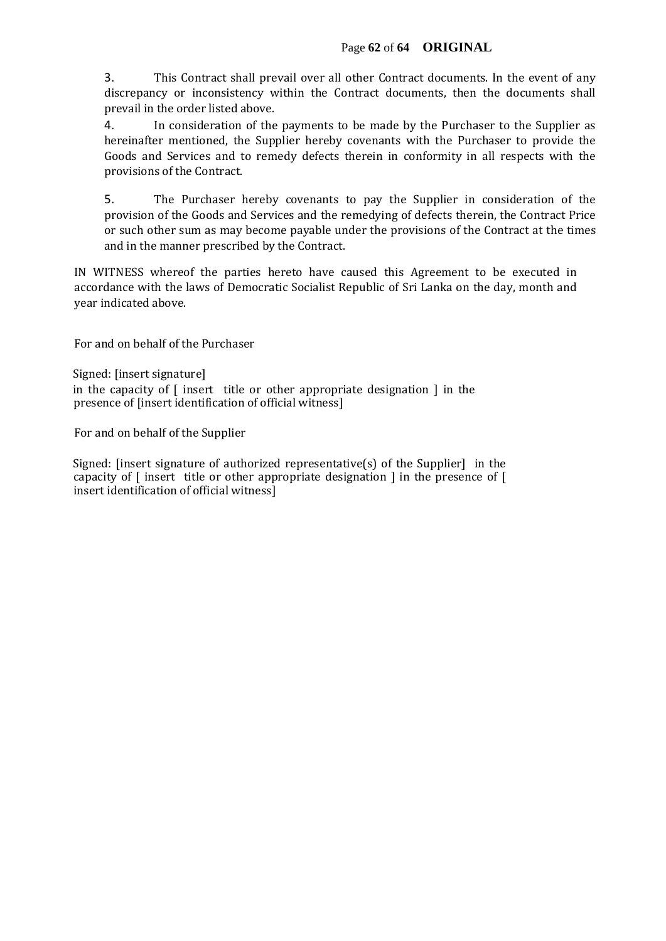3. This Contract shall prevail over all other Contract documents. In the event of any discrepancy or inconsistency within the Contract documents, then the documents shall prevail in the order listed above.

4. In consideration of the payments to be made by the Purchaser to the Supplier as hereinafter mentioned, the Supplier hereby covenants with the Purchaser to provide the Goods and Services and to remedy defects therein in conformity in all respects with the provisions of the Contract.

5. The Purchaser hereby covenants to pay the Supplier in consideration of the provision of the Goods and Services and the remedying of defects therein, the Contract Price or such other sum as may become payable under the provisions of the Contract at the times and in the manner prescribed by the Contract.

IN WITNESS whereof the parties hereto have caused this Agreement to be executed in accordance with the laws of Democratic Socialist Republic of Sri Lanka on the day, month and year indicated above.

For and on behalf of the Purchaser

Signed: [insert signature] in the capacity of  $\lceil$  insert title or other appropriate designation  $\lceil$  in the presence of [insert identification of official witness]

For and on behalf of the Supplier

Signed: [insert signature of authorized representative(s) of the Supplier] in the capacity of [ insert title or other appropriate designation ] in the presence of [ insert identification of official witness]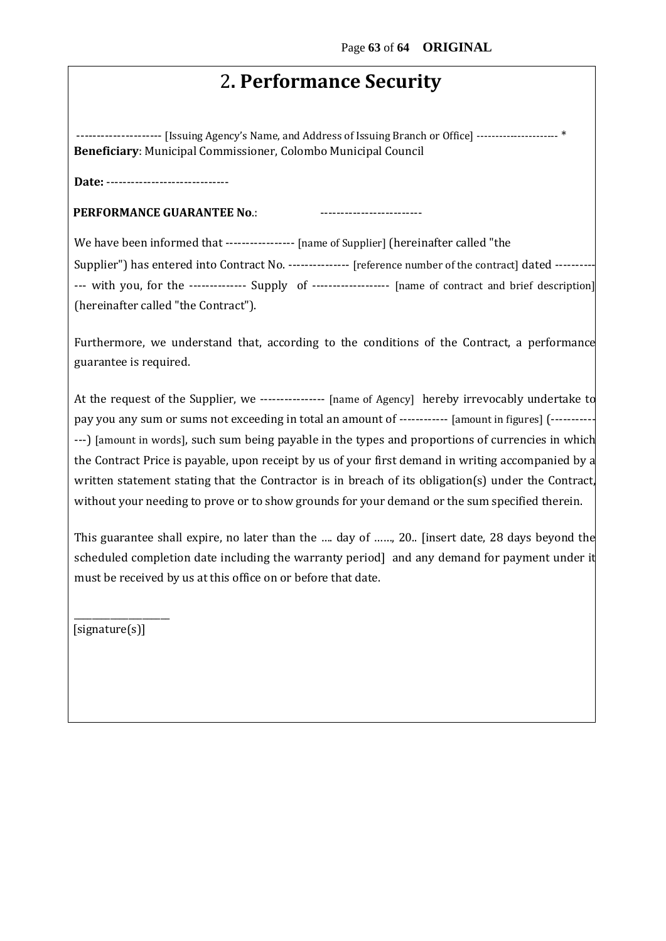## 2**. Performance Security**

--------------------- [Issuing Agency's Name, and Address of Issuing Branch or Office] ---------------------- \* **Beneficiary**: Municipal Commissioner, Colombo Municipal Council

**Date:** ------------------------------

**PERFORMANCE GUARANTEE No.:** 

We have been informed that ----------------- [name of Supplier] (hereinafter called "the

Supplier") has entered into Contract No. --------------- [reference number of the contract] dated ---------- --- with you, for the -------------- Supply of ------------------- [name of contract and brief description] (hereinafter called "the Contract").

Furthermore, we understand that, according to the conditions of the Contract, a performance guarantee is required.

At the request of the Supplier, we ---------------- [name of Agency] hereby irrevocably undertake to pay you any sum or sums not exceeding in total an amount of ------------ [amount in figures] (----------- ---) [amount in words], such sum being payable in the types and proportions of currencies in which the Contract Price is payable, upon receipt by us of your first demand in writing accompanied by a written statement stating that the Contractor is in breach of its obligation(s) under the Contract, without your needing to prove or to show grounds for your demand or the sum specified therein.

This guarantee shall expire, no later than the …. day of ……, 20.. [insert date, 28 days beyond the scheduled completion date including the warranty period] and any demand for payment under it must be received by us at this office on or before that date.

[signature(s)]

\_\_\_\_\_\_\_\_\_\_\_\_\_\_\_\_\_\_\_\_\_